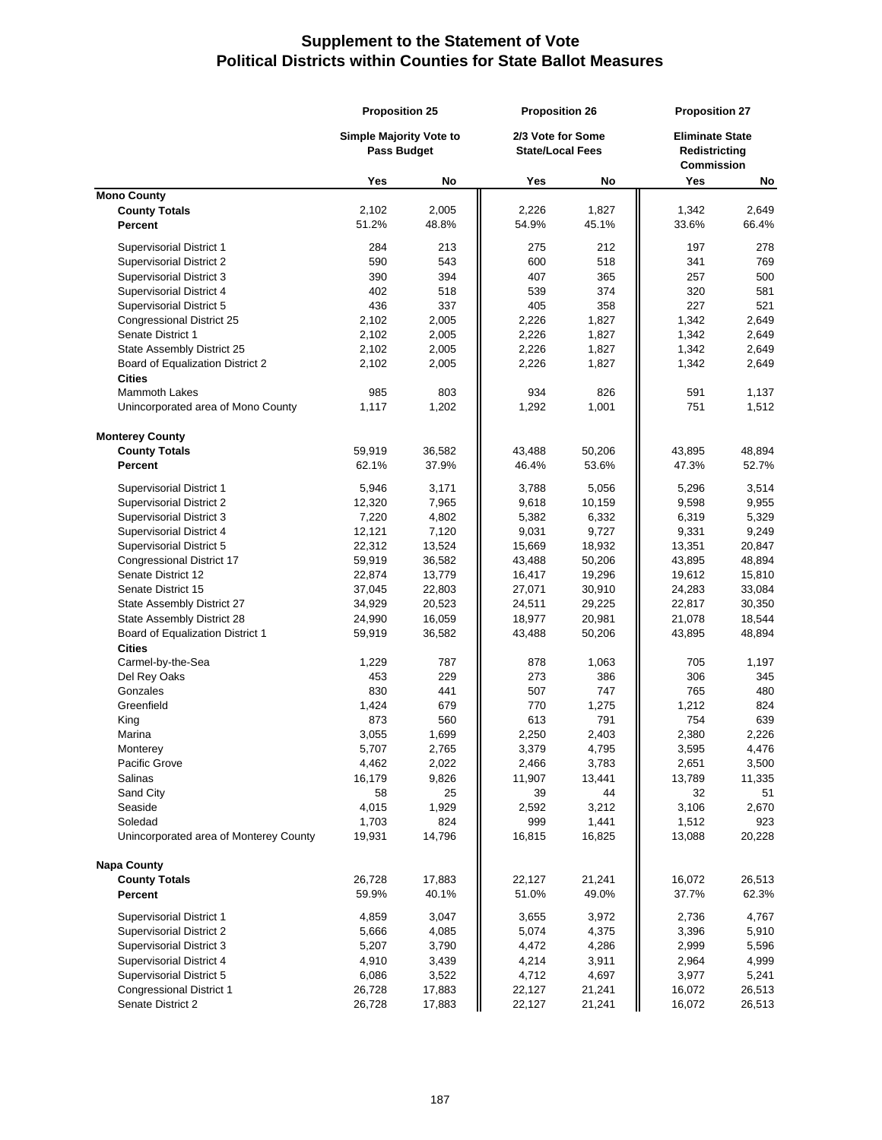## **Supplement to the Statement of Vote Political Districts within Counties for State Ballot Measures**

|                                        | <b>Proposition 25</b><br><b>Simple Majority Vote to</b><br><b>Pass Budget</b> |        | <b>Proposition 26</b><br>2/3 Vote for Some<br><b>State/Local Fees</b> |        | <b>Proposition 27</b><br><b>Eliminate State</b><br>Redistricting<br><b>Commission</b> |        |
|----------------------------------------|-------------------------------------------------------------------------------|--------|-----------------------------------------------------------------------|--------|---------------------------------------------------------------------------------------|--------|
|                                        |                                                                               |        |                                                                       |        |                                                                                       |        |
|                                        | Yes                                                                           | No     | Yes                                                                   | No     | Yes                                                                                   | No     |
| <b>Mono County</b>                     |                                                                               |        |                                                                       |        |                                                                                       |        |
| <b>County Totals</b>                   | 2,102                                                                         | 2,005  | 2,226                                                                 | 1,827  | 1,342                                                                                 | 2,649  |
| Percent                                | 51.2%                                                                         | 48.8%  | 54.9%                                                                 | 45.1%  | 33.6%                                                                                 | 66.4%  |
| Supervisorial District 1               | 284                                                                           | 213    | 275                                                                   | 212    | 197                                                                                   | 278    |
| Supervisorial District 2               | 590                                                                           | 543    | 600                                                                   | 518    | 341                                                                                   | 769    |
| Supervisorial District 3               | 390                                                                           | 394    | 407                                                                   | 365    | 257                                                                                   | 500    |
| Supervisorial District 4               | 402                                                                           | 518    | 539                                                                   | 374    | 320                                                                                   | 581    |
| Supervisorial District 5               | 436                                                                           | 337    | 405                                                                   | 358    | 227                                                                                   | 521    |
| Congressional District 25              | 2,102                                                                         | 2,005  | 2,226                                                                 | 1,827  | 1,342                                                                                 | 2,649  |
| Senate District 1                      | 2,102                                                                         | 2,005  | 2,226                                                                 | 1,827  | 1,342                                                                                 | 2,649  |
| State Assembly District 25             | 2,102                                                                         | 2,005  | 2,226                                                                 | 1,827  | 1,342                                                                                 | 2,649  |
| Board of Equalization District 2       | 2,102                                                                         | 2,005  | 2,226                                                                 | 1,827  | 1,342                                                                                 | 2,649  |
| <b>Cities</b>                          |                                                                               |        |                                                                       |        |                                                                                       |        |
| Mammoth Lakes                          | 985                                                                           | 803    | 934                                                                   | 826    | 591                                                                                   | 1,137  |
| Unincorporated area of Mono County     | 1,117                                                                         | 1,202  | 1,292                                                                 | 1,001  | 751                                                                                   | 1,512  |
| <b>Monterey County</b>                 |                                                                               |        |                                                                       |        |                                                                                       |        |
| <b>County Totals</b>                   | 59,919                                                                        | 36,582 | 43,488                                                                | 50,206 | 43,895                                                                                | 48,894 |
| Percent                                | 62.1%                                                                         | 37.9%  | 46.4%                                                                 | 53.6%  | 47.3%                                                                                 | 52.7%  |
| Supervisorial District 1               | 5,946                                                                         | 3,171  | 3,788                                                                 | 5,056  | 5,296                                                                                 | 3,514  |
| Supervisorial District 2               | 12,320                                                                        | 7,965  | 9,618                                                                 | 10,159 | 9,598                                                                                 | 9,955  |
| Supervisorial District 3               | 7,220                                                                         | 4,802  | 5,382                                                                 | 6,332  | 6,319                                                                                 | 5,329  |
| Supervisorial District 4               | 12,121                                                                        | 7,120  | 9,031                                                                 | 9,727  | 9,331                                                                                 | 9,249  |
| Supervisorial District 5               | 22,312                                                                        | 13,524 | 15,669                                                                | 18,932 | 13,351                                                                                | 20,847 |
| Congressional District 17              | 59,919                                                                        | 36,582 | 43,488                                                                | 50,206 | 43,895                                                                                | 48,894 |
| Senate District 12                     | 22,874                                                                        | 13,779 | 16,417                                                                | 19,296 | 19,612                                                                                | 15,810 |
| Senate District 15                     | 37,045                                                                        | 22,803 | 27,071                                                                | 30,910 | 24,283                                                                                | 33,084 |
| State Assembly District 27             | 34,929                                                                        | 20,523 | 24,511                                                                | 29,225 | 22,817                                                                                | 30,350 |
| State Assembly District 28             | 24,990                                                                        | 16,059 | 18,977                                                                | 20,981 | 21,078                                                                                | 18,544 |
| Board of Equalization District 1       | 59,919                                                                        | 36,582 | 43,488                                                                | 50,206 | 43,895                                                                                | 48,894 |
| <b>Cities</b>                          |                                                                               |        |                                                                       |        |                                                                                       |        |
| Carmel-by-the-Sea                      | 1,229                                                                         | 787    | 878                                                                   | 1,063  | 705                                                                                   | 1,197  |
| Del Rey Oaks                           | 453                                                                           | 229    | 273                                                                   | 386    | 306                                                                                   | 345    |
| Gonzales                               | 830                                                                           | 441    | 507                                                                   | 747    | 765                                                                                   | 480    |
| Greenfield                             | 1,424                                                                         | 679    | 770                                                                   | 1,275  | 1,212                                                                                 | 824    |
| King                                   | 873                                                                           | 560    | 613                                                                   | 791    | 754                                                                                   | 639    |
| Marina                                 | 3,055                                                                         | 1,699  | 2,250                                                                 | 2,403  | 2,380                                                                                 | 2,226  |
| Monterey                               | 5,707                                                                         | 2,765  | 3,379                                                                 | 4,795  | 3,595                                                                                 | 4,476  |
| Pacific Grove                          | 4,462                                                                         | 2,022  | 2,466                                                                 | 3,783  | 2,651                                                                                 | 3,500  |
| Salinas                                | 16,179                                                                        | 9,826  | 11,907                                                                | 13,441 | 13,789                                                                                | 11,335 |
| Sand City                              | 58                                                                            | 25     | 39                                                                    | 44     | 32                                                                                    | 51     |
| Seaside                                | 4,015                                                                         | 1,929  | 2,592                                                                 | 3,212  | 3,106                                                                                 | 2,670  |
| Soledad                                | 1,703                                                                         | 824    | 999                                                                   | 1,441  | 1,512                                                                                 | 923    |
| Unincorporated area of Monterey County | 19,931                                                                        | 14,796 | 16,815                                                                | 16,825 | 13,088                                                                                | 20,228 |
| <b>Napa County</b>                     |                                                                               |        |                                                                       |        |                                                                                       |        |
| <b>County Totals</b>                   | 26,728                                                                        | 17,883 | 22,127                                                                | 21,241 | 16,072                                                                                | 26,513 |
| <b>Percent</b>                         | 59.9%                                                                         | 40.1%  | 51.0%                                                                 | 49.0%  | 37.7%                                                                                 | 62.3%  |
| <b>Supervisorial District 1</b>        | 4,859                                                                         | 3,047  | 3,655                                                                 | 3,972  | 2,736                                                                                 | 4,767  |
| <b>Supervisorial District 2</b>        | 5,666                                                                         | 4,085  | 5,074                                                                 | 4,375  | 3,396                                                                                 | 5,910  |
| Supervisorial District 3               | 5,207                                                                         | 3,790  | 4,472                                                                 | 4,286  | 2,999                                                                                 | 5,596  |
| Supervisorial District 4               | 4,910                                                                         | 3,439  | 4,214                                                                 | 3,911  | 2,964                                                                                 | 4,999  |
| Supervisorial District 5               | 6,086                                                                         | 3,522  | 4,712                                                                 | 4,697  | 3,977                                                                                 | 5,241  |
| <b>Congressional District 1</b>        | 26,728                                                                        | 17,883 | 22,127                                                                | 21,241 | 16,072                                                                                | 26,513 |
| Senate District 2                      | 26,728                                                                        | 17,883 | 22,127                                                                | 21,241 | 16,072                                                                                | 26,513 |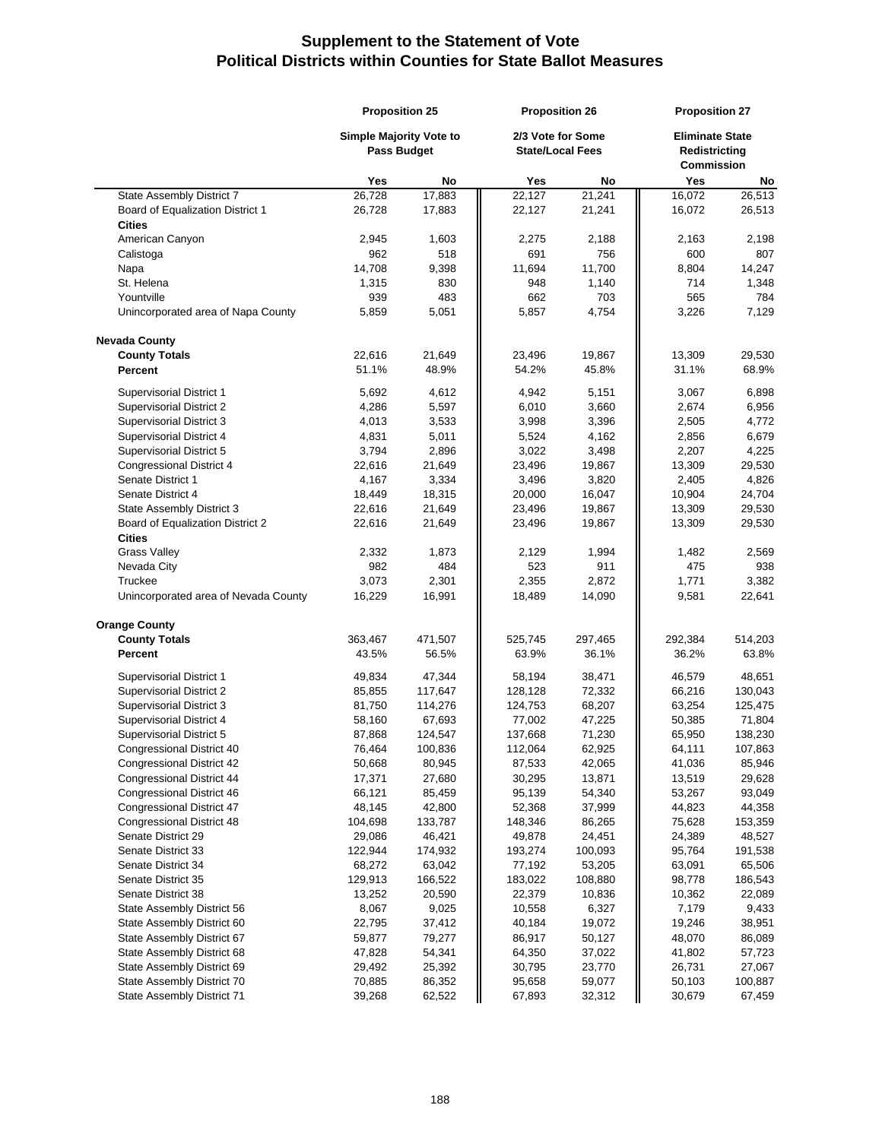## **Supplement to the Statement of Vote Political Districts within Counties for State Ballot Measures**

|                                      | <b>Proposition 25</b><br>Simple Majority Vote to<br>Pass Budget |         | <b>Proposition 26</b><br>2/3 Vote for Some<br><b>State/Local Fees</b> |         | <b>Proposition 27</b><br><b>Eliminate State</b><br>Redistricting<br><b>Commission</b> |         |
|--------------------------------------|-----------------------------------------------------------------|---------|-----------------------------------------------------------------------|---------|---------------------------------------------------------------------------------------|---------|
|                                      |                                                                 |         |                                                                       |         |                                                                                       |         |
|                                      | Yes                                                             | No      | Yes                                                                   | No      | Yes                                                                                   | No      |
| State Assembly District 7            | 26,728                                                          | 17,883  | 22,127                                                                | 21,241  | 16,072                                                                                | 26,513  |
| Board of Equalization District 1     | 26,728                                                          | 17,883  | 22,127                                                                | 21,241  | 16,072                                                                                | 26,513  |
| <b>Cities</b>                        |                                                                 |         |                                                                       |         |                                                                                       |         |
| American Canyon                      | 2,945                                                           | 1,603   | 2,275                                                                 | 2,188   | 2,163                                                                                 | 2,198   |
| Calistoga                            | 962                                                             | 518     | 691                                                                   | 756     | 600                                                                                   | 807     |
| Napa                                 | 14,708                                                          | 9,398   | 11,694                                                                | 11,700  | 8,804                                                                                 | 14,247  |
| St. Helena                           | 1,315                                                           | 830     | 948                                                                   | 1,140   | 714                                                                                   | 1,348   |
| Yountville                           | 939                                                             | 483     | 662                                                                   | 703     | 565                                                                                   | 784     |
| Unincorporated area of Napa County   | 5,859                                                           | 5,051   | 5,857                                                                 | 4,754   | 3,226                                                                                 | 7,129   |
| <b>Nevada County</b>                 |                                                                 |         |                                                                       |         |                                                                                       |         |
| <b>County Totals</b>                 | 22,616                                                          | 21,649  | 23,496                                                                | 19,867  | 13,309                                                                                | 29,530  |
| <b>Percent</b>                       | 51.1%                                                           | 48.9%   | 54.2%                                                                 | 45.8%   | 31.1%                                                                                 | 68.9%   |
| Supervisorial District 1             | 5,692                                                           | 4,612   | 4,942                                                                 | 5,151   | 3,067                                                                                 | 6,898   |
| Supervisorial District 2             | 4,286                                                           | 5,597   | 6,010                                                                 | 3,660   | 2,674                                                                                 | 6,956   |
| <b>Supervisorial District 3</b>      | 4,013                                                           | 3,533   | 3,998                                                                 | 3,396   | 2,505                                                                                 | 4,772   |
| Supervisorial District 4             | 4,831                                                           | 5,011   | 5,524                                                                 | 4,162   | 2,856                                                                                 | 6,679   |
| Supervisorial District 5             | 3,794                                                           | 2,896   | 3,022                                                                 | 3,498   | 2,207                                                                                 | 4,225   |
| Congressional District 4             | 22,616                                                          | 21,649  | 23,496                                                                | 19,867  | 13,309                                                                                | 29,530  |
| Senate District 1                    | 4,167                                                           | 3,334   | 3,496                                                                 | 3,820   | 2,405                                                                                 | 4,826   |
| Senate District 4                    | 18,449                                                          | 18,315  | 20,000                                                                | 16,047  | 10,904                                                                                | 24,704  |
| State Assembly District 3            | 22,616                                                          | 21,649  | 23,496                                                                | 19,867  | 13,309                                                                                | 29,530  |
| Board of Equalization District 2     | 22,616                                                          | 21,649  | 23,496                                                                | 19,867  | 13,309                                                                                | 29,530  |
| <b>Cities</b><br><b>Grass Valley</b> | 2,332                                                           | 1,873   | 2,129                                                                 | 1,994   | 1,482                                                                                 | 2,569   |
| Nevada City                          | 982                                                             | 484     | 523                                                                   | 911     | 475                                                                                   | 938     |
| Truckee                              | 3,073                                                           | 2,301   | 2,355                                                                 | 2,872   | 1,771                                                                                 | 3,382   |
| Unincorporated area of Nevada County | 16,229                                                          | 16,991  | 18,489                                                                | 14,090  | 9,581                                                                                 | 22,641  |
|                                      |                                                                 |         |                                                                       |         |                                                                                       |         |
| <b>Orange County</b>                 |                                                                 |         |                                                                       |         |                                                                                       |         |
| <b>County Totals</b>                 | 363,467                                                         | 471,507 | 525,745                                                               | 297,465 | 292,384                                                                               | 514,203 |
| Percent                              | 43.5%                                                           | 56.5%   | 63.9%                                                                 | 36.1%   | 36.2%                                                                                 | 63.8%   |
| Supervisorial District 1             | 49,834                                                          | 47,344  | 58,194                                                                | 38,471  | 46,579                                                                                | 48,651  |
| Supervisorial District 2             | 85,855                                                          | 117,647 | 128,128                                                               | 72,332  | 66,216                                                                                | 130,043 |
| Supervisorial District 3             | 81,750                                                          | 114,276 | 124,753                                                               | 68,207  | 63,254                                                                                | 125,475 |
| <b>Supervisorial District 4</b>      | 58,160                                                          | 67,693  | 77,002                                                                | 47,225  | 50,385                                                                                | 71,804  |
| Supervisorial District 5             | 87,868                                                          | 124,547 | 137,668                                                               | 71,230  | 65,950                                                                                | 138,230 |
| Congressional District 40            | 76,464                                                          | 100,836 | 112,064                                                               | 62,925  | 64,111                                                                                | 107,863 |
| Congressional District 42            | 50,668                                                          | 80,945  | 87,533                                                                | 42,065  | 41,036                                                                                | 85,946  |
| Congressional District 44            | 17,371                                                          | 27,680  | 30,295                                                                | 13,871  | 13,519                                                                                | 29,628  |
| Congressional District 46            | 66,121                                                          | 85,459  | 95,139                                                                | 54,340  | 53,267                                                                                | 93,049  |
| <b>Congressional District 47</b>     | 48,145                                                          | 42,800  | 52,368                                                                | 37,999  | 44,823                                                                                | 44,358  |
| Congressional District 48            | 104,698                                                         | 133,787 | 148,346                                                               | 86,265  | 75,628                                                                                | 153,359 |
| Senate District 29                   | 29,086                                                          | 46,421  | 49,878                                                                | 24,451  | 24,389                                                                                | 48,527  |
| Senate District 33                   | 122,944                                                         | 174,932 | 193,274                                                               | 100,093 | 95,764                                                                                | 191,538 |
| Senate District 34                   | 68,272                                                          | 63,042  | 77,192                                                                | 53,205  | 63,091                                                                                | 65,506  |
| Senate District 35                   | 129,913                                                         | 166,522 | 183,022                                                               | 108,880 | 98,778                                                                                | 186,543 |
| Senate District 38                   | 13,252                                                          | 20,590  | 22,379                                                                | 10,836  | 10,362                                                                                | 22,089  |
| State Assembly District 56           | 8,067                                                           | 9,025   | 10,558                                                                | 6,327   | 7,179                                                                                 | 9,433   |
| State Assembly District 60           | 22,795                                                          | 37,412  | 40,184                                                                | 19,072  | 19,246                                                                                | 38,951  |
| State Assembly District 67           | 59,877                                                          | 79,277  | 86,917                                                                | 50,127  | 48,070                                                                                | 86,089  |
| State Assembly District 68           | 47,828                                                          | 54,341  | 64,350                                                                | 37,022  | 41,802                                                                                | 57,723  |
| State Assembly District 69           | 29,492                                                          | 25,392  | 30,795                                                                | 23,770  | 26,731                                                                                | 27,067  |
| State Assembly District 70           | 70,885                                                          | 86,352  | 95,658                                                                | 59,077  | 50,103                                                                                | 100,887 |
| State Assembly District 71           | 39,268                                                          | 62,522  | 67,893                                                                | 32,312  | 30,679                                                                                | 67,459  |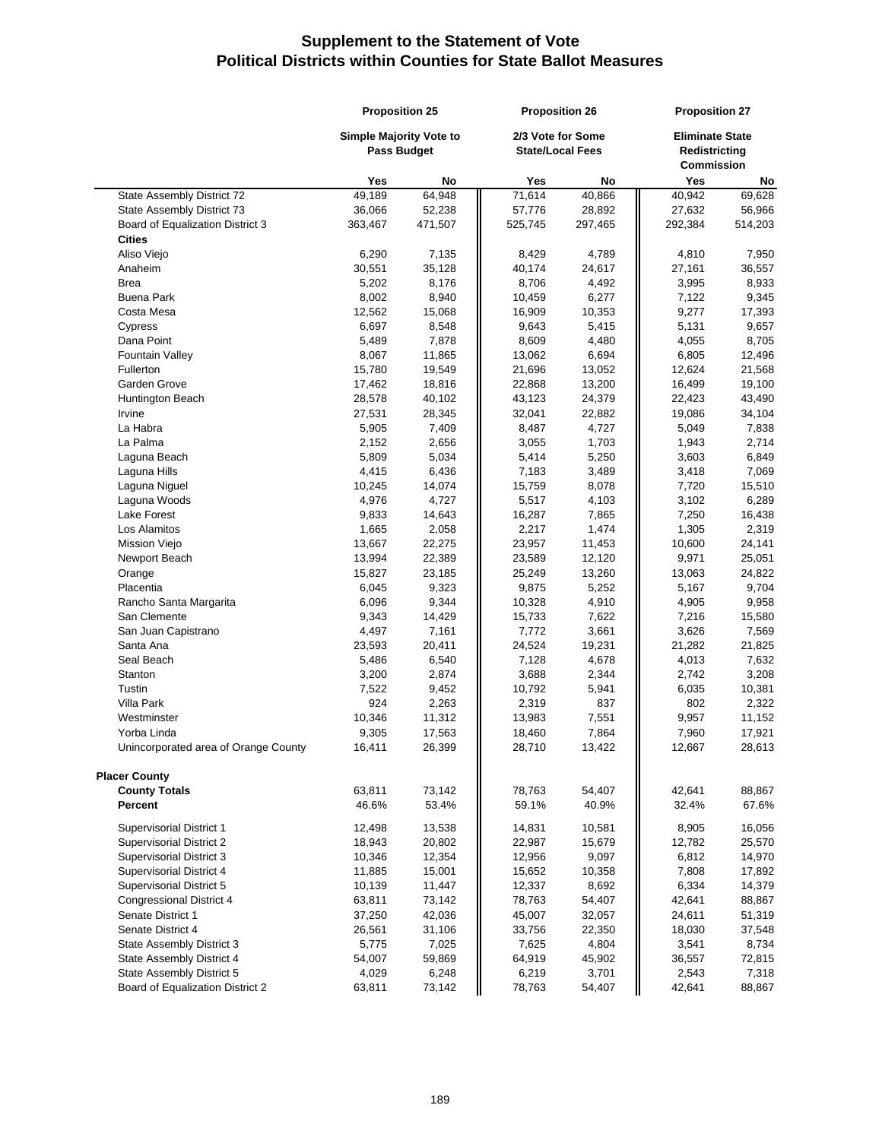|                                      | <b>Proposition 25</b>                  |                | <b>Proposition 26</b>                        |                | <b>Proposition 27</b>                                        |                 |
|--------------------------------------|----------------------------------------|----------------|----------------------------------------------|----------------|--------------------------------------------------------------|-----------------|
|                                      | Simple Majority Vote to<br>Pass Budget |                | 2/3 Vote for Some<br><b>State/Local Fees</b> |                | <b>Eliminate State</b><br>Redistricting<br><b>Commission</b> |                 |
|                                      | Yes                                    | No             | Yes                                          | No             | Yes                                                          | No              |
| State Assembly District 72           | 49,189                                 | 64,948         | 71,614                                       | 40,866         | 40,942                                                       | 69,628          |
| State Assembly District 73           | 36,066                                 | 52,238         | 57,776                                       | 28,892         | 27,632                                                       | 56,966          |
| Board of Equalization District 3     | 363,467                                | 471,507        | 525,745                                      | 297,465        | 292,384                                                      | 514,203         |
| <b>Cities</b>                        |                                        |                |                                              |                |                                                              |                 |
| Aliso Viejo                          | 6,290                                  | 7,135          | 8,429                                        | 4,789          | 4,810                                                        | 7,950           |
| Anaheim                              | 30,551                                 | 35,128         | 40,174                                       | 24,617         | 27,161                                                       | 36,557          |
| <b>Brea</b>                          | 5,202                                  | 8,176          | 8,706                                        | 4,492          | 3,995                                                        | 8,933           |
| <b>Buena Park</b>                    | 8,002                                  | 8,940          | 10,459                                       | 6,277          | 7,122                                                        | 9,345           |
| Costa Mesa                           | 12,562                                 | 15,068         | 16,909                                       | 10,353         | 9,277                                                        | 17,393          |
| Cypress                              | 6,697                                  | 8,548          | 9,643                                        | 5,415          | 5,131                                                        | 9,657           |
| Dana Point                           | 5,489                                  | 7,878          | 8,609                                        | 4,480          | 4,055                                                        | 8,705           |
| <b>Fountain Valley</b>               | 8,067                                  | 11,865         | 13,062                                       | 6,694          | 6,805                                                        | 12,496          |
| Fullerton                            | 15,780                                 | 19,549         | 21,696                                       | 13,052         | 12,624                                                       | 21,568          |
| Garden Grove                         | 17,462                                 | 18,816         | 22,868                                       | 13,200         | 16,499                                                       | 19,100          |
| Huntington Beach                     | 28,578                                 | 40,102         | 43,123                                       | 24,379         | 22,423                                                       | 43,490          |
| Irvine                               | 27,531                                 | 28,345         | 32,041                                       | 22,882         | 19,086                                                       | 34,104          |
| La Habra                             | 5,905                                  | 7,409          | 8,487                                        | 4,727          | 5,049                                                        | 7,838           |
| La Palma                             | 2,152                                  | 2,656          | 3,055                                        | 1,703          | 1,943                                                        | 2,714           |
| Laguna Beach<br>Laguna Hills         | 5,809<br>4,415                         | 5,034<br>6,436 | 5,414                                        | 5,250<br>3,489 | 3,603                                                        | 6,849           |
| Laguna Niguel                        | 10,245                                 | 14,074         | 7,183<br>15,759                              | 8,078          | 3,418<br>7,720                                               | 7,069<br>15,510 |
| Laguna Woods                         | 4,976                                  | 4,727          | 5,517                                        | 4,103          | 3,102                                                        | 6,289           |
| Lake Forest                          | 9,833                                  | 14,643         | 16,287                                       | 7,865          | 7,250                                                        | 16,438          |
| Los Alamitos                         | 1,665                                  | 2,058          | 2,217                                        | 1,474          | 1,305                                                        | 2,319           |
| <b>Mission Viejo</b>                 | 13,667                                 | 22,275         | 23,957                                       | 11,453         | 10,600                                                       | 24,141          |
| Newport Beach                        | 13,994                                 | 22,389         | 23,589                                       | 12,120         | 9,971                                                        | 25,051          |
| Orange                               | 15,827                                 | 23,185         | 25,249                                       | 13,260         | 13,063                                                       | 24,822          |
| Placentia                            | 6,045                                  | 9,323          | 9,875                                        | 5,252          | 5,167                                                        | 9,704           |
| Rancho Santa Margarita               | 6,096                                  | 9,344          | 10,328                                       | 4,910          | 4,905                                                        | 9,958           |
| San Clemente                         | 9,343                                  | 14,429         | 15,733                                       | 7,622          | 7,216                                                        | 15,580          |
| San Juan Capistrano                  | 4,497                                  | 7,161          | 7,772                                        | 3,661          | 3,626                                                        | 7,569           |
| Santa Ana                            | 23,593                                 | 20,411         | 24,524                                       | 19,231         | 21,282                                                       | 21,825          |
| Seal Beach                           | 5,486                                  | 6,540          | 7,128                                        | 4,678          | 4,013                                                        | 7,632           |
| Stanton                              | 3,200                                  | 2,874          | 3,688                                        | 2,344          | 2,742                                                        | 3,208           |
| Tustin                               | 7,522                                  | 9,452          | 10,792                                       | 5,941          | 6,035                                                        | 10,381          |
| Villa Park                           | 924                                    | 2,263          | 2,319                                        | 837            | 802                                                          | 2,322           |
| Westminster                          | 10,346                                 | 11,312         | 13,983                                       | 7,551          | 9,957                                                        | 11,152          |
| Yorba Linda                          | 9,305                                  | 17,563         | 18,460                                       | 7,864          | 7,960                                                        | 17,921          |
| Unincorporated area of Orange County | 16,411                                 | 26,399         | 28,710                                       | 13,422         | 12,667                                                       | 28,613          |
| <b>Placer County</b>                 |                                        |                |                                              |                |                                                              |                 |
| <b>County Totals</b>                 | 63,811                                 | 73,142         | 78,763                                       | 54,407         | 42,641                                                       | 88,867          |
| Percent                              | 46.6%                                  | 53.4%          | 59.1%                                        | 40.9%          | 32.4%                                                        | 67.6%           |
| Supervisorial District 1             | 12,498                                 | 13,538         | 14,831                                       | 10,581         | 8,905                                                        | 16,056          |
| Supervisorial District 2             | 18,943                                 | 20,802         | 22,987                                       | 15,679         | 12,782                                                       | 25,570          |
| Supervisorial District 3             | 10,346                                 | 12,354         | 12,956                                       | 9,097          | 6,812                                                        | 14,970          |
| Supervisorial District 4             | 11,885                                 | 15,001         | 15,652                                       | 10,358         | 7,808                                                        | 17,892          |
| Supervisorial District 5             | 10,139                                 | 11,447         | 12,337                                       | 8,692          | 6,334                                                        | 14,379          |
| <b>Congressional District 4</b>      | 63,811                                 | 73,142         | 78,763                                       | 54,407         | 42,641                                                       | 88,867          |
| Senate District 1                    | 37,250                                 | 42,036         | 45,007                                       | 32,057         | 24,611                                                       | 51,319          |
| Senate District 4                    | 26,561                                 | 31,106         | 33,756                                       | 22,350         | 18,030                                                       | 37,548          |
| State Assembly District 3            | 5,775                                  | 7,025          | 7,625                                        | 4,804          | 3,541                                                        | 8,734           |
| State Assembly District 4            | 54,007                                 | 59,869         | 64,919                                       | 45,902         | 36,557                                                       | 72,815          |
| State Assembly District 5            | 4,029                                  | 6,248          | 6,219                                        | 3,701          | 2,543                                                        | 7,318           |
| Board of Equalization District 2     | 63,811                                 | 73,142         | 78,763                                       | 54,407         | 42,641                                                       | 88,867          |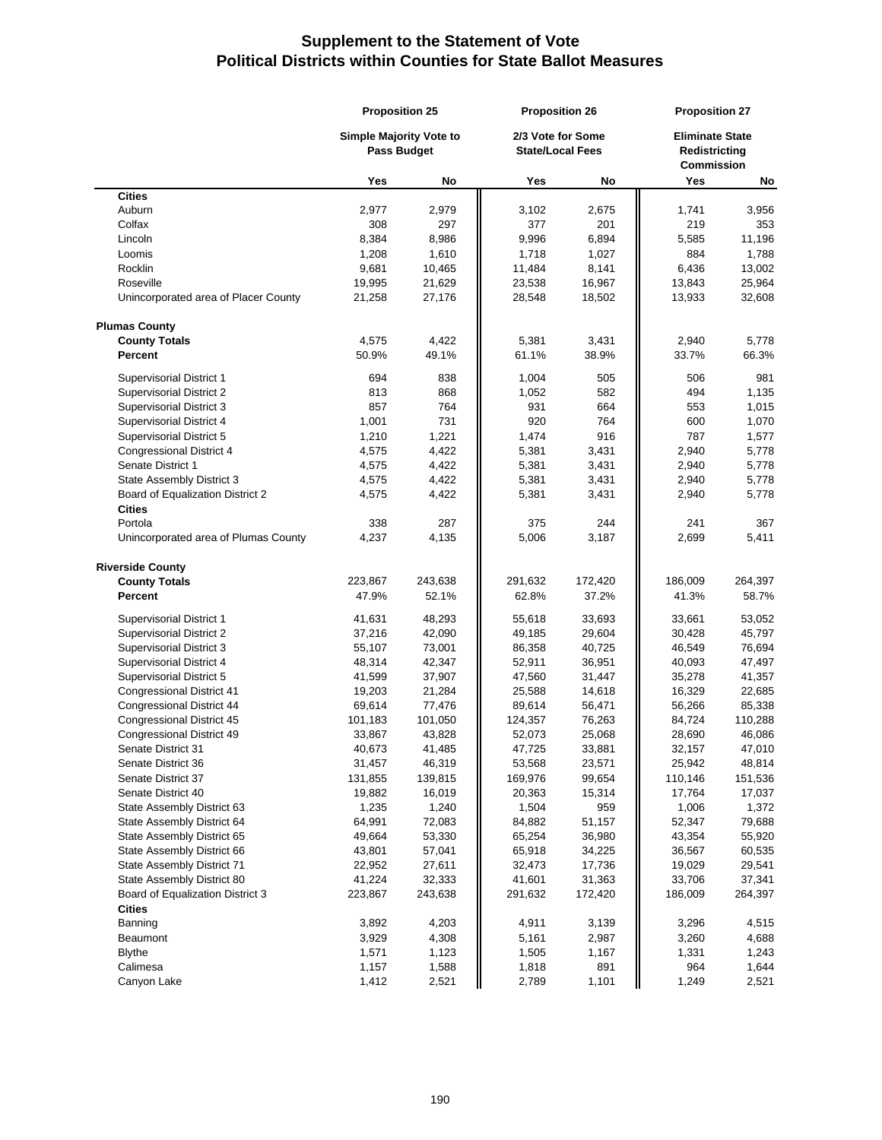|                                                   | <b>Proposition 25</b>                                |         |                                              | <b>Proposition 26</b> |                                                       | <b>Proposition 27</b> |  |
|---------------------------------------------------|------------------------------------------------------|---------|----------------------------------------------|-----------------------|-------------------------------------------------------|-----------------------|--|
|                                                   | <b>Simple Majority Vote to</b><br><b>Pass Budget</b> |         | 2/3 Vote for Some<br><b>State/Local Fees</b> |                       | <b>Eliminate State</b><br>Redistricting<br>Commission |                       |  |
|                                                   | Yes                                                  | No      | Yes                                          | No                    | Yes                                                   | No                    |  |
| <b>Cities</b>                                     |                                                      |         |                                              |                       |                                                       |                       |  |
| Auburn                                            | 2,977                                                | 2,979   | 3,102                                        | 2,675                 | 1,741                                                 | 3,956                 |  |
| Colfax                                            | 308                                                  | 297     | 377                                          | 201                   | 219                                                   | 353                   |  |
| Lincoln                                           | 8,384                                                | 8,986   | 9,996                                        | 6,894                 | 5,585                                                 | 11,196                |  |
| Loomis                                            | 1,208                                                | 1,610   | 1,718                                        | 1,027                 | 884                                                   | 1,788                 |  |
| Rocklin                                           | 9,681                                                | 10,465  | 11,484                                       | 8,141                 | 6,436                                                 | 13,002                |  |
| Roseville                                         | 19,995                                               | 21,629  | 23,538                                       | 16,967                | 13,843                                                | 25,964                |  |
| Unincorporated area of Placer County              | 21,258                                               | 27,176  | 28,548                                       | 18,502                | 13,933                                                | 32,608                |  |
| <b>Plumas County</b>                              |                                                      |         |                                              |                       |                                                       |                       |  |
| <b>County Totals</b>                              | 4,575                                                | 4,422   | 5,381                                        | 3,431                 | 2,940                                                 | 5,778                 |  |
| Percent                                           | 50.9%                                                | 49.1%   | 61.1%                                        | 38.9%                 | 33.7%                                                 | 66.3%                 |  |
| Supervisorial District 1                          | 694                                                  | 838     | 1,004                                        | 505                   | 506                                                   | 981                   |  |
| Supervisorial District 2                          | 813                                                  | 868     | 1,052                                        | 582                   | 494                                                   | 1,135                 |  |
| Supervisorial District 3                          | 857                                                  | 764     | 931                                          | 664                   | 553                                                   | 1,015                 |  |
| Supervisorial District 4                          | 1,001                                                | 731     | 920                                          | 764                   | 600                                                   | 1,070                 |  |
| Supervisorial District 5                          | 1,210                                                | 1,221   | 1,474                                        | 916                   | 787                                                   | 1,577                 |  |
| Congressional District 4                          | 4,575                                                | 4,422   | 5,381                                        | 3,431                 | 2,940                                                 | 5,778                 |  |
| Senate District 1                                 | 4,575                                                | 4,422   | 5,381                                        | 3,431                 | 2,940                                                 | 5,778                 |  |
| State Assembly District 3                         | 4,575                                                | 4,422   | 5,381                                        | 3,431                 | 2,940                                                 | 5,778                 |  |
| Board of Equalization District 2<br><b>Cities</b> | 4,575                                                | 4,422   | 5,381                                        | 3,431                 | 2,940                                                 | 5,778                 |  |
| Portola                                           | 338                                                  | 287     | 375                                          | 244                   | 241                                                   | 367                   |  |
| Unincorporated area of Plumas County              | 4,237                                                | 4,135   | 5,006                                        | 3,187                 | 2,699                                                 | 5,411                 |  |
| <b>Riverside County</b>                           |                                                      |         |                                              |                       |                                                       |                       |  |
| <b>County Totals</b>                              | 223,867                                              | 243,638 | 291,632                                      | 172,420               | 186,009                                               | 264,397               |  |
| Percent                                           | 47.9%                                                | 52.1%   | 62.8%                                        | 37.2%                 | 41.3%                                                 | 58.7%                 |  |
| <b>Supervisorial District 1</b>                   | 41,631                                               | 48,293  | 55,618                                       | 33,693                | 33,661                                                | 53,052                |  |
| <b>Supervisorial District 2</b>                   | 37,216                                               | 42,090  | 49,185                                       | 29,604                | 30,428                                                | 45,797                |  |
| Supervisorial District 3                          | 55,107                                               | 73,001  | 86,358                                       | 40,725                | 46,549                                                | 76,694                |  |
| Supervisorial District 4                          | 48,314                                               | 42,347  | 52,911                                       | 36,951                | 40,093                                                | 47,497                |  |
| Supervisorial District 5                          | 41,599                                               | 37,907  | 47,560                                       | 31,447                | 35,278                                                | 41,357                |  |
| <b>Congressional District 41</b>                  | 19,203                                               | 21,284  | 25,588                                       | 14,618                | 16,329                                                | 22,685                |  |
| <b>Congressional District 44</b>                  | 69,614                                               | 77,476  | 89,614                                       | 56,471                | 56,266                                                | 85,338                |  |
| <b>Congressional District 45</b>                  | 101,183                                              | 101,050 | 124,357                                      | 76,263                | 84,724                                                | 110,288               |  |
| Congressional District 49                         | 33,867                                               | 43,828  | 52,073                                       | 25,068                | 28,690                                                | 46,086                |  |
| Senate District 31                                | 40,673                                               | 41,485  | 47,725                                       | 33,881                | 32,157                                                | 47,010                |  |
| Senate District 36                                | 31,457                                               | 46,319  | 53,568                                       | 23,571                | 25,942                                                | 48,814                |  |
| Senate District 37                                | 131,855                                              | 139,815 | 169,976                                      | 99,654                | 110,146                                               | 151,536               |  |
| Senate District 40                                | 19,882                                               | 16,019  | 20,363                                       | 15,314                | 17,764                                                | 17,037                |  |
| State Assembly District 63                        | 1,235                                                | 1,240   | 1,504                                        | 959                   | 1,006                                                 | 1,372                 |  |
| State Assembly District 64                        | 64,991                                               | 72,083  | 84,882                                       | 51,157                | 52,347                                                | 79,688                |  |
| State Assembly District 65                        | 49,664                                               | 53,330  | 65,254                                       | 36,980                | 43,354                                                | 55,920                |  |
| State Assembly District 66                        | 43,801                                               | 57,041  | 65,918                                       | 34,225                | 36,567                                                | 60,535                |  |
| State Assembly District 71                        | 22,952                                               | 27,611  | 32,473                                       | 17,736                | 19,029                                                | 29,541                |  |
| State Assembly District 80                        | 41,224                                               | 32,333  | 41,601                                       | 31,363                | 33,706                                                | 37,341                |  |
| Board of Equalization District 3                  | 223,867                                              | 243,638 | 291,632                                      | 172,420               | 186,009                                               | 264,397               |  |
| <b>Cities</b>                                     |                                                      |         |                                              |                       |                                                       |                       |  |
| Banning                                           | 3,892                                                | 4,203   | 4,911                                        | 3,139                 | 3,296                                                 | 4,515                 |  |
| Beaumont                                          | 3,929                                                | 4,308   | 5,161                                        | 2,987                 | 3,260                                                 | 4,688                 |  |
| <b>Blythe</b>                                     | 1,571                                                | 1,123   | 1,505                                        | 1,167                 | 1,331                                                 | 1,243                 |  |
| Calimesa                                          | 1,157                                                | 1,588   | 1,818                                        | 891                   | 964                                                   | 1,644                 |  |
| Canyon Lake                                       | 1,412                                                | 2,521   | 2,789                                        | 1,101                 | 1,249                                                 | 2,521                 |  |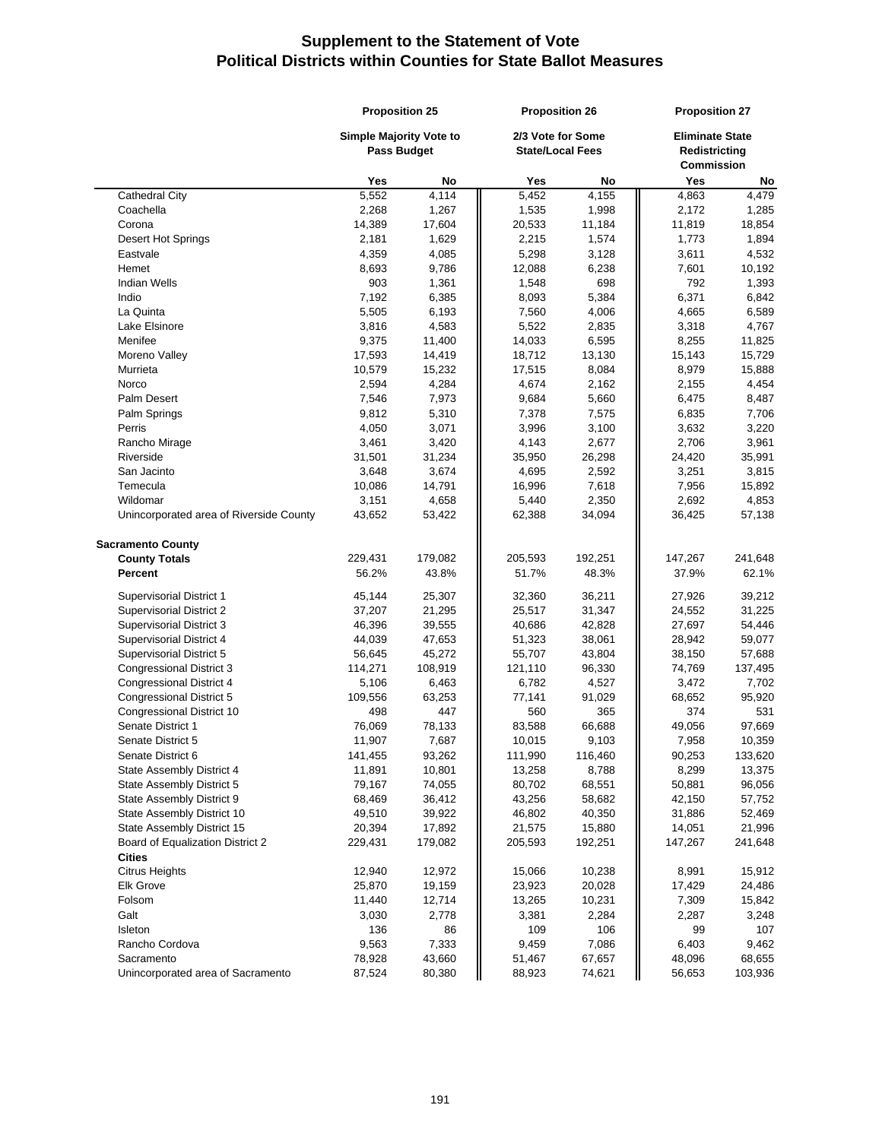| 2/3 Vote for Some<br><b>Simple Majority Vote to</b><br><b>Eliminate State</b><br><b>Pass Budget</b><br><b>State/Local Fees</b><br>Redistricting<br><b>Commission</b><br>Yes<br>Yes<br>No<br>Yes<br>No<br>No<br>5,552<br>4,114<br>5,452<br>4,155<br>4,863<br>4,479<br><b>Cathedral City</b><br>2,268<br>1,535<br>1,998<br>Coachella<br>1,267<br>2,172<br>1,285<br>14,389<br>17,604<br>Corona<br>20,533<br>11,184<br>11,819<br>18,854<br>1,629<br>2,215<br>1,574<br>1,894<br>Desert Hot Springs<br>2,181<br>1,773<br>Eastvale<br>4,359<br>4,085<br>5,298<br>3,128<br>3,611<br>4,532<br>9,786<br>8,693<br>12,088<br>6,238<br>7,601<br>10,192<br>Hemet<br>903<br>698<br>792<br>1,393<br><b>Indian Wells</b><br>1,361<br>1,548<br>7,192<br>6,385<br>5,384<br>6,371<br>Indio<br>8,093<br>6,842<br>La Quinta<br>5,505<br>6,193<br>7,560<br>4,006<br>4,665<br>6,589<br>5,522<br>Lake Elsinore<br>3,816<br>4,583<br>2,835<br>3,318<br>4,767<br>9,375<br>14,033<br>6,595<br>8,255<br>Menifee<br>11,400<br>11,825<br>Moreno Valley<br>17,593<br>14,419<br>18,712<br>13,130<br>15,143<br>15,729<br>15,232<br>8,979<br>10,579<br>17,515<br>8,084<br>15,888<br>Murrieta<br>4,284<br>Norco<br>2,594<br>4,674<br>2,162<br>2,155<br>4,454<br>5,660<br>Palm Desert<br>7,546<br>7,973<br>9,684<br>6,475<br>8,487<br>Palm Springs<br>9,812<br>5,310<br>7,378<br>7,575<br>6,835<br>7,706<br>Perris<br>4,050<br>3,071<br>3,996<br>3,100<br>3,632<br>3,220<br>3,461<br>2,677<br>2,706<br>Rancho Mirage<br>3,420<br>4,143<br>3,961<br>31,501<br>31,234<br>26,298<br>35,991<br>Riverside<br>35,950<br>24,420<br>San Jacinto<br>3,648<br>3,674<br>4,695<br>2,592<br>3,251<br>3,815<br>Temecula<br>10,086<br>14,791<br>16,996<br>7,618<br>7,956<br>15,892<br>Wildomar<br>3,151<br>4,658<br>5,440<br>2,350<br>2,692<br>4,853<br>Unincorporated area of Riverside County<br>43,652<br>53,422<br>62,388<br>34,094<br>36,425<br>57,138<br><b>Sacramento County</b><br><b>County Totals</b><br>205,593<br>229,431<br>179,082<br>192,251<br>147,267<br>241,648<br><b>Percent</b><br>56.2%<br>43.8%<br>51.7%<br>48.3%<br>37.9%<br>62.1%<br>39,212<br><b>Supervisorial District 1</b><br>45,144<br>25,307<br>32,360<br>36,211<br>27,926<br>37,207<br><b>Supervisorial District 2</b><br>21,295<br>25,517<br>31,347<br>24,552<br>31,225<br>Supervisorial District 3<br>46,396<br>39,555<br>40,686<br>42,828<br>27,697<br>54,446<br>Supervisorial District 4<br>44,039<br>47,653<br>51,323<br>38,061<br>28,942<br>59,077<br>Supervisorial District 5<br>56,645<br>45,272<br>55,707<br>43,804<br>38,150<br>57,688<br><b>Congressional District 3</b><br>114,271<br>108,919<br>121,110<br>96,330<br>74,769<br>137,495<br>Congressional District 4<br>5,106<br>6,463<br>6,782<br>4,527<br>3,472<br>7,702<br>63,253<br>95,920<br>Congressional District 5<br>109,556<br>77,141<br>91,029<br>68,652<br>447<br>Congressional District 10<br>498<br>560<br>365<br>374<br>531<br>Senate District 1<br>76,069<br>78,133<br>83,588<br>66,688<br>49,056<br>97,669<br>Senate District 5<br>11,907<br>7,687<br>10,015<br>9,103<br>7,958<br>10,359<br>141,455<br>93,262<br>111,990<br>116,460<br>90,253<br>133,620<br>Senate District 6<br>State Assembly District 4<br>11,891<br>10,801<br>13,258<br>8,788<br>8,299<br>13,375<br>State Assembly District 5<br>79,167<br>74,055<br>80,702<br>68,551<br>50,881<br>96,056<br>State Assembly District 9<br>68,469<br>36,412<br>43,256<br>58,682<br>42,150<br>57,752<br>State Assembly District 10<br>46,802<br>49,510<br>39,922<br>40,350<br>31,886<br>52,469<br>State Assembly District 15<br>20,394<br>17,892<br>21,575<br>15,880<br>14,051<br>21,996<br>Board of Equalization District 2<br>229,431<br>179,082<br>205,593<br>192,251<br>147,267<br>241,648<br><b>Cities</b><br>12,940<br>15,912<br><b>Citrus Heights</b><br>12,972<br>15,066<br>10,238<br>8,991<br><b>Elk Grove</b><br>25,870<br>19,159<br>23,923<br>20,028<br>17,429<br>24,486<br>Folsom<br>12,714<br>13,265<br>15,842<br>11,440<br>10,231<br>7,309<br>Galt<br>3,030<br>2,778<br>3,381<br>2,284<br>2,287<br>3,248<br>109<br>Isleton<br>136<br>86<br>106<br>99<br>107<br>Rancho Cordova<br>9,563<br>7,333<br>9,459<br>7,086<br>6,403<br>9,462<br>78,928<br>43,660<br>51,467<br>67,657<br>48,096<br>68,655<br>Sacramento<br>87,524<br>Unincorporated area of Sacramento<br>80,380<br>88,923<br>74,621<br>56,653<br>103,936 | <b>Proposition 25</b> |  | <b>Proposition 26</b> |  | <b>Proposition 27</b> |  |
|----------------------------------------------------------------------------------------------------------------------------------------------------------------------------------------------------------------------------------------------------------------------------------------------------------------------------------------------------------------------------------------------------------------------------------------------------------------------------------------------------------------------------------------------------------------------------------------------------------------------------------------------------------------------------------------------------------------------------------------------------------------------------------------------------------------------------------------------------------------------------------------------------------------------------------------------------------------------------------------------------------------------------------------------------------------------------------------------------------------------------------------------------------------------------------------------------------------------------------------------------------------------------------------------------------------------------------------------------------------------------------------------------------------------------------------------------------------------------------------------------------------------------------------------------------------------------------------------------------------------------------------------------------------------------------------------------------------------------------------------------------------------------------------------------------------------------------------------------------------------------------------------------------------------------------------------------------------------------------------------------------------------------------------------------------------------------------------------------------------------------------------------------------------------------------------------------------------------------------------------------------------------------------------------------------------------------------------------------------------------------------------------------------------------------------------------------------------------------------------------------------------------------------------------------------------------------------------------------------------------------------------------------------------------------------------------------------------------------------------------------------------------------------------------------------------------------------------------------------------------------------------------------------------------------------------------------------------------------------------------------------------------------------------------------------------------------------------------------------------------------------------------------------------------------------------------------------------------------------------------------------------------------------------------------------------------------------------------------------------------------------------------------------------------------------------------------------------------------------------------------------------------------------------------------------------------------------------------------------------------------------------------------------------------------------------------------------------------------------------------------------------------------------------------------------------------------------------------------------------------------------------------------------------------------------------------------------------------------------------------------------------------------------------------------------------------------------------------------------------------------------------------------------------------------------------------------------------------------------------------------------------------------------------------------------------------------------------------------------------------------------------|-----------------------|--|-----------------------|--|-----------------------|--|
|                                                                                                                                                                                                                                                                                                                                                                                                                                                                                                                                                                                                                                                                                                                                                                                                                                                                                                                                                                                                                                                                                                                                                                                                                                                                                                                                                                                                                                                                                                                                                                                                                                                                                                                                                                                                                                                                                                                                                                                                                                                                                                                                                                                                                                                                                                                                                                                                                                                                                                                                                                                                                                                                                                                                                                                                                                                                                                                                                                                                                                                                                                                                                                                                                                                                                                                                                                                                                                                                                                                                                                                                                                                                                                                                                                                                                                                                                                                                                                                                                                                                                                                                                                                                                                                                                                                                                                                        |                       |  |                       |  |                       |  |
|                                                                                                                                                                                                                                                                                                                                                                                                                                                                                                                                                                                                                                                                                                                                                                                                                                                                                                                                                                                                                                                                                                                                                                                                                                                                                                                                                                                                                                                                                                                                                                                                                                                                                                                                                                                                                                                                                                                                                                                                                                                                                                                                                                                                                                                                                                                                                                                                                                                                                                                                                                                                                                                                                                                                                                                                                                                                                                                                                                                                                                                                                                                                                                                                                                                                                                                                                                                                                                                                                                                                                                                                                                                                                                                                                                                                                                                                                                                                                                                                                                                                                                                                                                                                                                                                                                                                                                                        |                       |  |                       |  |                       |  |
|                                                                                                                                                                                                                                                                                                                                                                                                                                                                                                                                                                                                                                                                                                                                                                                                                                                                                                                                                                                                                                                                                                                                                                                                                                                                                                                                                                                                                                                                                                                                                                                                                                                                                                                                                                                                                                                                                                                                                                                                                                                                                                                                                                                                                                                                                                                                                                                                                                                                                                                                                                                                                                                                                                                                                                                                                                                                                                                                                                                                                                                                                                                                                                                                                                                                                                                                                                                                                                                                                                                                                                                                                                                                                                                                                                                                                                                                                                                                                                                                                                                                                                                                                                                                                                                                                                                                                                                        |                       |  |                       |  |                       |  |
|                                                                                                                                                                                                                                                                                                                                                                                                                                                                                                                                                                                                                                                                                                                                                                                                                                                                                                                                                                                                                                                                                                                                                                                                                                                                                                                                                                                                                                                                                                                                                                                                                                                                                                                                                                                                                                                                                                                                                                                                                                                                                                                                                                                                                                                                                                                                                                                                                                                                                                                                                                                                                                                                                                                                                                                                                                                                                                                                                                                                                                                                                                                                                                                                                                                                                                                                                                                                                                                                                                                                                                                                                                                                                                                                                                                                                                                                                                                                                                                                                                                                                                                                                                                                                                                                                                                                                                                        |                       |  |                       |  |                       |  |
|                                                                                                                                                                                                                                                                                                                                                                                                                                                                                                                                                                                                                                                                                                                                                                                                                                                                                                                                                                                                                                                                                                                                                                                                                                                                                                                                                                                                                                                                                                                                                                                                                                                                                                                                                                                                                                                                                                                                                                                                                                                                                                                                                                                                                                                                                                                                                                                                                                                                                                                                                                                                                                                                                                                                                                                                                                                                                                                                                                                                                                                                                                                                                                                                                                                                                                                                                                                                                                                                                                                                                                                                                                                                                                                                                                                                                                                                                                                                                                                                                                                                                                                                                                                                                                                                                                                                                                                        |                       |  |                       |  |                       |  |
|                                                                                                                                                                                                                                                                                                                                                                                                                                                                                                                                                                                                                                                                                                                                                                                                                                                                                                                                                                                                                                                                                                                                                                                                                                                                                                                                                                                                                                                                                                                                                                                                                                                                                                                                                                                                                                                                                                                                                                                                                                                                                                                                                                                                                                                                                                                                                                                                                                                                                                                                                                                                                                                                                                                                                                                                                                                                                                                                                                                                                                                                                                                                                                                                                                                                                                                                                                                                                                                                                                                                                                                                                                                                                                                                                                                                                                                                                                                                                                                                                                                                                                                                                                                                                                                                                                                                                                                        |                       |  |                       |  |                       |  |
|                                                                                                                                                                                                                                                                                                                                                                                                                                                                                                                                                                                                                                                                                                                                                                                                                                                                                                                                                                                                                                                                                                                                                                                                                                                                                                                                                                                                                                                                                                                                                                                                                                                                                                                                                                                                                                                                                                                                                                                                                                                                                                                                                                                                                                                                                                                                                                                                                                                                                                                                                                                                                                                                                                                                                                                                                                                                                                                                                                                                                                                                                                                                                                                                                                                                                                                                                                                                                                                                                                                                                                                                                                                                                                                                                                                                                                                                                                                                                                                                                                                                                                                                                                                                                                                                                                                                                                                        |                       |  |                       |  |                       |  |
|                                                                                                                                                                                                                                                                                                                                                                                                                                                                                                                                                                                                                                                                                                                                                                                                                                                                                                                                                                                                                                                                                                                                                                                                                                                                                                                                                                                                                                                                                                                                                                                                                                                                                                                                                                                                                                                                                                                                                                                                                                                                                                                                                                                                                                                                                                                                                                                                                                                                                                                                                                                                                                                                                                                                                                                                                                                                                                                                                                                                                                                                                                                                                                                                                                                                                                                                                                                                                                                                                                                                                                                                                                                                                                                                                                                                                                                                                                                                                                                                                                                                                                                                                                                                                                                                                                                                                                                        |                       |  |                       |  |                       |  |
|                                                                                                                                                                                                                                                                                                                                                                                                                                                                                                                                                                                                                                                                                                                                                                                                                                                                                                                                                                                                                                                                                                                                                                                                                                                                                                                                                                                                                                                                                                                                                                                                                                                                                                                                                                                                                                                                                                                                                                                                                                                                                                                                                                                                                                                                                                                                                                                                                                                                                                                                                                                                                                                                                                                                                                                                                                                                                                                                                                                                                                                                                                                                                                                                                                                                                                                                                                                                                                                                                                                                                                                                                                                                                                                                                                                                                                                                                                                                                                                                                                                                                                                                                                                                                                                                                                                                                                                        |                       |  |                       |  |                       |  |
|                                                                                                                                                                                                                                                                                                                                                                                                                                                                                                                                                                                                                                                                                                                                                                                                                                                                                                                                                                                                                                                                                                                                                                                                                                                                                                                                                                                                                                                                                                                                                                                                                                                                                                                                                                                                                                                                                                                                                                                                                                                                                                                                                                                                                                                                                                                                                                                                                                                                                                                                                                                                                                                                                                                                                                                                                                                                                                                                                                                                                                                                                                                                                                                                                                                                                                                                                                                                                                                                                                                                                                                                                                                                                                                                                                                                                                                                                                                                                                                                                                                                                                                                                                                                                                                                                                                                                                                        |                       |  |                       |  |                       |  |
|                                                                                                                                                                                                                                                                                                                                                                                                                                                                                                                                                                                                                                                                                                                                                                                                                                                                                                                                                                                                                                                                                                                                                                                                                                                                                                                                                                                                                                                                                                                                                                                                                                                                                                                                                                                                                                                                                                                                                                                                                                                                                                                                                                                                                                                                                                                                                                                                                                                                                                                                                                                                                                                                                                                                                                                                                                                                                                                                                                                                                                                                                                                                                                                                                                                                                                                                                                                                                                                                                                                                                                                                                                                                                                                                                                                                                                                                                                                                                                                                                                                                                                                                                                                                                                                                                                                                                                                        |                       |  |                       |  |                       |  |
|                                                                                                                                                                                                                                                                                                                                                                                                                                                                                                                                                                                                                                                                                                                                                                                                                                                                                                                                                                                                                                                                                                                                                                                                                                                                                                                                                                                                                                                                                                                                                                                                                                                                                                                                                                                                                                                                                                                                                                                                                                                                                                                                                                                                                                                                                                                                                                                                                                                                                                                                                                                                                                                                                                                                                                                                                                                                                                                                                                                                                                                                                                                                                                                                                                                                                                                                                                                                                                                                                                                                                                                                                                                                                                                                                                                                                                                                                                                                                                                                                                                                                                                                                                                                                                                                                                                                                                                        |                       |  |                       |  |                       |  |
|                                                                                                                                                                                                                                                                                                                                                                                                                                                                                                                                                                                                                                                                                                                                                                                                                                                                                                                                                                                                                                                                                                                                                                                                                                                                                                                                                                                                                                                                                                                                                                                                                                                                                                                                                                                                                                                                                                                                                                                                                                                                                                                                                                                                                                                                                                                                                                                                                                                                                                                                                                                                                                                                                                                                                                                                                                                                                                                                                                                                                                                                                                                                                                                                                                                                                                                                                                                                                                                                                                                                                                                                                                                                                                                                                                                                                                                                                                                                                                                                                                                                                                                                                                                                                                                                                                                                                                                        |                       |  |                       |  |                       |  |
|                                                                                                                                                                                                                                                                                                                                                                                                                                                                                                                                                                                                                                                                                                                                                                                                                                                                                                                                                                                                                                                                                                                                                                                                                                                                                                                                                                                                                                                                                                                                                                                                                                                                                                                                                                                                                                                                                                                                                                                                                                                                                                                                                                                                                                                                                                                                                                                                                                                                                                                                                                                                                                                                                                                                                                                                                                                                                                                                                                                                                                                                                                                                                                                                                                                                                                                                                                                                                                                                                                                                                                                                                                                                                                                                                                                                                                                                                                                                                                                                                                                                                                                                                                                                                                                                                                                                                                                        |                       |  |                       |  |                       |  |
|                                                                                                                                                                                                                                                                                                                                                                                                                                                                                                                                                                                                                                                                                                                                                                                                                                                                                                                                                                                                                                                                                                                                                                                                                                                                                                                                                                                                                                                                                                                                                                                                                                                                                                                                                                                                                                                                                                                                                                                                                                                                                                                                                                                                                                                                                                                                                                                                                                                                                                                                                                                                                                                                                                                                                                                                                                                                                                                                                                                                                                                                                                                                                                                                                                                                                                                                                                                                                                                                                                                                                                                                                                                                                                                                                                                                                                                                                                                                                                                                                                                                                                                                                                                                                                                                                                                                                                                        |                       |  |                       |  |                       |  |
|                                                                                                                                                                                                                                                                                                                                                                                                                                                                                                                                                                                                                                                                                                                                                                                                                                                                                                                                                                                                                                                                                                                                                                                                                                                                                                                                                                                                                                                                                                                                                                                                                                                                                                                                                                                                                                                                                                                                                                                                                                                                                                                                                                                                                                                                                                                                                                                                                                                                                                                                                                                                                                                                                                                                                                                                                                                                                                                                                                                                                                                                                                                                                                                                                                                                                                                                                                                                                                                                                                                                                                                                                                                                                                                                                                                                                                                                                                                                                                                                                                                                                                                                                                                                                                                                                                                                                                                        |                       |  |                       |  |                       |  |
|                                                                                                                                                                                                                                                                                                                                                                                                                                                                                                                                                                                                                                                                                                                                                                                                                                                                                                                                                                                                                                                                                                                                                                                                                                                                                                                                                                                                                                                                                                                                                                                                                                                                                                                                                                                                                                                                                                                                                                                                                                                                                                                                                                                                                                                                                                                                                                                                                                                                                                                                                                                                                                                                                                                                                                                                                                                                                                                                                                                                                                                                                                                                                                                                                                                                                                                                                                                                                                                                                                                                                                                                                                                                                                                                                                                                                                                                                                                                                                                                                                                                                                                                                                                                                                                                                                                                                                                        |                       |  |                       |  |                       |  |
|                                                                                                                                                                                                                                                                                                                                                                                                                                                                                                                                                                                                                                                                                                                                                                                                                                                                                                                                                                                                                                                                                                                                                                                                                                                                                                                                                                                                                                                                                                                                                                                                                                                                                                                                                                                                                                                                                                                                                                                                                                                                                                                                                                                                                                                                                                                                                                                                                                                                                                                                                                                                                                                                                                                                                                                                                                                                                                                                                                                                                                                                                                                                                                                                                                                                                                                                                                                                                                                                                                                                                                                                                                                                                                                                                                                                                                                                                                                                                                                                                                                                                                                                                                                                                                                                                                                                                                                        |                       |  |                       |  |                       |  |
|                                                                                                                                                                                                                                                                                                                                                                                                                                                                                                                                                                                                                                                                                                                                                                                                                                                                                                                                                                                                                                                                                                                                                                                                                                                                                                                                                                                                                                                                                                                                                                                                                                                                                                                                                                                                                                                                                                                                                                                                                                                                                                                                                                                                                                                                                                                                                                                                                                                                                                                                                                                                                                                                                                                                                                                                                                                                                                                                                                                                                                                                                                                                                                                                                                                                                                                                                                                                                                                                                                                                                                                                                                                                                                                                                                                                                                                                                                                                                                                                                                                                                                                                                                                                                                                                                                                                                                                        |                       |  |                       |  |                       |  |
|                                                                                                                                                                                                                                                                                                                                                                                                                                                                                                                                                                                                                                                                                                                                                                                                                                                                                                                                                                                                                                                                                                                                                                                                                                                                                                                                                                                                                                                                                                                                                                                                                                                                                                                                                                                                                                                                                                                                                                                                                                                                                                                                                                                                                                                                                                                                                                                                                                                                                                                                                                                                                                                                                                                                                                                                                                                                                                                                                                                                                                                                                                                                                                                                                                                                                                                                                                                                                                                                                                                                                                                                                                                                                                                                                                                                                                                                                                                                                                                                                                                                                                                                                                                                                                                                                                                                                                                        |                       |  |                       |  |                       |  |
|                                                                                                                                                                                                                                                                                                                                                                                                                                                                                                                                                                                                                                                                                                                                                                                                                                                                                                                                                                                                                                                                                                                                                                                                                                                                                                                                                                                                                                                                                                                                                                                                                                                                                                                                                                                                                                                                                                                                                                                                                                                                                                                                                                                                                                                                                                                                                                                                                                                                                                                                                                                                                                                                                                                                                                                                                                                                                                                                                                                                                                                                                                                                                                                                                                                                                                                                                                                                                                                                                                                                                                                                                                                                                                                                                                                                                                                                                                                                                                                                                                                                                                                                                                                                                                                                                                                                                                                        |                       |  |                       |  |                       |  |
|                                                                                                                                                                                                                                                                                                                                                                                                                                                                                                                                                                                                                                                                                                                                                                                                                                                                                                                                                                                                                                                                                                                                                                                                                                                                                                                                                                                                                                                                                                                                                                                                                                                                                                                                                                                                                                                                                                                                                                                                                                                                                                                                                                                                                                                                                                                                                                                                                                                                                                                                                                                                                                                                                                                                                                                                                                                                                                                                                                                                                                                                                                                                                                                                                                                                                                                                                                                                                                                                                                                                                                                                                                                                                                                                                                                                                                                                                                                                                                                                                                                                                                                                                                                                                                                                                                                                                                                        |                       |  |                       |  |                       |  |
|                                                                                                                                                                                                                                                                                                                                                                                                                                                                                                                                                                                                                                                                                                                                                                                                                                                                                                                                                                                                                                                                                                                                                                                                                                                                                                                                                                                                                                                                                                                                                                                                                                                                                                                                                                                                                                                                                                                                                                                                                                                                                                                                                                                                                                                                                                                                                                                                                                                                                                                                                                                                                                                                                                                                                                                                                                                                                                                                                                                                                                                                                                                                                                                                                                                                                                                                                                                                                                                                                                                                                                                                                                                                                                                                                                                                                                                                                                                                                                                                                                                                                                                                                                                                                                                                                                                                                                                        |                       |  |                       |  |                       |  |
|                                                                                                                                                                                                                                                                                                                                                                                                                                                                                                                                                                                                                                                                                                                                                                                                                                                                                                                                                                                                                                                                                                                                                                                                                                                                                                                                                                                                                                                                                                                                                                                                                                                                                                                                                                                                                                                                                                                                                                                                                                                                                                                                                                                                                                                                                                                                                                                                                                                                                                                                                                                                                                                                                                                                                                                                                                                                                                                                                                                                                                                                                                                                                                                                                                                                                                                                                                                                                                                                                                                                                                                                                                                                                                                                                                                                                                                                                                                                                                                                                                                                                                                                                                                                                                                                                                                                                                                        |                       |  |                       |  |                       |  |
|                                                                                                                                                                                                                                                                                                                                                                                                                                                                                                                                                                                                                                                                                                                                                                                                                                                                                                                                                                                                                                                                                                                                                                                                                                                                                                                                                                                                                                                                                                                                                                                                                                                                                                                                                                                                                                                                                                                                                                                                                                                                                                                                                                                                                                                                                                                                                                                                                                                                                                                                                                                                                                                                                                                                                                                                                                                                                                                                                                                                                                                                                                                                                                                                                                                                                                                                                                                                                                                                                                                                                                                                                                                                                                                                                                                                                                                                                                                                                                                                                                                                                                                                                                                                                                                                                                                                                                                        |                       |  |                       |  |                       |  |
|                                                                                                                                                                                                                                                                                                                                                                                                                                                                                                                                                                                                                                                                                                                                                                                                                                                                                                                                                                                                                                                                                                                                                                                                                                                                                                                                                                                                                                                                                                                                                                                                                                                                                                                                                                                                                                                                                                                                                                                                                                                                                                                                                                                                                                                                                                                                                                                                                                                                                                                                                                                                                                                                                                                                                                                                                                                                                                                                                                                                                                                                                                                                                                                                                                                                                                                                                                                                                                                                                                                                                                                                                                                                                                                                                                                                                                                                                                                                                                                                                                                                                                                                                                                                                                                                                                                                                                                        |                       |  |                       |  |                       |  |
|                                                                                                                                                                                                                                                                                                                                                                                                                                                                                                                                                                                                                                                                                                                                                                                                                                                                                                                                                                                                                                                                                                                                                                                                                                                                                                                                                                                                                                                                                                                                                                                                                                                                                                                                                                                                                                                                                                                                                                                                                                                                                                                                                                                                                                                                                                                                                                                                                                                                                                                                                                                                                                                                                                                                                                                                                                                                                                                                                                                                                                                                                                                                                                                                                                                                                                                                                                                                                                                                                                                                                                                                                                                                                                                                                                                                                                                                                                                                                                                                                                                                                                                                                                                                                                                                                                                                                                                        |                       |  |                       |  |                       |  |
|                                                                                                                                                                                                                                                                                                                                                                                                                                                                                                                                                                                                                                                                                                                                                                                                                                                                                                                                                                                                                                                                                                                                                                                                                                                                                                                                                                                                                                                                                                                                                                                                                                                                                                                                                                                                                                                                                                                                                                                                                                                                                                                                                                                                                                                                                                                                                                                                                                                                                                                                                                                                                                                                                                                                                                                                                                                                                                                                                                                                                                                                                                                                                                                                                                                                                                                                                                                                                                                                                                                                                                                                                                                                                                                                                                                                                                                                                                                                                                                                                                                                                                                                                                                                                                                                                                                                                                                        |                       |  |                       |  |                       |  |
|                                                                                                                                                                                                                                                                                                                                                                                                                                                                                                                                                                                                                                                                                                                                                                                                                                                                                                                                                                                                                                                                                                                                                                                                                                                                                                                                                                                                                                                                                                                                                                                                                                                                                                                                                                                                                                                                                                                                                                                                                                                                                                                                                                                                                                                                                                                                                                                                                                                                                                                                                                                                                                                                                                                                                                                                                                                                                                                                                                                                                                                                                                                                                                                                                                                                                                                                                                                                                                                                                                                                                                                                                                                                                                                                                                                                                                                                                                                                                                                                                                                                                                                                                                                                                                                                                                                                                                                        |                       |  |                       |  |                       |  |
|                                                                                                                                                                                                                                                                                                                                                                                                                                                                                                                                                                                                                                                                                                                                                                                                                                                                                                                                                                                                                                                                                                                                                                                                                                                                                                                                                                                                                                                                                                                                                                                                                                                                                                                                                                                                                                                                                                                                                                                                                                                                                                                                                                                                                                                                                                                                                                                                                                                                                                                                                                                                                                                                                                                                                                                                                                                                                                                                                                                                                                                                                                                                                                                                                                                                                                                                                                                                                                                                                                                                                                                                                                                                                                                                                                                                                                                                                                                                                                                                                                                                                                                                                                                                                                                                                                                                                                                        |                       |  |                       |  |                       |  |
|                                                                                                                                                                                                                                                                                                                                                                                                                                                                                                                                                                                                                                                                                                                                                                                                                                                                                                                                                                                                                                                                                                                                                                                                                                                                                                                                                                                                                                                                                                                                                                                                                                                                                                                                                                                                                                                                                                                                                                                                                                                                                                                                                                                                                                                                                                                                                                                                                                                                                                                                                                                                                                                                                                                                                                                                                                                                                                                                                                                                                                                                                                                                                                                                                                                                                                                                                                                                                                                                                                                                                                                                                                                                                                                                                                                                                                                                                                                                                                                                                                                                                                                                                                                                                                                                                                                                                                                        |                       |  |                       |  |                       |  |
|                                                                                                                                                                                                                                                                                                                                                                                                                                                                                                                                                                                                                                                                                                                                                                                                                                                                                                                                                                                                                                                                                                                                                                                                                                                                                                                                                                                                                                                                                                                                                                                                                                                                                                                                                                                                                                                                                                                                                                                                                                                                                                                                                                                                                                                                                                                                                                                                                                                                                                                                                                                                                                                                                                                                                                                                                                                                                                                                                                                                                                                                                                                                                                                                                                                                                                                                                                                                                                                                                                                                                                                                                                                                                                                                                                                                                                                                                                                                                                                                                                                                                                                                                                                                                                                                                                                                                                                        |                       |  |                       |  |                       |  |
|                                                                                                                                                                                                                                                                                                                                                                                                                                                                                                                                                                                                                                                                                                                                                                                                                                                                                                                                                                                                                                                                                                                                                                                                                                                                                                                                                                                                                                                                                                                                                                                                                                                                                                                                                                                                                                                                                                                                                                                                                                                                                                                                                                                                                                                                                                                                                                                                                                                                                                                                                                                                                                                                                                                                                                                                                                                                                                                                                                                                                                                                                                                                                                                                                                                                                                                                                                                                                                                                                                                                                                                                                                                                                                                                                                                                                                                                                                                                                                                                                                                                                                                                                                                                                                                                                                                                                                                        |                       |  |                       |  |                       |  |
|                                                                                                                                                                                                                                                                                                                                                                                                                                                                                                                                                                                                                                                                                                                                                                                                                                                                                                                                                                                                                                                                                                                                                                                                                                                                                                                                                                                                                                                                                                                                                                                                                                                                                                                                                                                                                                                                                                                                                                                                                                                                                                                                                                                                                                                                                                                                                                                                                                                                                                                                                                                                                                                                                                                                                                                                                                                                                                                                                                                                                                                                                                                                                                                                                                                                                                                                                                                                                                                                                                                                                                                                                                                                                                                                                                                                                                                                                                                                                                                                                                                                                                                                                                                                                                                                                                                                                                                        |                       |  |                       |  |                       |  |
|                                                                                                                                                                                                                                                                                                                                                                                                                                                                                                                                                                                                                                                                                                                                                                                                                                                                                                                                                                                                                                                                                                                                                                                                                                                                                                                                                                                                                                                                                                                                                                                                                                                                                                                                                                                                                                                                                                                                                                                                                                                                                                                                                                                                                                                                                                                                                                                                                                                                                                                                                                                                                                                                                                                                                                                                                                                                                                                                                                                                                                                                                                                                                                                                                                                                                                                                                                                                                                                                                                                                                                                                                                                                                                                                                                                                                                                                                                                                                                                                                                                                                                                                                                                                                                                                                                                                                                                        |                       |  |                       |  |                       |  |
|                                                                                                                                                                                                                                                                                                                                                                                                                                                                                                                                                                                                                                                                                                                                                                                                                                                                                                                                                                                                                                                                                                                                                                                                                                                                                                                                                                                                                                                                                                                                                                                                                                                                                                                                                                                                                                                                                                                                                                                                                                                                                                                                                                                                                                                                                                                                                                                                                                                                                                                                                                                                                                                                                                                                                                                                                                                                                                                                                                                                                                                                                                                                                                                                                                                                                                                                                                                                                                                                                                                                                                                                                                                                                                                                                                                                                                                                                                                                                                                                                                                                                                                                                                                                                                                                                                                                                                                        |                       |  |                       |  |                       |  |
|                                                                                                                                                                                                                                                                                                                                                                                                                                                                                                                                                                                                                                                                                                                                                                                                                                                                                                                                                                                                                                                                                                                                                                                                                                                                                                                                                                                                                                                                                                                                                                                                                                                                                                                                                                                                                                                                                                                                                                                                                                                                                                                                                                                                                                                                                                                                                                                                                                                                                                                                                                                                                                                                                                                                                                                                                                                                                                                                                                                                                                                                                                                                                                                                                                                                                                                                                                                                                                                                                                                                                                                                                                                                                                                                                                                                                                                                                                                                                                                                                                                                                                                                                                                                                                                                                                                                                                                        |                       |  |                       |  |                       |  |
|                                                                                                                                                                                                                                                                                                                                                                                                                                                                                                                                                                                                                                                                                                                                                                                                                                                                                                                                                                                                                                                                                                                                                                                                                                                                                                                                                                                                                                                                                                                                                                                                                                                                                                                                                                                                                                                                                                                                                                                                                                                                                                                                                                                                                                                                                                                                                                                                                                                                                                                                                                                                                                                                                                                                                                                                                                                                                                                                                                                                                                                                                                                                                                                                                                                                                                                                                                                                                                                                                                                                                                                                                                                                                                                                                                                                                                                                                                                                                                                                                                                                                                                                                                                                                                                                                                                                                                                        |                       |  |                       |  |                       |  |
|                                                                                                                                                                                                                                                                                                                                                                                                                                                                                                                                                                                                                                                                                                                                                                                                                                                                                                                                                                                                                                                                                                                                                                                                                                                                                                                                                                                                                                                                                                                                                                                                                                                                                                                                                                                                                                                                                                                                                                                                                                                                                                                                                                                                                                                                                                                                                                                                                                                                                                                                                                                                                                                                                                                                                                                                                                                                                                                                                                                                                                                                                                                                                                                                                                                                                                                                                                                                                                                                                                                                                                                                                                                                                                                                                                                                                                                                                                                                                                                                                                                                                                                                                                                                                                                                                                                                                                                        |                       |  |                       |  |                       |  |
|                                                                                                                                                                                                                                                                                                                                                                                                                                                                                                                                                                                                                                                                                                                                                                                                                                                                                                                                                                                                                                                                                                                                                                                                                                                                                                                                                                                                                                                                                                                                                                                                                                                                                                                                                                                                                                                                                                                                                                                                                                                                                                                                                                                                                                                                                                                                                                                                                                                                                                                                                                                                                                                                                                                                                                                                                                                                                                                                                                                                                                                                                                                                                                                                                                                                                                                                                                                                                                                                                                                                                                                                                                                                                                                                                                                                                                                                                                                                                                                                                                                                                                                                                                                                                                                                                                                                                                                        |                       |  |                       |  |                       |  |
|                                                                                                                                                                                                                                                                                                                                                                                                                                                                                                                                                                                                                                                                                                                                                                                                                                                                                                                                                                                                                                                                                                                                                                                                                                                                                                                                                                                                                                                                                                                                                                                                                                                                                                                                                                                                                                                                                                                                                                                                                                                                                                                                                                                                                                                                                                                                                                                                                                                                                                                                                                                                                                                                                                                                                                                                                                                                                                                                                                                                                                                                                                                                                                                                                                                                                                                                                                                                                                                                                                                                                                                                                                                                                                                                                                                                                                                                                                                                                                                                                                                                                                                                                                                                                                                                                                                                                                                        |                       |  |                       |  |                       |  |
|                                                                                                                                                                                                                                                                                                                                                                                                                                                                                                                                                                                                                                                                                                                                                                                                                                                                                                                                                                                                                                                                                                                                                                                                                                                                                                                                                                                                                                                                                                                                                                                                                                                                                                                                                                                                                                                                                                                                                                                                                                                                                                                                                                                                                                                                                                                                                                                                                                                                                                                                                                                                                                                                                                                                                                                                                                                                                                                                                                                                                                                                                                                                                                                                                                                                                                                                                                                                                                                                                                                                                                                                                                                                                                                                                                                                                                                                                                                                                                                                                                                                                                                                                                                                                                                                                                                                                                                        |                       |  |                       |  |                       |  |
|                                                                                                                                                                                                                                                                                                                                                                                                                                                                                                                                                                                                                                                                                                                                                                                                                                                                                                                                                                                                                                                                                                                                                                                                                                                                                                                                                                                                                                                                                                                                                                                                                                                                                                                                                                                                                                                                                                                                                                                                                                                                                                                                                                                                                                                                                                                                                                                                                                                                                                                                                                                                                                                                                                                                                                                                                                                                                                                                                                                                                                                                                                                                                                                                                                                                                                                                                                                                                                                                                                                                                                                                                                                                                                                                                                                                                                                                                                                                                                                                                                                                                                                                                                                                                                                                                                                                                                                        |                       |  |                       |  |                       |  |
|                                                                                                                                                                                                                                                                                                                                                                                                                                                                                                                                                                                                                                                                                                                                                                                                                                                                                                                                                                                                                                                                                                                                                                                                                                                                                                                                                                                                                                                                                                                                                                                                                                                                                                                                                                                                                                                                                                                                                                                                                                                                                                                                                                                                                                                                                                                                                                                                                                                                                                                                                                                                                                                                                                                                                                                                                                                                                                                                                                                                                                                                                                                                                                                                                                                                                                                                                                                                                                                                                                                                                                                                                                                                                                                                                                                                                                                                                                                                                                                                                                                                                                                                                                                                                                                                                                                                                                                        |                       |  |                       |  |                       |  |
|                                                                                                                                                                                                                                                                                                                                                                                                                                                                                                                                                                                                                                                                                                                                                                                                                                                                                                                                                                                                                                                                                                                                                                                                                                                                                                                                                                                                                                                                                                                                                                                                                                                                                                                                                                                                                                                                                                                                                                                                                                                                                                                                                                                                                                                                                                                                                                                                                                                                                                                                                                                                                                                                                                                                                                                                                                                                                                                                                                                                                                                                                                                                                                                                                                                                                                                                                                                                                                                                                                                                                                                                                                                                                                                                                                                                                                                                                                                                                                                                                                                                                                                                                                                                                                                                                                                                                                                        |                       |  |                       |  |                       |  |
|                                                                                                                                                                                                                                                                                                                                                                                                                                                                                                                                                                                                                                                                                                                                                                                                                                                                                                                                                                                                                                                                                                                                                                                                                                                                                                                                                                                                                                                                                                                                                                                                                                                                                                                                                                                                                                                                                                                                                                                                                                                                                                                                                                                                                                                                                                                                                                                                                                                                                                                                                                                                                                                                                                                                                                                                                                                                                                                                                                                                                                                                                                                                                                                                                                                                                                                                                                                                                                                                                                                                                                                                                                                                                                                                                                                                                                                                                                                                                                                                                                                                                                                                                                                                                                                                                                                                                                                        |                       |  |                       |  |                       |  |
|                                                                                                                                                                                                                                                                                                                                                                                                                                                                                                                                                                                                                                                                                                                                                                                                                                                                                                                                                                                                                                                                                                                                                                                                                                                                                                                                                                                                                                                                                                                                                                                                                                                                                                                                                                                                                                                                                                                                                                                                                                                                                                                                                                                                                                                                                                                                                                                                                                                                                                                                                                                                                                                                                                                                                                                                                                                                                                                                                                                                                                                                                                                                                                                                                                                                                                                                                                                                                                                                                                                                                                                                                                                                                                                                                                                                                                                                                                                                                                                                                                                                                                                                                                                                                                                                                                                                                                                        |                       |  |                       |  |                       |  |
|                                                                                                                                                                                                                                                                                                                                                                                                                                                                                                                                                                                                                                                                                                                                                                                                                                                                                                                                                                                                                                                                                                                                                                                                                                                                                                                                                                                                                                                                                                                                                                                                                                                                                                                                                                                                                                                                                                                                                                                                                                                                                                                                                                                                                                                                                                                                                                                                                                                                                                                                                                                                                                                                                                                                                                                                                                                                                                                                                                                                                                                                                                                                                                                                                                                                                                                                                                                                                                                                                                                                                                                                                                                                                                                                                                                                                                                                                                                                                                                                                                                                                                                                                                                                                                                                                                                                                                                        |                       |  |                       |  |                       |  |
|                                                                                                                                                                                                                                                                                                                                                                                                                                                                                                                                                                                                                                                                                                                                                                                                                                                                                                                                                                                                                                                                                                                                                                                                                                                                                                                                                                                                                                                                                                                                                                                                                                                                                                                                                                                                                                                                                                                                                                                                                                                                                                                                                                                                                                                                                                                                                                                                                                                                                                                                                                                                                                                                                                                                                                                                                                                                                                                                                                                                                                                                                                                                                                                                                                                                                                                                                                                                                                                                                                                                                                                                                                                                                                                                                                                                                                                                                                                                                                                                                                                                                                                                                                                                                                                                                                                                                                                        |                       |  |                       |  |                       |  |
|                                                                                                                                                                                                                                                                                                                                                                                                                                                                                                                                                                                                                                                                                                                                                                                                                                                                                                                                                                                                                                                                                                                                                                                                                                                                                                                                                                                                                                                                                                                                                                                                                                                                                                                                                                                                                                                                                                                                                                                                                                                                                                                                                                                                                                                                                                                                                                                                                                                                                                                                                                                                                                                                                                                                                                                                                                                                                                                                                                                                                                                                                                                                                                                                                                                                                                                                                                                                                                                                                                                                                                                                                                                                                                                                                                                                                                                                                                                                                                                                                                                                                                                                                                                                                                                                                                                                                                                        |                       |  |                       |  |                       |  |
|                                                                                                                                                                                                                                                                                                                                                                                                                                                                                                                                                                                                                                                                                                                                                                                                                                                                                                                                                                                                                                                                                                                                                                                                                                                                                                                                                                                                                                                                                                                                                                                                                                                                                                                                                                                                                                                                                                                                                                                                                                                                                                                                                                                                                                                                                                                                                                                                                                                                                                                                                                                                                                                                                                                                                                                                                                                                                                                                                                                                                                                                                                                                                                                                                                                                                                                                                                                                                                                                                                                                                                                                                                                                                                                                                                                                                                                                                                                                                                                                                                                                                                                                                                                                                                                                                                                                                                                        |                       |  |                       |  |                       |  |
|                                                                                                                                                                                                                                                                                                                                                                                                                                                                                                                                                                                                                                                                                                                                                                                                                                                                                                                                                                                                                                                                                                                                                                                                                                                                                                                                                                                                                                                                                                                                                                                                                                                                                                                                                                                                                                                                                                                                                                                                                                                                                                                                                                                                                                                                                                                                                                                                                                                                                                                                                                                                                                                                                                                                                                                                                                                                                                                                                                                                                                                                                                                                                                                                                                                                                                                                                                                                                                                                                                                                                                                                                                                                                                                                                                                                                                                                                                                                                                                                                                                                                                                                                                                                                                                                                                                                                                                        |                       |  |                       |  |                       |  |
|                                                                                                                                                                                                                                                                                                                                                                                                                                                                                                                                                                                                                                                                                                                                                                                                                                                                                                                                                                                                                                                                                                                                                                                                                                                                                                                                                                                                                                                                                                                                                                                                                                                                                                                                                                                                                                                                                                                                                                                                                                                                                                                                                                                                                                                                                                                                                                                                                                                                                                                                                                                                                                                                                                                                                                                                                                                                                                                                                                                                                                                                                                                                                                                                                                                                                                                                                                                                                                                                                                                                                                                                                                                                                                                                                                                                                                                                                                                                                                                                                                                                                                                                                                                                                                                                                                                                                                                        |                       |  |                       |  |                       |  |
|                                                                                                                                                                                                                                                                                                                                                                                                                                                                                                                                                                                                                                                                                                                                                                                                                                                                                                                                                                                                                                                                                                                                                                                                                                                                                                                                                                                                                                                                                                                                                                                                                                                                                                                                                                                                                                                                                                                                                                                                                                                                                                                                                                                                                                                                                                                                                                                                                                                                                                                                                                                                                                                                                                                                                                                                                                                                                                                                                                                                                                                                                                                                                                                                                                                                                                                                                                                                                                                                                                                                                                                                                                                                                                                                                                                                                                                                                                                                                                                                                                                                                                                                                                                                                                                                                                                                                                                        |                       |  |                       |  |                       |  |
|                                                                                                                                                                                                                                                                                                                                                                                                                                                                                                                                                                                                                                                                                                                                                                                                                                                                                                                                                                                                                                                                                                                                                                                                                                                                                                                                                                                                                                                                                                                                                                                                                                                                                                                                                                                                                                                                                                                                                                                                                                                                                                                                                                                                                                                                                                                                                                                                                                                                                                                                                                                                                                                                                                                                                                                                                                                                                                                                                                                                                                                                                                                                                                                                                                                                                                                                                                                                                                                                                                                                                                                                                                                                                                                                                                                                                                                                                                                                                                                                                                                                                                                                                                                                                                                                                                                                                                                        |                       |  |                       |  |                       |  |
|                                                                                                                                                                                                                                                                                                                                                                                                                                                                                                                                                                                                                                                                                                                                                                                                                                                                                                                                                                                                                                                                                                                                                                                                                                                                                                                                                                                                                                                                                                                                                                                                                                                                                                                                                                                                                                                                                                                                                                                                                                                                                                                                                                                                                                                                                                                                                                                                                                                                                                                                                                                                                                                                                                                                                                                                                                                                                                                                                                                                                                                                                                                                                                                                                                                                                                                                                                                                                                                                                                                                                                                                                                                                                                                                                                                                                                                                                                                                                                                                                                                                                                                                                                                                                                                                                                                                                                                        |                       |  |                       |  |                       |  |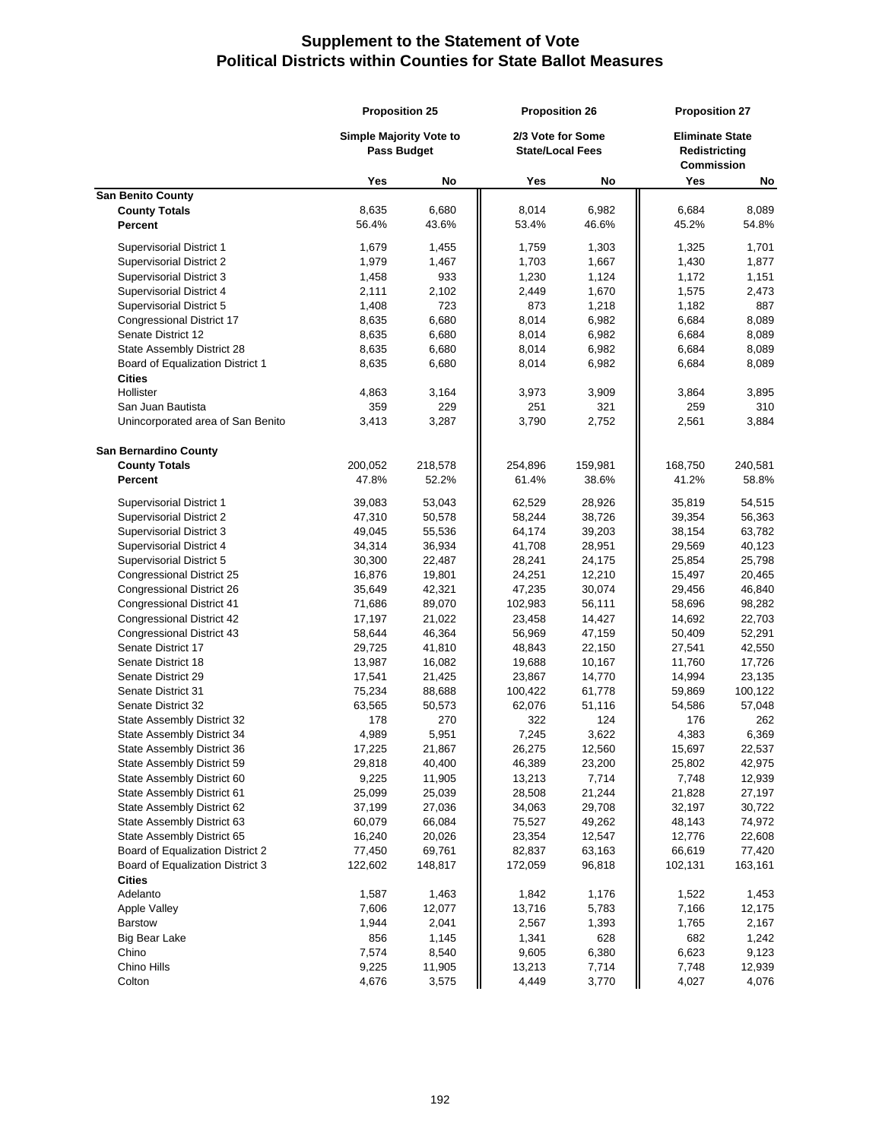|                                   | <b>Proposition 25</b>                                |         | <b>Proposition 26</b>                        |         | <b>Proposition 27</b>                                        |         |  |
|-----------------------------------|------------------------------------------------------|---------|----------------------------------------------|---------|--------------------------------------------------------------|---------|--|
|                                   | <b>Simple Majority Vote to</b><br><b>Pass Budget</b> |         | 2/3 Vote for Some<br><b>State/Local Fees</b> |         | <b>Eliminate State</b><br>Redistricting<br><b>Commission</b> |         |  |
|                                   | Yes                                                  | No      | Yes                                          | No      | Yes                                                          | No      |  |
| <b>San Benito County</b>          |                                                      |         |                                              |         |                                                              |         |  |
| <b>County Totals</b>              | 8,635                                                | 6,680   | 8,014                                        | 6,982   | 6,684                                                        | 8,089   |  |
| Percent                           | 56.4%                                                | 43.6%   | 53.4%                                        | 46.6%   | 45.2%                                                        | 54.8%   |  |
| Supervisorial District 1          | 1,679                                                | 1,455   | 1,759                                        | 1,303   | 1,325                                                        | 1,701   |  |
| Supervisorial District 2          | 1,979                                                | 1,467   | 1,703                                        | 1,667   | 1,430                                                        | 1,877   |  |
| Supervisorial District 3          | 1,458                                                | 933     | 1,230                                        | 1,124   | 1,172                                                        | 1,151   |  |
| Supervisorial District 4          | 2,111                                                | 2,102   | 2,449                                        | 1,670   | 1,575                                                        | 2,473   |  |
| Supervisorial District 5          | 1,408                                                | 723     | 873                                          | 1,218   | 1,182                                                        | 887     |  |
| Congressional District 17         | 8,635                                                | 6,680   | 8,014                                        | 6,982   | 6,684                                                        | 8,089   |  |
| Senate District 12                | 8,635                                                | 6,680   | 8,014                                        | 6,982   | 6,684                                                        | 8,089   |  |
| State Assembly District 28        | 8,635                                                | 6,680   | 8,014                                        | 6,982   | 6,684                                                        | 8,089   |  |
| Board of Equalization District 1  | 8,635                                                | 6,680   | 8,014                                        | 6,982   | 6,684                                                        | 8,089   |  |
| <b>Cities</b>                     |                                                      |         |                                              |         |                                                              |         |  |
| Hollister                         | 4,863                                                | 3,164   | 3,973                                        | 3,909   | 3,864                                                        | 3,895   |  |
| San Juan Bautista                 | 359                                                  | 229     | 251                                          | 321     | 259                                                          | 310     |  |
| Unincorporated area of San Benito | 3,413                                                | 3,287   | 3,790                                        | 2,752   | 2,561                                                        | 3,884   |  |
|                                   |                                                      |         |                                              |         |                                                              |         |  |
| <b>San Bernardino County</b>      |                                                      |         |                                              |         |                                                              |         |  |
| <b>County Totals</b>              | 200,052                                              | 218,578 | 254,896                                      | 159,981 | 168,750                                                      | 240,581 |  |
| Percent                           | 47.8%                                                | 52.2%   | 61.4%                                        | 38.6%   | 41.2%                                                        | 58.8%   |  |
| Supervisorial District 1          | 39,083                                               | 53,043  | 62,529                                       | 28,926  | 35,819                                                       | 54,515  |  |
| Supervisorial District 2          | 47,310                                               | 50,578  | 58,244                                       | 38,726  | 39,354                                                       | 56,363  |  |
| Supervisorial District 3          | 49,045                                               | 55,536  | 64,174                                       | 39,203  | 38,154                                                       | 63,782  |  |
| Supervisorial District 4          | 34,314                                               | 36,934  | 41,708                                       | 28,951  | 29,569                                                       | 40,123  |  |
| Supervisorial District 5          | 30,300                                               | 22,487  | 28,241                                       | 24,175  | 25,854                                                       | 25,798  |  |
| Congressional District 25         | 16,876                                               | 19,801  | 24,251                                       | 12,210  | 15,497                                                       | 20,465  |  |
| Congressional District 26         | 35,649                                               | 42,321  | 47,235                                       | 30,074  | 29,456                                                       | 46,840  |  |
| <b>Congressional District 41</b>  | 71,686                                               | 89,070  | 102,983                                      | 56,111  | 58,696                                                       | 98,282  |  |
| Congressional District 42         | 17,197                                               | 21,022  | 23,458                                       | 14,427  | 14,692                                                       | 22,703  |  |
| <b>Congressional District 43</b>  | 58,644                                               | 46,364  | 56,969                                       | 47,159  | 50,409                                                       | 52,291  |  |
| Senate District 17                | 29,725                                               | 41,810  | 48,843                                       | 22,150  | 27,541                                                       | 42,550  |  |
| Senate District 18                | 13,987                                               | 16,082  | 19,688                                       | 10,167  | 11,760                                                       | 17,726  |  |
| Senate District 29                | 17,541                                               | 21,425  | 23,867                                       | 14,770  | 14,994                                                       | 23,135  |  |
| Senate District 31                | 75,234                                               | 88,688  | 100,422                                      | 61,778  | 59,869                                                       | 100,122 |  |
| Senate District 32                | 63,565                                               | 50,573  | 62,076                                       | 51,116  | 54,586                                                       | 57,048  |  |
| State Assembly District 32        | 178                                                  | 270     | 322                                          | 124     | 176                                                          | 262     |  |
| State Assembly District 34        | 4,989                                                | 5,951   | 7,245                                        | 3,622   | 4,383                                                        | 6,369   |  |
| State Assembly District 36        | 17,225                                               | 21,867  | 26,275                                       | 12,560  | 15,697                                                       | 22,537  |  |
| State Assembly District 59        | 29,818                                               | 40,400  | 46,389                                       | 23,200  | 25,802                                                       | 42,975  |  |
| State Assembly District 60        | 9,225                                                | 11,905  | 13,213                                       | 7,714   | 7,748                                                        | 12,939  |  |
| State Assembly District 61        | 25,099                                               | 25,039  | 28,508                                       | 21,244  | 21,828                                                       | 27,197  |  |
| State Assembly District 62        | 37,199                                               | 27,036  | 34,063                                       | 29,708  | 32,197                                                       | 30,722  |  |
| State Assembly District 63        | 60,079                                               | 66,084  | 75,527                                       | 49,262  | 48,143                                                       | 74,972  |  |
| State Assembly District 65        | 16,240                                               | 20,026  | 23,354                                       | 12,547  | 12,776                                                       | 22,608  |  |
| Board of Equalization District 2  | 77,450                                               | 69,761  | 82,837                                       | 63,163  | 66,619                                                       | 77,420  |  |
| Board of Equalization District 3  | 122,602                                              | 148,817 | 172,059                                      | 96,818  | 102,131                                                      | 163,161 |  |
| <b>Cities</b>                     |                                                      |         |                                              |         |                                                              |         |  |
| Adelanto                          | 1,587                                                | 1,463   | 1,842                                        | 1,176   | 1,522                                                        | 1,453   |  |
| <b>Apple Valley</b>               | 7,606                                                | 12,077  | 13,716                                       | 5,783   | 7,166                                                        | 12,175  |  |
| <b>Barstow</b>                    | 1,944                                                | 2,041   | 2,567                                        | 1,393   | 1,765                                                        | 2,167   |  |
| <b>Big Bear Lake</b>              | 856                                                  | 1,145   | 1,341                                        | 628     | 682                                                          | 1,242   |  |
| Chino                             | 7,574                                                | 8,540   | 9,605                                        | 6,380   | 6,623                                                        | 9,123   |  |
| Chino Hills                       | 9,225                                                | 11,905  | 13,213                                       | 7,714   | 7,748                                                        | 12,939  |  |
| Colton                            | 4,676                                                | 3,575   | 4,449                                        | 3,770   | 4,027                                                        | 4,076   |  |
|                                   |                                                      |         |                                              |         |                                                              |         |  |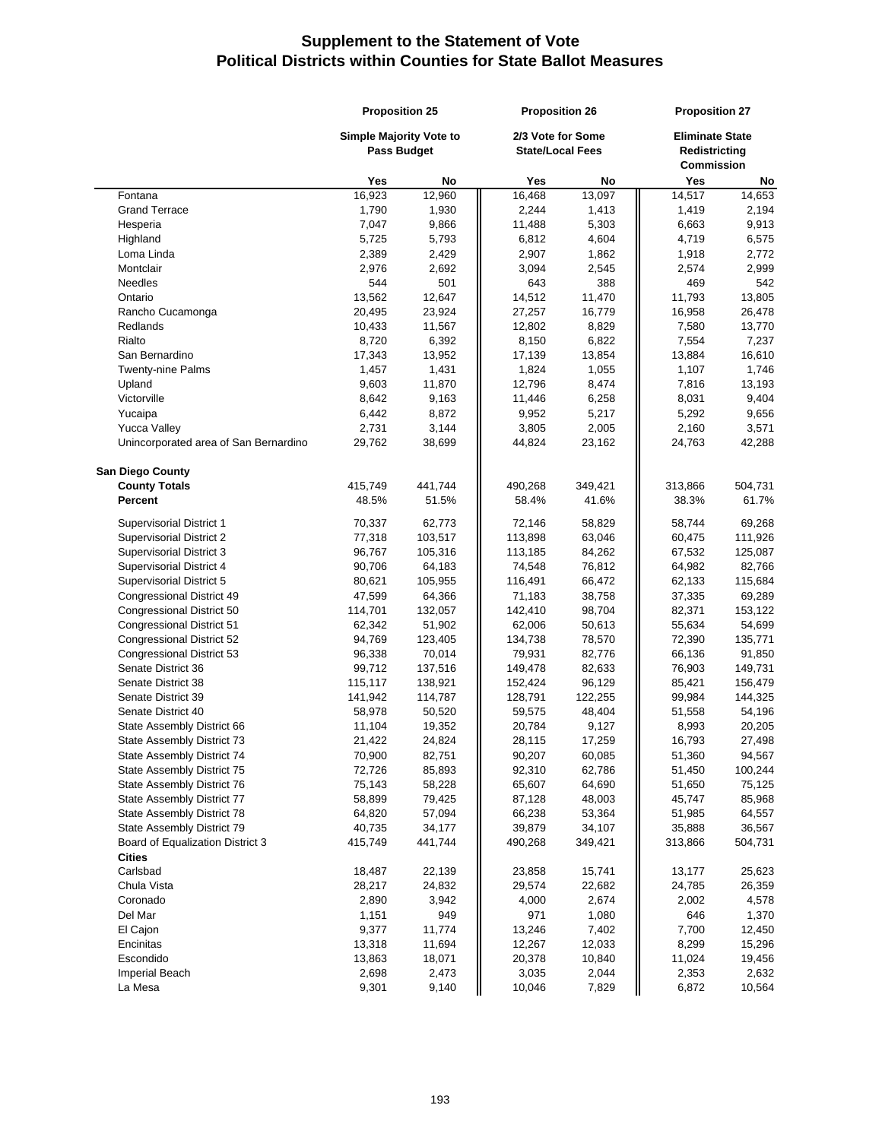|                                                   | <b>Proposition 25</b> |                                                      | <b>Proposition 26</b>                        |         | <b>Proposition 27</b>                                        |         |
|---------------------------------------------------|-----------------------|------------------------------------------------------|----------------------------------------------|---------|--------------------------------------------------------------|---------|
|                                                   |                       | <b>Simple Majority Vote to</b><br><b>Pass Budget</b> | 2/3 Vote for Some<br><b>State/Local Fees</b> |         | <b>Eliminate State</b><br>Redistricting<br><b>Commission</b> |         |
|                                                   | Yes                   | No                                                   | Yes                                          | No      | Yes                                                          | No      |
| Fontana                                           | 16,923                | 12,960                                               | 16,468                                       | 13.097  | 14,517                                                       | 14,653  |
| <b>Grand Terrace</b>                              | 1,790                 | 1,930                                                | 2,244                                        | 1,413   | 1,419                                                        | 2,194   |
| Hesperia                                          | 7,047                 | 9,866                                                | 11,488                                       | 5,303   | 6,663                                                        | 9,913   |
| Highland                                          | 5,725                 | 5,793                                                | 6,812                                        | 4,604   | 4,719                                                        | 6,575   |
| Loma Linda                                        | 2,389                 | 2,429                                                | 2,907                                        | 1,862   | 1,918                                                        | 2,772   |
| Montclair                                         | 2,976                 | 2,692                                                | 3,094                                        | 2,545   | 2,574                                                        | 2,999   |
| <b>Needles</b>                                    | 544                   | 501                                                  | 643                                          | 388     | 469                                                          | 542     |
| Ontario                                           | 13,562                | 12,647                                               | 14,512                                       | 11,470  | 11,793                                                       | 13,805  |
| Rancho Cucamonga                                  | 20,495                | 23,924                                               | 27,257                                       | 16,779  | 16,958                                                       | 26,478  |
| Redlands                                          | 10,433                | 11,567                                               | 12,802                                       | 8,829   | 7,580                                                        | 13,770  |
| Rialto                                            | 8,720                 | 6,392                                                | 8,150                                        | 6,822   | 7,554                                                        | 7,237   |
| San Bernardino                                    | 17,343                | 13,952                                               | 17,139                                       | 13,854  | 13,884                                                       | 16,610  |
| <b>Twenty-nine Palms</b>                          | 1,457                 | 1,431                                                | 1,824                                        | 1,055   | 1,107                                                        | 1,746   |
| Upland                                            | 9,603                 | 11,870                                               | 12,796                                       | 8,474   | 7,816                                                        | 13,193  |
| Victorville                                       | 8,642                 | 9,163                                                | 11,446                                       | 6,258   | 8,031                                                        | 9,404   |
| Yucaipa                                           | 6,442                 | 8,872                                                | 9,952                                        | 5,217   | 5,292                                                        | 9,656   |
| <b>Yucca Valley</b>                               | 2,731                 | 3,144                                                | 3,805                                        | 2,005   | 2,160                                                        | 3,571   |
| Unincorporated area of San Bernardino             | 29,762                | 38,699                                               | 44,824                                       | 23,162  | 24,763                                                       | 42,288  |
| <b>San Diego County</b>                           |                       |                                                      |                                              |         |                                                              |         |
| <b>County Totals</b>                              | 415,749               | 441,744                                              | 490,268                                      | 349,421 | 313,866                                                      | 504,731 |
| <b>Percent</b>                                    | 48.5%                 | 51.5%                                                | 58.4%                                        | 41.6%   | 38.3%                                                        | 61.7%   |
| <b>Supervisorial District 1</b>                   | 70,337                | 62,773                                               | 72,146                                       | 58,829  | 58,744                                                       | 69,268  |
| Supervisorial District 2                          | 77,318                | 103,517                                              | 113,898                                      | 63,046  | 60,475                                                       | 111,926 |
| Supervisorial District 3                          | 96,767                | 105,316                                              | 113,185                                      | 84,262  | 67,532                                                       | 125,087 |
| Supervisorial District 4                          | 90,706                | 64,183                                               | 74,548                                       | 76,812  | 64,982                                                       | 82,766  |
| Supervisorial District 5                          | 80,621                | 105,955                                              | 116,491                                      | 66,472  | 62,133                                                       | 115,684 |
| Congressional District 49                         | 47,599                | 64,366                                               | 71,183                                       | 38,758  | 37,335                                                       | 69,289  |
| Congressional District 50                         | 114,701               | 132,057                                              | 142,410                                      | 98,704  | 82,371                                                       | 153,122 |
| Congressional District 51                         | 62,342                | 51,902                                               | 62,006                                       | 50,613  | 55,634                                                       | 54,699  |
| Congressional District 52                         | 94,769                | 123,405                                              | 134,738                                      | 78,570  | 72,390                                                       | 135,771 |
| Congressional District 53                         | 96,338                | 70,014                                               | 79,931                                       | 82,776  | 66,136                                                       | 91,850  |
| Senate District 36                                | 99,712                | 137,516                                              | 149,478                                      | 82,633  | 76,903                                                       | 149,731 |
| Senate District 38                                | 115,117               | 138,921                                              | 152,424                                      | 96,129  | 85,421                                                       | 156,479 |
| Senate District 39                                | 141,942               | 114,787                                              | 128,791                                      | 122,255 | 99,984                                                       | 144,325 |
| Senate District 40                                | 58,978                | 50,520                                               | 59,575                                       | 48,404  | 51,558                                                       | 54,196  |
| State Assembly District 66                        | 11,104                | 19,352                                               | 20,784                                       | 9,127   | 8,993                                                        | 20,205  |
| State Assembly District 73                        | 21,422                | 24,824                                               | 28,115                                       | 17,259  | 16,793                                                       | 27,498  |
| State Assembly District 74                        | 70,900                | 82,751                                               | 90,207                                       | 60,085  | 51,360                                                       | 94,567  |
| State Assembly District 75                        | 72,726                | 85,893                                               | 92,310                                       | 62,786  | 51,450                                                       | 100,244 |
| State Assembly District 76                        | 75,143                | 58,228                                               | 65,607                                       | 64,690  | 51,650                                                       | 75,125  |
| State Assembly District 77                        | 58,899                | 79,425                                               | 87,128                                       | 48,003  | 45,747                                                       | 85,968  |
| State Assembly District 78                        | 64,820                | 57,094                                               | 66,238                                       | 53,364  | 51,985                                                       | 64,557  |
| State Assembly District 79                        | 40,735                | 34,177                                               | 39,879                                       | 34,107  | 35,888                                                       | 36,567  |
| Board of Equalization District 3<br><b>Cities</b> | 415,749               | 441,744                                              | 490,268                                      | 349,421 | 313,866                                                      | 504,731 |
| Carlsbad                                          | 18,487                | 22,139                                               | 23,858                                       | 15,741  |                                                              | 25,623  |
| Chula Vista                                       | 28,217                | 24,832                                               | 29,574                                       | 22,682  | 13,177<br>24,785                                             | 26,359  |
| Coronado                                          | 2,890                 | 3,942                                                | 4,000                                        | 2,674   | 2,002                                                        | 4,578   |
| Del Mar                                           | 1,151                 | 949                                                  | 971                                          | 1,080   | 646                                                          | 1,370   |
| El Cajon                                          | 9,377                 | 11,774                                               | 13,246                                       | 7,402   | 7,700                                                        | 12,450  |
| Encinitas                                         | 13,318                | 11,694                                               | 12,267                                       | 12,033  | 8,299                                                        | 15,296  |
| Escondido                                         | 13,863                | 18,071                                               | 20,378                                       | 10,840  | 11,024                                                       | 19,456  |
| <b>Imperial Beach</b>                             | 2,698                 | 2,473                                                | 3,035                                        | 2,044   | 2,353                                                        | 2,632   |
| La Mesa                                           | 9,301                 | 9,140                                                | 10,046                                       | 7,829   | 6,872                                                        | 10,564  |
|                                                   |                       |                                                      |                                              |         |                                                              |         |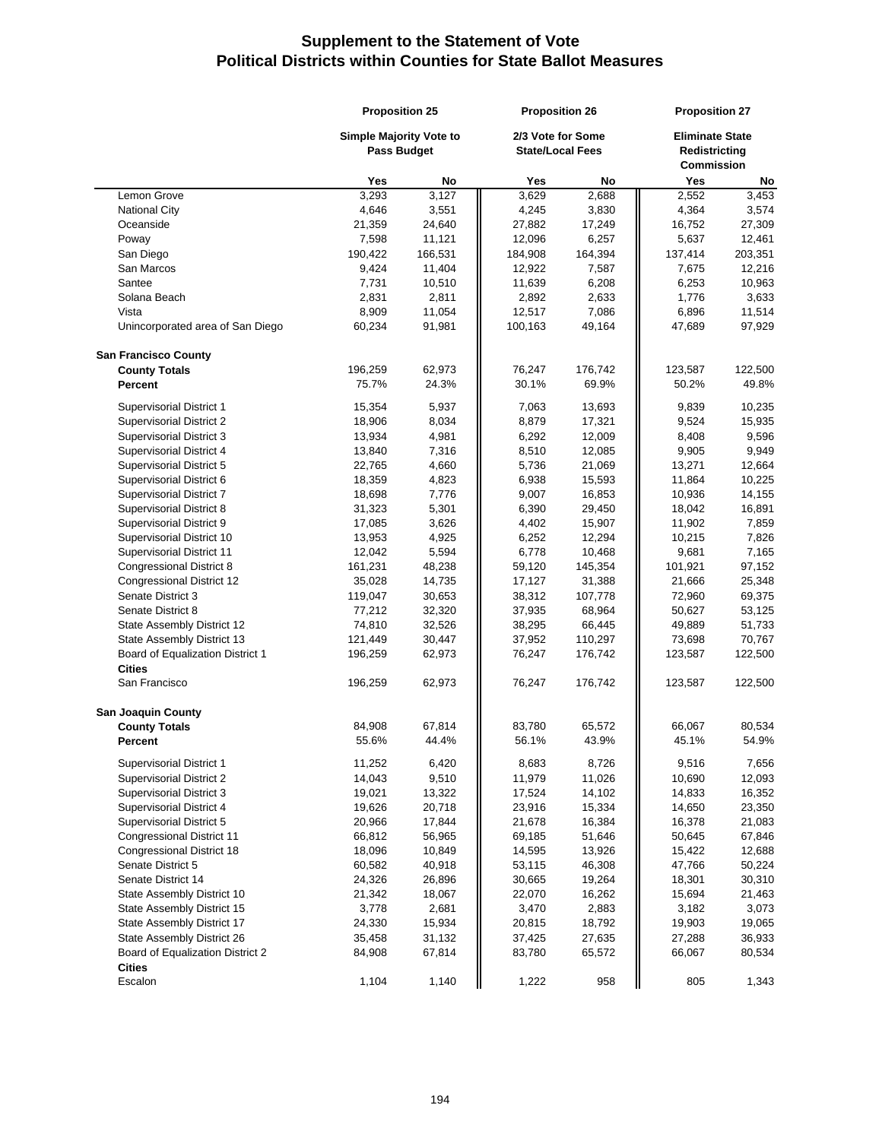|                                                   | <b>Proposition 25</b>                         |         | <b>Proposition 26</b>                        |         | <b>Proposition 27</b>                                        |         |
|---------------------------------------------------|-----------------------------------------------|---------|----------------------------------------------|---------|--------------------------------------------------------------|---------|
|                                                   | Simple Majority Vote to<br><b>Pass Budget</b> |         | 2/3 Vote for Some<br><b>State/Local Fees</b> |         | <b>Eliminate State</b><br>Redistricting<br><b>Commission</b> |         |
|                                                   | Yes                                           | No      | Yes                                          | No      | Yes                                                          | No      |
| Lemon Grove                                       | 3,293                                         | 3,127   | 3,629                                        | 2,688   | 2,552                                                        | 3,453   |
| <b>National City</b>                              | 4,646                                         | 3,551   | 4,245                                        | 3,830   | 4,364                                                        | 3,574   |
| Oceanside                                         | 21,359                                        | 24,640  | 27,882                                       | 17,249  | 16,752                                                       | 27,309  |
| Poway                                             | 7,598                                         | 11,121  | 12,096                                       | 6,257   | 5,637                                                        | 12,461  |
| San Diego                                         | 190,422                                       | 166,531 | 184,908                                      | 164,394 | 137,414                                                      | 203,351 |
| San Marcos                                        | 9,424                                         | 11,404  | 12,922                                       | 7,587   | 7,675                                                        | 12,216  |
| Santee                                            | 7,731                                         | 10,510  | 11,639                                       | 6,208   | 6,253                                                        | 10,963  |
| Solana Beach                                      | 2,831                                         | 2,811   | 2,892                                        | 2,633   | 1,776                                                        | 3,633   |
| Vista                                             | 8,909                                         | 11,054  | 12,517                                       | 7,086   | 6,896                                                        | 11,514  |
| Unincorporated area of San Diego                  | 60,234                                        | 91,981  | 100,163                                      | 49,164  | 47,689                                                       | 97,929  |
| <b>San Francisco County</b>                       |                                               |         |                                              |         |                                                              |         |
| <b>County Totals</b>                              | 196,259                                       | 62,973  | 76,247                                       | 176,742 | 123,587                                                      | 122,500 |
| Percent                                           | 75.7%                                         | 24.3%   | 30.1%                                        | 69.9%   | 50.2%                                                        | 49.8%   |
| Supervisorial District 1                          | 15,354                                        | 5,937   | 7,063                                        | 13,693  | 9,839                                                        | 10,235  |
| <b>Supervisorial District 2</b>                   | 18,906                                        | 8,034   | 8,879                                        | 17,321  | 9,524                                                        | 15,935  |
| Supervisorial District 3                          | 13,934                                        | 4,981   | 6,292                                        | 12,009  | 8,408                                                        | 9,596   |
| Supervisorial District 4                          | 13,840                                        | 7,316   | 8,510                                        | 12,085  | 9,905                                                        | 9,949   |
| Supervisorial District 5                          | 22,765                                        | 4,660   | 5,736                                        | 21,069  | 13,271                                                       | 12,664  |
| Supervisorial District 6                          | 18,359                                        | 4,823   | 6,938                                        | 15,593  | 11,864                                                       | 10,225  |
| Supervisorial District 7                          | 18,698                                        | 7,776   | 9,007                                        | 16,853  | 10,936                                                       | 14,155  |
| Supervisorial District 8                          | 31,323                                        | 5,301   | 6,390                                        | 29,450  | 18,042                                                       | 16,891  |
| Supervisorial District 9                          | 17,085                                        | 3,626   | 4,402                                        | 15,907  | 11,902                                                       | 7,859   |
| Supervisorial District 10                         | 13,953                                        | 4,925   | 6,252                                        | 12,294  | 10,215                                                       | 7,826   |
| Supervisorial District 11                         | 12,042                                        | 5,594   | 6,778                                        | 10,468  | 9,681                                                        | 7,165   |
| Congressional District 8                          | 161,231                                       | 48,238  | 59,120                                       | 145,354 | 101,921                                                      | 97,152  |
| Congressional District 12                         | 35,028                                        | 14,735  | 17,127                                       | 31,388  | 21,666                                                       | 25,348  |
| Senate District 3                                 | 119,047                                       | 30,653  | 38,312                                       | 107,778 | 72,960                                                       | 69,375  |
| Senate District 8                                 | 77,212                                        | 32,320  | 37,935                                       | 68,964  | 50,627                                                       | 53,125  |
| State Assembly District 12                        | 74,810                                        | 32,526  | 38,295                                       | 66,445  | 49,889                                                       | 51,733  |
| State Assembly District 13                        | 121,449                                       | 30,447  | 37,952                                       | 110,297 | 73,698                                                       | 70,767  |
| Board of Equalization District 1                  | 196,259                                       | 62,973  | 76,247                                       | 176,742 | 123,587                                                      | 122,500 |
| <b>Cities</b>                                     |                                               |         |                                              |         |                                                              |         |
| San Francisco                                     | 196,259                                       | 62,973  | 76,247                                       | 176,742 | 123,587                                                      | 122,500 |
| <b>San Joaquin County</b>                         |                                               |         |                                              |         |                                                              |         |
| <b>County Totals</b>                              | 84,908                                        | 67,814  | 83,780                                       | 65,572  | 66,067                                                       | 80,534  |
| <b>Percent</b>                                    | 55.6%                                         | 44.4%   | 56.1%                                        | 43.9%   | 45.1%                                                        | 54.9%   |
| <b>Supervisorial District 1</b>                   | 11,252                                        | 6,420   | 8,683                                        | 8,726   | 9,516                                                        | 7,656   |
| Supervisorial District 2                          | 14,043                                        | 9,510   | 11,979                                       | 11,026  | 10,690                                                       | 12,093  |
| Supervisorial District 3                          | 19,021                                        | 13,322  | 17,524                                       | 14,102  | 14,833                                                       | 16,352  |
| Supervisorial District 4                          | 19,626                                        | 20,718  | 23,916                                       | 15,334  | 14,650                                                       | 23,350  |
| Supervisorial District 5                          | 20,966                                        | 17,844  | 21,678                                       | 16,384  | 16,378                                                       | 21,083  |
| <b>Congressional District 11</b>                  | 66,812                                        | 56,965  | 69,185                                       | 51,646  | 50,645                                                       | 67,846  |
| <b>Congressional District 18</b>                  | 18,096                                        | 10,849  | 14,595                                       | 13,926  | 15,422                                                       | 12,688  |
| Senate District 5                                 | 60,582                                        | 40,918  | 53,115                                       | 46,308  | 47,766                                                       | 50,224  |
| Senate District 14                                | 24,326                                        | 26,896  | 30,665                                       | 19,264  | 18,301                                                       | 30,310  |
| State Assembly District 10                        | 21,342                                        | 18,067  | 22,070                                       | 16,262  | 15,694                                                       | 21,463  |
| State Assembly District 15                        | 3,778                                         | 2,681   | 3,470                                        | 2,883   | 3,182                                                        | 3,073   |
| State Assembly District 17                        | 24,330                                        | 15,934  | 20,815                                       | 18,792  | 19,903                                                       | 19,065  |
| State Assembly District 26                        | 35,458                                        | 31,132  | 37,425                                       | 27,635  | 27,288                                                       | 36,933  |
| Board of Equalization District 2<br><b>Cities</b> | 84,908                                        | 67,814  | 83,780                                       | 65,572  | 66,067                                                       | 80,534  |
| Escalon                                           | 1,104                                         | 1,140   | 1,222                                        | 958     | 805                                                          | 1,343   |
|                                                   |                                               |         |                                              |         |                                                              |         |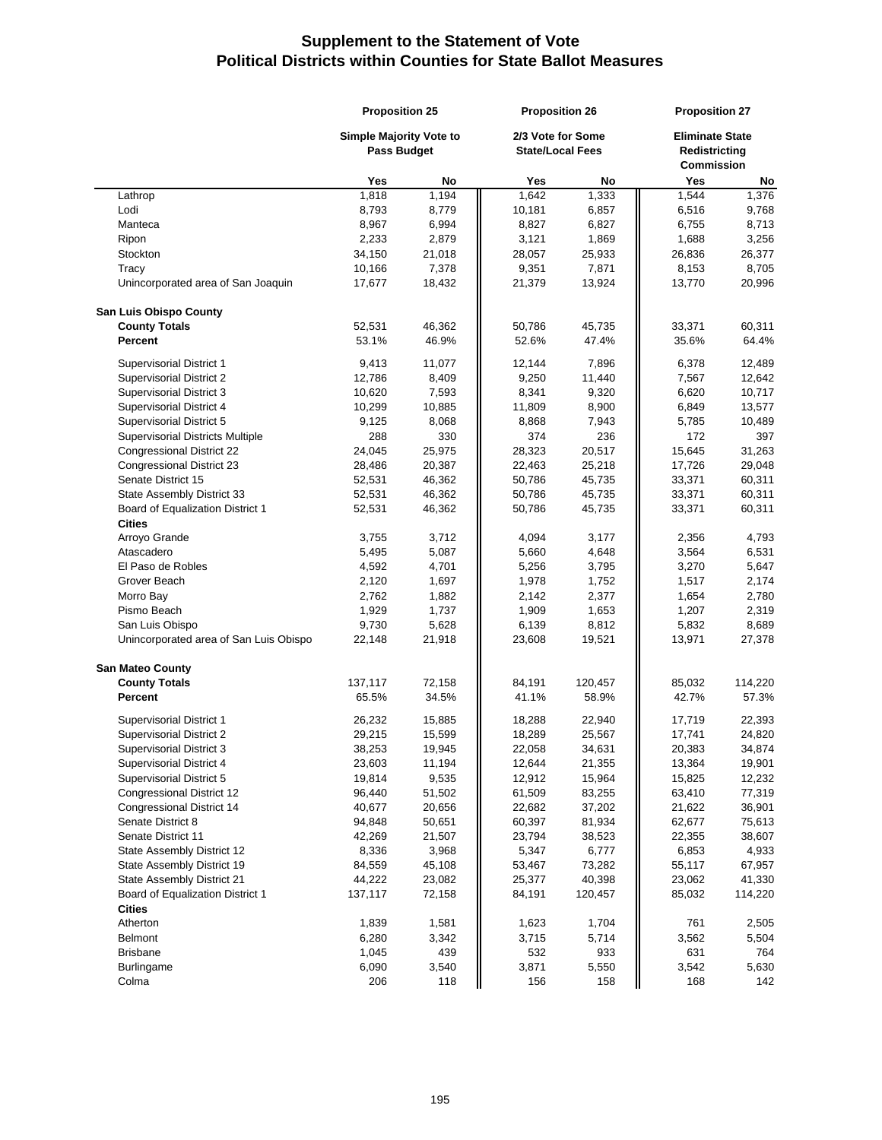|                                                 | <b>Proposition 25</b>                                |                | <b>Proposition 26</b>                        |                | <b>Proposition 27</b>                                        |                |
|-------------------------------------------------|------------------------------------------------------|----------------|----------------------------------------------|----------------|--------------------------------------------------------------|----------------|
|                                                 | <b>Simple Majority Vote to</b><br><b>Pass Budget</b> |                | 2/3 Vote for Some<br><b>State/Local Fees</b> |                | <b>Eliminate State</b><br>Redistricting<br><b>Commission</b> |                |
|                                                 | Yes                                                  | No             | Yes                                          | No             | Yes                                                          | No             |
| Lathrop                                         | 1,818                                                | 1.194          | 1.642                                        | 1,333          | 1,544                                                        | 1,376          |
| Lodi                                            | 8,793                                                | 8,779          | 10,181                                       | 6,857          | 6,516                                                        | 9,768          |
| Manteca                                         | 8,967                                                | 6,994          | 8,827                                        | 6,827          | 6,755                                                        | 8,713          |
| Ripon                                           | 2,233                                                | 2,879          | 3,121                                        | 1,869          | 1,688                                                        | 3,256          |
| Stockton                                        | 34,150                                               | 21,018         | 28,057                                       | 25,933         | 26,836                                                       | 26,377         |
| Tracy                                           | 10,166                                               | 7,378          | 9,351                                        | 7,871          | 8,153                                                        | 8,705          |
| Unincorporated area of San Joaquin              | 17,677                                               | 18,432         | 21,379                                       | 13,924         | 13,770                                                       | 20,996         |
| San Luis Obispo County                          |                                                      |                |                                              |                |                                                              |                |
| <b>County Totals</b>                            | 52,531                                               | 46,362         | 50,786                                       | 45,735         | 33,371                                                       | 60,311         |
| <b>Percent</b>                                  | 53.1%                                                | 46.9%          | 52.6%                                        | 47.4%          | 35.6%                                                        | 64.4%          |
| Supervisorial District 1                        | 9,413                                                | 11,077         | 12,144                                       | 7,896          | 6,378                                                        | 12,489         |
| <b>Supervisorial District 2</b>                 | 12,786                                               | 8,409          | 9,250                                        | 11,440         | 7,567                                                        | 12,642         |
| Supervisorial District 3                        | 10,620                                               | 7,593          | 8,341                                        | 9,320          | 6,620                                                        | 10,717         |
| Supervisorial District 4                        | 10,299                                               | 10,885         | 11,809                                       | 8,900          | 6,849                                                        | 13,577         |
| Supervisorial District 5                        | 9,125                                                | 8,068          | 8,868                                        | 7,943          | 5,785                                                        | 10,489         |
| Supervisorial Districts Multiple                | 288                                                  | 330            | 374                                          | 236            | 172                                                          | 397            |
| <b>Congressional District 22</b>                | 24,045                                               | 25,975         | 28,323                                       | 20,517         | 15,645                                                       | 31,263         |
| <b>Congressional District 23</b>                | 28,486                                               | 20,387         | 22,463                                       | 25,218         | 17,726                                                       | 29,048         |
| Senate District 15                              | 52,531                                               | 46,362         | 50,786                                       | 45,735         | 33,371                                                       | 60,311         |
| State Assembly District 33                      | 52,531                                               | 46,362         | 50,786                                       | 45,735         | 33,371                                                       | 60,311         |
| Board of Equalization District 1                | 52,531                                               | 46,362         | 50,786                                       | 45,735         | 33,371                                                       | 60,311         |
| <b>Cities</b>                                   |                                                      |                |                                              |                |                                                              |                |
| Arroyo Grande<br>Atascadero                     | 3,755<br>5,495                                       | 3,712<br>5,087 | 4,094<br>5,660                               | 3,177<br>4,648 | 2,356<br>3,564                                               | 4,793<br>6,531 |
| El Paso de Robles                               | 4,592                                                | 4,701          | 5,256                                        | 3,795          | 3,270                                                        | 5,647          |
| Grover Beach                                    | 2,120                                                | 1,697          | 1,978                                        | 1,752          | 1,517                                                        | 2,174          |
| Morro Bay                                       | 2,762                                                | 1,882          | 2,142                                        | 2,377          | 1,654                                                        | 2,780          |
| Pismo Beach                                     | 1,929                                                | 1,737          | 1,909                                        | 1,653          | 1,207                                                        | 2,319          |
| San Luis Obispo                                 | 9,730                                                | 5,628          | 6,139                                        | 8,812          | 5,832                                                        | 8,689          |
| Unincorporated area of San Luis Obispo          | 22,148                                               | 21,918         | 23,608                                       | 19,521         | 13,971                                                       | 27,378         |
|                                                 |                                                      |                |                                              |                |                                                              |                |
| <b>San Mateo County</b><br><b>County Totals</b> | 137,117                                              | 72,158         | 84,191                                       | 120,457        | 85,032                                                       | 114,220        |
| Percent                                         | 65.5%                                                | 34.5%          | 41.1%                                        | 58.9%          | 42.7%                                                        | 57.3%          |
| <b>Supervisorial District 1</b>                 | 26,232                                               | 15,885         | 18,288                                       | 22,940         | 17,719                                                       | 22,393         |
| <b>Supervisorial District 2</b>                 | 29,215                                               | 15,599         | 18,289                                       | 25,567         | 17,741                                                       | 24,820         |
| Supervisorial District 3                        | 38,253                                               | 19,945         | 22,058                                       | 34,631         | 20,383                                                       | 34,874         |
| Supervisorial District 4                        | 23,603                                               | 11,194         | 12,644                                       | 21,355         | 13,364                                                       | 19,901         |
| Supervisorial District 5                        | 19,814                                               | 9,535          | 12,912                                       | 15,964         | 15,825                                                       | 12,232         |
| Congressional District 12                       | 96,440                                               | 51,502         | 61,509                                       | 83,255         | 63,410                                                       | 77,319         |
| Congressional District 14                       | 40,677                                               | 20,656         | 22,682                                       | 37,202         | 21,622                                                       | 36,901         |
| Senate District 8                               | 94,848                                               | 50,651         | 60,397                                       | 81,934         | 62,677                                                       | 75,613         |
| Senate District 11                              | 42,269                                               | 21,507         | 23,794                                       | 38,523         | 22,355                                                       | 38,607         |
| State Assembly District 12                      | 8,336                                                | 3,968          | 5,347                                        | 6,777          | 6,853                                                        | 4,933          |
| State Assembly District 19                      | 84,559                                               | 45,108         | 53,467                                       | 73,282         | 55,117                                                       | 67,957         |
| State Assembly District 21                      | 44,222                                               | 23,082         | 25,377                                       | 40,398         | 23,062                                                       | 41,330         |
| Board of Equalization District 1                | 137,117                                              | 72,158         | 84,191                                       | 120,457        | 85,032                                                       | 114,220        |
| <b>Cities</b>                                   |                                                      |                |                                              |                |                                                              |                |
| Atherton                                        | 1,839                                                | 1,581          | 1,623                                        | 1,704          | 761                                                          | 2,505          |
| <b>Belmont</b>                                  | 6,280                                                | 3,342          | 3,715                                        | 5,714          | 3,562                                                        | 5,504          |
| <b>Brisbane</b>                                 | 1,045                                                | 439            | 532                                          | 933            | 631                                                          | 764            |
| <b>Burlingame</b>                               | 6,090                                                | 3,540          | 3,871                                        | 5,550          | 3,542                                                        | 5,630          |
| Colma                                           | 206                                                  | 118            | 156                                          | 158            | 168                                                          | 142            |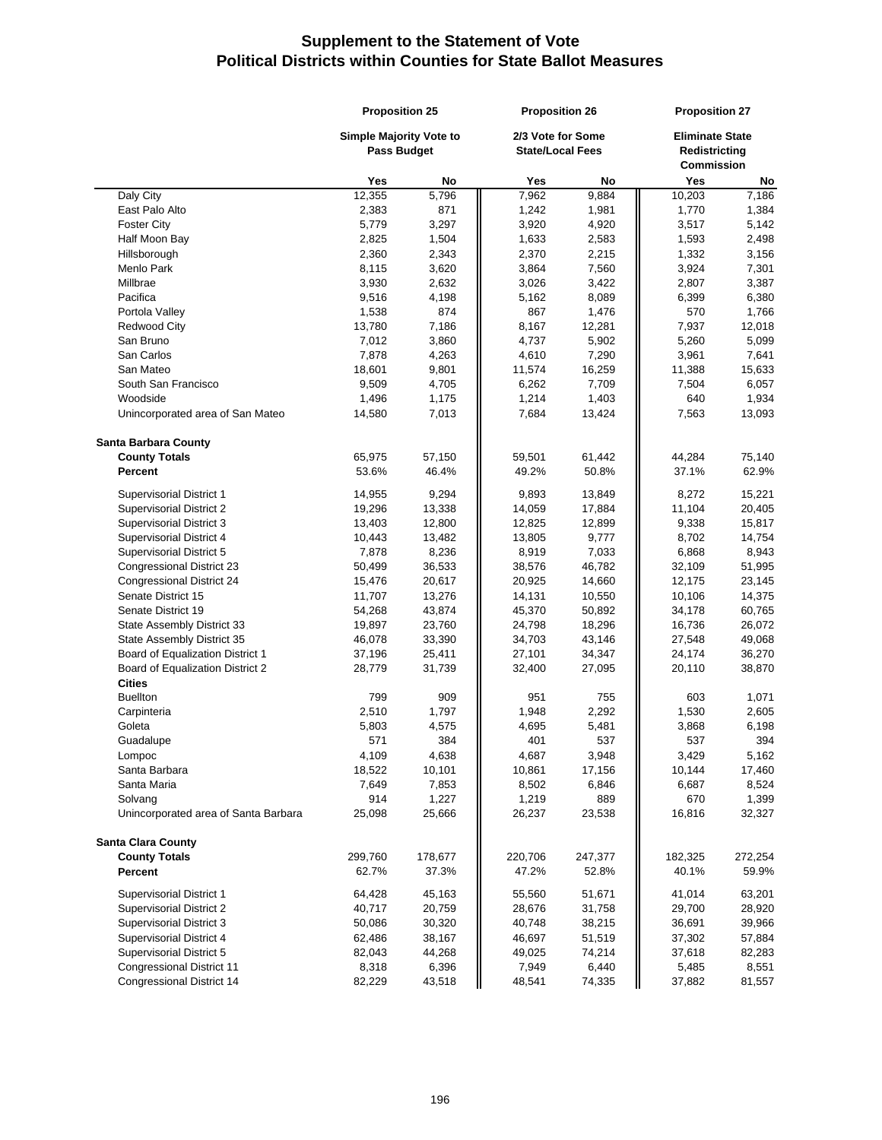|                                                   | <b>Proposition 25</b>          |                | <b>Proposition 26</b>   |                | <b>Proposition 27</b>  |                |  |
|---------------------------------------------------|--------------------------------|----------------|-------------------------|----------------|------------------------|----------------|--|
|                                                   | <b>Simple Majority Vote to</b> |                | 2/3 Vote for Some       |                | <b>Eliminate State</b> |                |  |
|                                                   | <b>Pass Budget</b>             |                | <b>State/Local Fees</b> |                | <b>Redistricting</b>   |                |  |
|                                                   |                                |                |                         |                | <b>Commission</b>      |                |  |
|                                                   | Yes                            | No             | Yes                     | No             | Yes                    | No             |  |
| Daly City                                         | 12,355                         | 5,796          | 7,962                   | 9,884          | 10,203                 | 7,186          |  |
| East Palo Alto                                    | 2,383                          | 871            | 1,242                   | 1,981          | 1,770                  | 1,384          |  |
| <b>Foster City</b>                                | 5,779                          | 3,297          | 3,920                   | 4,920          | 3,517                  | 5,142          |  |
| Half Moon Bay                                     | 2,825                          | 1,504          | 1,633                   | 2,583          | 1,593                  | 2,498          |  |
| Hillsborough<br>Menlo Park                        | 2,360                          | 2,343          | 2,370                   | 2,215          | 1,332                  | 3,156          |  |
| Millbrae                                          | 8,115<br>3,930                 | 3,620<br>2,632 | 3,864<br>3,026          | 7,560          | 3,924                  | 7,301          |  |
| Pacifica                                          | 9,516                          | 4,198          | 5,162                   | 3,422<br>8,089 | 2,807<br>6,399         | 3,387<br>6,380 |  |
| Portola Valley                                    | 1,538                          | 874            | 867                     | 1,476          | 570                    | 1,766          |  |
| <b>Redwood City</b>                               | 13,780                         | 7,186          | 8,167                   | 12,281         | 7,937                  | 12,018         |  |
| San Bruno                                         | 7,012                          | 3,860          | 4,737                   | 5,902          | 5,260                  | 5,099          |  |
| San Carlos                                        | 7,878                          | 4,263          | 4,610                   | 7,290          | 3,961                  | 7,641          |  |
| San Mateo                                         | 18,601                         | 9,801          | 11,574                  | 16,259         | 11,388                 | 15,633         |  |
| South San Francisco                               | 9,509                          | 4,705          | 6,262                   | 7,709          | 7,504                  | 6,057          |  |
| Woodside                                          | 1,496                          | 1,175          | 1,214                   | 1,403          | 640                    | 1,934          |  |
| Unincorporated area of San Mateo                  | 14,580                         | 7,013          | 7,684                   | 13,424         | 7,563                  | 13,093         |  |
| <b>Santa Barbara County</b>                       |                                |                |                         |                |                        |                |  |
| <b>County Totals</b>                              | 65,975                         | 57,150         | 59,501                  | 61,442         | 44,284                 | 75,140         |  |
| Percent                                           | 53.6%                          | 46.4%          | 49.2%                   | 50.8%          | 37.1%                  | 62.9%          |  |
| Supervisorial District 1                          | 14,955                         | 9,294          | 9,893                   | 13,849         | 8,272                  | 15,221         |  |
| <b>Supervisorial District 2</b>                   | 19,296                         | 13,338         | 14,059                  | 17,884         | 11,104                 | 20,405         |  |
| Supervisorial District 3                          | 13,403                         | 12,800         | 12,825                  | 12,899         | 9,338                  | 15,817         |  |
| Supervisorial District 4                          | 10,443                         | 13,482         | 13,805                  | 9,777          | 8,702                  | 14,754         |  |
| Supervisorial District 5                          | 7,878                          | 8,236          | 8,919                   | 7,033          | 6,868                  | 8,943          |  |
| <b>Congressional District 23</b>                  | 50,499                         | 36,533         | 38,576                  | 46,782         | 32,109                 | 51,995         |  |
| Congressional District 24                         | 15,476                         | 20,617         | 20,925                  | 14,660         | 12,175                 | 23,145         |  |
| Senate District 15                                | 11,707                         | 13,276         | 14,131                  | 10,550         | 10,106                 | 14,375         |  |
| Senate District 19                                | 54,268                         | 43,874         | 45,370                  | 50,892         | 34,178                 | 60,765         |  |
| State Assembly District 33                        | 19,897                         | 23,760         | 24,798                  | 18,296         | 16,736                 | 26,072         |  |
| State Assembly District 35                        | 46,078                         | 33,390         | 34,703                  | 43,146         | 27,548                 | 49,068         |  |
| Board of Equalization District 1                  | 37,196                         | 25,411         | 27,101                  | 34,347         | 24,174                 | 36,270         |  |
| Board of Equalization District 2<br><b>Cities</b> | 28,779                         | 31,739         | 32,400                  | 27,095         | 20,110                 | 38,870         |  |
| <b>Buellton</b>                                   | 799                            | 909            | 951                     | 755            | 603                    | 1,071          |  |
| Carpinteria                                       | 2,510                          | 1,797          | 1,948                   | 2,292          | 1,530                  | 2,605          |  |
| Goleta                                            | 5,803                          | 4,575          | 4,695                   | 5,481          | 3,868                  | 6,198          |  |
| Guadalupe                                         | 571                            | 384            | 401                     | 537            | 537                    | 394            |  |
| Lompoc                                            | 4,109                          | 4,638          | 4,687                   | 3,948          | 3,429                  | 5,162          |  |
| Santa Barbara                                     | 18,522                         | 10,101         | 10,861                  | 17,156         | 10,144                 | 17,460         |  |
| Santa Maria                                       | 7,649                          | 7,853          | 8,502                   | 6,846          | 6,687                  | 8,524          |  |
| Solvang                                           | 914                            | 1,227          | 1,219                   | 889            | 670                    | 1,399          |  |
| Unincorporated area of Santa Barbara              | 25,098                         | 25,666         | 26,237                  | 23,538         | 16,816                 | 32,327         |  |
| <b>Santa Clara County</b>                         |                                |                |                         |                |                        |                |  |
| <b>County Totals</b>                              | 299,760                        | 178,677        | 220,706                 | 247,377        | 182,325                | 272,254        |  |
| Percent                                           | 62.7%                          | 37.3%          | 47.2%                   | 52.8%          | 40.1%                  | 59.9%          |  |
| Supervisorial District 1                          | 64,428                         | 45,163         | 55,560                  | 51,671         | 41,014                 | 63,201         |  |
| Supervisorial District 2                          | 40,717                         | 20,759         | 28,676                  | 31,758         | 29,700                 | 28,920         |  |
| Supervisorial District 3                          | 50,086                         | 30,320         | 40,748                  | 38,215         | 36,691                 | 39,966         |  |
| Supervisorial District 4                          | 62,486                         | 38,167         | 46,697                  | 51,519         | 37,302                 | 57,884         |  |
| Supervisorial District 5                          | 82,043                         | 44,268         | 49,025                  | 74,214         | 37,618                 | 82,283         |  |
| <b>Congressional District 11</b>                  | 8,318                          | 6,396          | 7,949                   | 6,440          | 5,485                  | 8,551          |  |
| Congressional District 14                         | 82,229                         | 43,518         | 48,541                  | 74,335         | 37,882                 | 81,557         |  |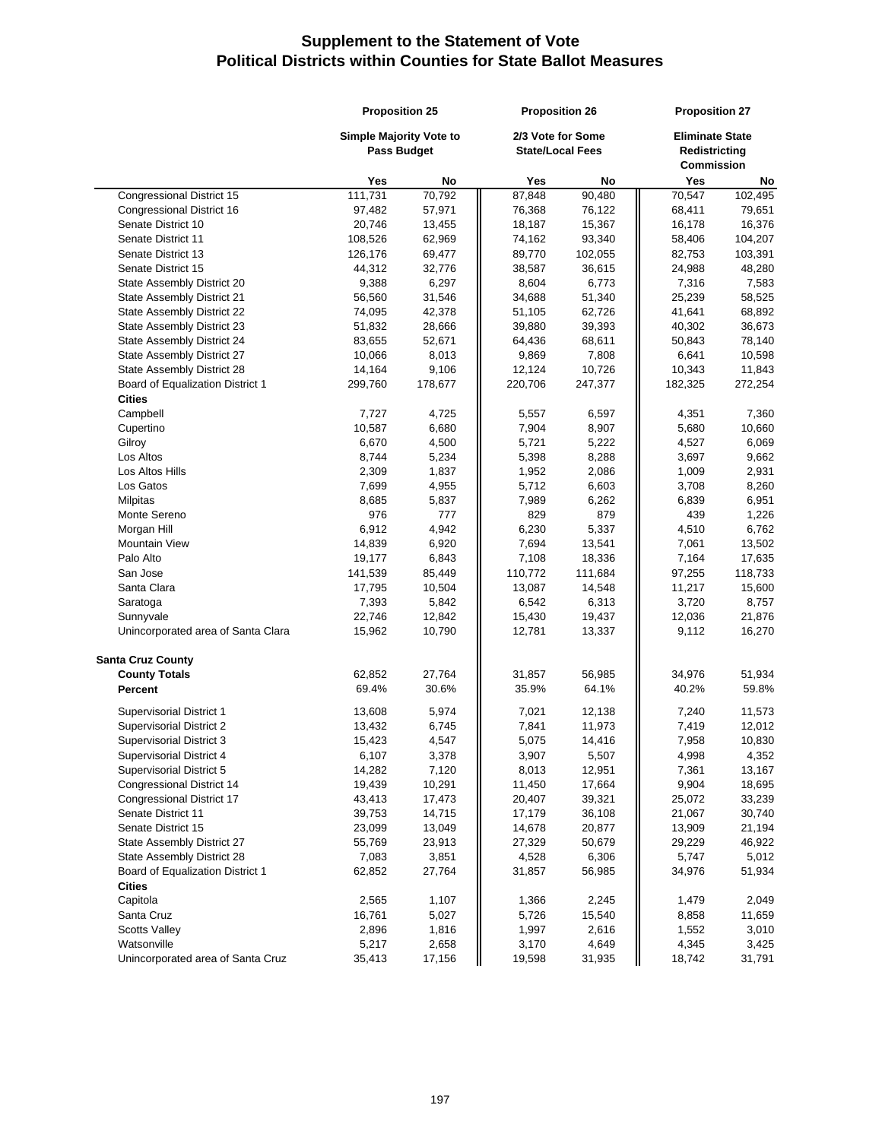|                                    | <b>Proposition 25</b>   |         | <b>Proposition 26</b>   |         | <b>Proposition 27</b>  |         |
|------------------------------------|-------------------------|---------|-------------------------|---------|------------------------|---------|
|                                    | Simple Majority Vote to |         | 2/3 Vote for Some       |         | <b>Eliminate State</b> |         |
|                                    | <b>Pass Budget</b>      |         | <b>State/Local Fees</b> |         | Redistricting          |         |
|                                    |                         |         |                         |         | <b>Commission</b>      |         |
|                                    | Yes                     | No      | Yes                     | No      | Yes                    | No      |
| Congressional District 15          | 111,731                 | 70,792  | 87,848                  | 90,480  | 70,547                 | 102,495 |
| Congressional District 16          | 97,482                  | 57,971  | 76,368                  | 76,122  | 68,411                 | 79,651  |
| Senate District 10                 | 20,746                  | 13,455  | 18,187                  | 15,367  | 16,178                 | 16,376  |
| Senate District 11                 | 108,526                 | 62,969  | 74,162                  | 93,340  | 58,406                 | 104,207 |
| Senate District 13                 | 126,176                 | 69,477  | 89,770                  | 102,055 | 82,753                 | 103,391 |
| Senate District 15                 | 44,312                  | 32,776  | 38,587                  | 36,615  | 24,988                 | 48,280  |
| State Assembly District 20         | 9,388                   | 6,297   | 8,604                   | 6,773   | 7,316                  | 7,583   |
| State Assembly District 21         | 56,560                  | 31,546  | 34,688                  | 51,340  | 25,239                 | 58,525  |
| State Assembly District 22         | 74,095                  | 42,378  | 51,105                  | 62,726  | 41,641                 | 68,892  |
| State Assembly District 23         | 51,832                  | 28,666  | 39,880                  | 39,393  | 40,302                 | 36,673  |
| State Assembly District 24         | 83,655                  | 52,671  | 64,436                  | 68,611  | 50,843                 | 78,140  |
| State Assembly District 27         | 10,066                  | 8,013   | 9,869                   | 7,808   | 6,641                  | 10,598  |
| State Assembly District 28         | 14,164                  | 9,106   | 12,124                  | 10,726  | 10,343                 | 11,843  |
| Board of Equalization District 1   | 299,760                 | 178,677 | 220,706                 | 247,377 | 182,325                | 272,254 |
| <b>Cities</b>                      |                         |         |                         |         |                        |         |
| Campbell                           | 7,727                   | 4,725   | 5,557                   | 6,597   | 4,351                  | 7,360   |
| Cupertino                          | 10,587                  | 6,680   | 7,904                   | 8,907   | 5,680                  | 10,660  |
| Gilroy                             | 6,670                   | 4,500   | 5,721                   | 5,222   | 4,527                  | 6,069   |
| Los Altos                          | 8,744                   | 5,234   | 5,398                   | 8,288   | 3,697                  | 9,662   |
| Los Altos Hills                    | 2,309                   | 1,837   | 1,952                   | 2,086   | 1,009                  | 2,931   |
| Los Gatos                          | 7,699                   | 4,955   | 5,712                   | 6,603   | 3,708                  | 8,260   |
| Milpitas                           | 8,685                   | 5,837   | 7,989                   | 6,262   | 6,839                  | 6,951   |
| Monte Sereno                       | 976                     | 777     | 829                     | 879     | 439                    | 1,226   |
| Morgan Hill                        | 6,912                   | 4,942   | 6,230                   | 5,337   | 4,510                  | 6,762   |
| <b>Mountain View</b>               | 14,839                  | 6,920   | 7,694                   | 13,541  | 7,061                  | 13,502  |
| Palo Alto                          | 19,177                  | 6,843   | 7,108                   | 18,336  | 7,164                  | 17,635  |
| San Jose                           | 141,539                 | 85,449  | 110,772                 | 111,684 | 97,255                 | 118,733 |
| Santa Clara                        | 17,795                  | 10,504  | 13,087                  | 14,548  | 11,217                 | 15,600  |
| Saratoga                           | 7,393                   | 5,842   | 6,542                   | 6,313   | 3,720                  | 8,757   |
| Sunnyvale                          | 22,746                  | 12,842  | 15,430                  | 19,437  | 12,036                 | 21,876  |
| Unincorporated area of Santa Clara | 15,962                  | 10,790  | 12,781                  | 13,337  | 9,112                  | 16,270  |
| <b>Santa Cruz County</b>           |                         |         |                         |         |                        |         |
| <b>County Totals</b>               | 62,852                  | 27,764  | 31,857                  | 56,985  | 34,976                 | 51,934  |
| Percent                            | 69.4%                   | 30.6%   | 35.9%                   | 64.1%   | 40.2%                  | 59.8%   |
| <b>Supervisorial District 1</b>    | 13,608                  | 5,974   | 7,021                   | 12,138  | 7,240                  | 11,573  |
| <b>Supervisorial District 2</b>    | 13,432                  | 6,745   | 7,841                   | 11,973  | 7,419                  | 12,012  |
| Supervisorial District 3           | 15,423                  | 4,547   | 5,075                   | 14,416  | 7,958                  | 10,830  |
| Supervisorial District 4           | 6,107                   | 3,378   | 3,907                   | 5,507   | 4,998                  | 4,352   |
| Supervisorial District 5           | 14,282                  | 7,120   | 8,013                   | 12,951  | 7,361                  | 13,167  |
| Congressional District 14          | 19,439                  | 10,291  | 11,450                  | 17,664  | 9,904                  | 18,695  |
| Congressional District 17          | 43,413                  | 17,473  | 20,407                  | 39,321  | 25,072                 | 33,239  |
| Senate District 11                 | 39,753                  | 14,715  | 17,179                  | 36,108  | 21,067                 | 30,740  |
| Senate District 15                 | 23,099                  | 13,049  | 14,678                  | 20,877  | 13,909                 | 21,194  |
| State Assembly District 27         | 55,769                  | 23,913  | 27,329                  | 50,679  | 29,229                 | 46,922  |
| State Assembly District 28         | 7,083                   | 3,851   | 4,528                   | 6,306   | 5,747                  | 5,012   |
| Board of Equalization District 1   | 62,852                  | 27,764  | 31,857                  | 56,985  | 34,976                 | 51,934  |
| <b>Cities</b>                      |                         |         |                         |         |                        |         |
| Capitola                           | 2,565                   | 1,107   | 1,366                   | 2,245   | 1,479                  | 2,049   |
| Santa Cruz                         | 16,761                  | 5,027   | 5,726                   | 15,540  | 8,858                  | 11,659  |
| <b>Scotts Valley</b>               | 2,896                   | 1,816   | 1,997                   | 2,616   | 1,552                  | 3,010   |
| Watsonville                        | 5,217                   | 2,658   | 3,170                   | 4,649   | 4,345                  | 3,425   |
| Unincorporated area of Santa Cruz  | 35,413                  | 17,156  | 19,598                  | 31,935  | 18,742                 | 31,791  |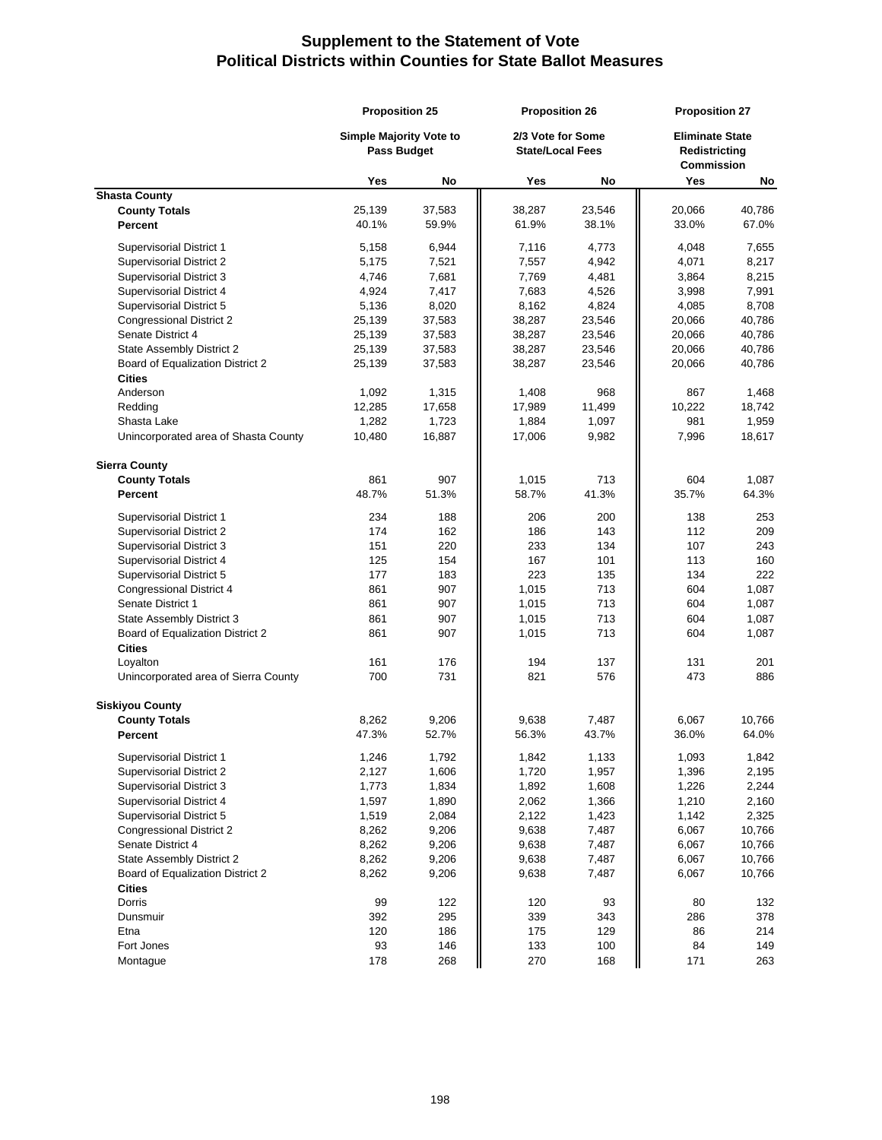|                                                   | <b>Proposition 25</b>                                |                 | <b>Proposition 26</b>                        |                 | <b>Proposition 27</b>                                 |                 |
|---------------------------------------------------|------------------------------------------------------|-----------------|----------------------------------------------|-----------------|-------------------------------------------------------|-----------------|
|                                                   | <b>Simple Majority Vote to</b><br><b>Pass Budget</b> |                 | 2/3 Vote for Some<br><b>State/Local Fees</b> |                 | <b>Eliminate State</b><br>Redistricting<br>Commission |                 |
|                                                   | Yes                                                  | No              | Yes                                          | No              | Yes                                                   | No              |
| <b>Shasta County</b>                              |                                                      |                 |                                              |                 |                                                       |                 |
| <b>County Totals</b>                              | 25,139                                               | 37,583          | 38,287                                       | 23,546          | 20,066                                                | 40,786          |
| Percent                                           | 40.1%                                                | 59.9%           | 61.9%                                        | 38.1%           | 33.0%                                                 | 67.0%           |
| Supervisorial District 1                          | 5,158                                                | 6,944           | 7,116                                        | 4,773           | 4,048                                                 | 7,655           |
| <b>Supervisorial District 2</b>                   | 5,175                                                | 7,521           | 7,557                                        | 4,942           | 4,071                                                 | 8,217           |
| Supervisorial District 3                          | 4,746                                                | 7,681           | 7,769                                        | 4,481           | 3,864                                                 | 8,215           |
| Supervisorial District 4                          | 4,924                                                | 7,417           | 7,683                                        | 4,526           | 3,998                                                 | 7,991           |
| Supervisorial District 5                          | 5,136                                                | 8,020           | 8,162                                        | 4,824           | 4,085                                                 | 8,708           |
| <b>Congressional District 2</b>                   | 25,139                                               | 37,583          | 38,287                                       | 23,546          | 20,066                                                | 40,786          |
| Senate District 4                                 | 25,139                                               | 37,583          | 38,287                                       | 23,546          | 20,066                                                | 40,786          |
| State Assembly District 2                         | 25,139                                               | 37,583          | 38,287                                       | 23,546          | 20,066                                                | 40,786          |
|                                                   |                                                      |                 |                                              |                 |                                                       |                 |
| Board of Equalization District 2<br><b>Cities</b> | 25,139                                               | 37,583          | 38,287                                       | 23,546          | 20,066                                                | 40,786          |
| Anderson                                          | 1,092                                                | 1,315           | 1,408                                        | 968             | 867                                                   | 1,468           |
|                                                   |                                                      |                 |                                              |                 |                                                       |                 |
| Redding<br>Shasta Lake                            | 12,285<br>1,282                                      | 17,658<br>1,723 | 17,989<br>1,884                              | 11,499<br>1,097 | 10,222<br>981                                         | 18,742<br>1,959 |
|                                                   |                                                      |                 |                                              |                 |                                                       |                 |
| Unincorporated area of Shasta County              | 10,480                                               | 16,887          | 17,006                                       | 9,982           | 7,996                                                 | 18,617          |
| <b>Sierra County</b>                              |                                                      |                 |                                              |                 |                                                       |                 |
| <b>County Totals</b>                              | 861                                                  | 907             | 1,015                                        | 713             | 604                                                   | 1,087           |
| Percent                                           | 48.7%                                                | 51.3%           | 58.7%                                        | 41.3%           | 35.7%                                                 | 64.3%           |
| Supervisorial District 1                          | 234                                                  | 188             | 206                                          | 200             | 138                                                   | 253             |
| Supervisorial District 2                          | 174                                                  | 162             | 186                                          | 143             | 112                                                   | 209             |
| Supervisorial District 3                          | 151                                                  | 220             | 233                                          | 134             | 107                                                   | 243             |
| Supervisorial District 4                          | 125                                                  | 154             | 167                                          | 101             | 113                                                   | 160             |
| Supervisorial District 5                          | 177                                                  | 183             | 223                                          | 135             | 134                                                   | 222             |
| <b>Congressional District 4</b>                   | 861                                                  | 907             | 1,015                                        | 713             | 604                                                   | 1,087           |
| Senate District 1                                 | 861                                                  | 907             | 1,015                                        | 713             | 604                                                   | 1,087           |
| State Assembly District 3                         | 861                                                  | 907             | 1,015                                        | 713             | 604                                                   | 1,087           |
| Board of Equalization District 2                  | 861                                                  | 907             | 1,015                                        | 713             | 604                                                   | 1,087           |
| <b>Cities</b>                                     |                                                      |                 |                                              |                 |                                                       |                 |
| Loyalton                                          | 161                                                  | 176             | 194                                          | 137             | 131                                                   | 201             |
| Unincorporated area of Sierra County              | 700                                                  | 731             | 821                                          | 576             | 473                                                   | 886             |
|                                                   |                                                      |                 |                                              |                 |                                                       |                 |
| <b>Siskiyou County</b>                            |                                                      |                 |                                              |                 |                                                       |                 |
| <b>County Totals</b>                              | 8,262                                                | 9,206           | 9,638                                        | 7,487           | 6,067                                                 | 10,766          |
| Percent                                           | 47.3%                                                | 52.7%           | 56.3%                                        | 43.7%           | 36.0%                                                 | 64.0%           |
| Supervisorial District 1                          | 1,246                                                | 1,792           | 1,842                                        | 1,133           | 1,093                                                 | 1,842           |
| <b>Supervisorial District 2</b>                   | 2,127                                                | 1,606           | 1,720                                        | 1,957           | 1,396                                                 | 2,195           |
| Supervisorial District 3                          | 1,773                                                | 1,834           | 1,892                                        | 1,608           | 1,226                                                 | 2,244           |
| Supervisorial District 4                          | 1,597                                                | 1,890           | 2,062                                        | 1,366           | 1,210                                                 | 2,160           |
| Supervisorial District 5                          | 1,519                                                | 2,084           | 2,122                                        | 1,423           | 1,142                                                 | 2,325           |
| <b>Congressional District 2</b>                   | 8,262                                                | 9,206           | 9,638                                        | 7,487           | 6,067                                                 | 10,766          |
| Senate District 4                                 | 8,262                                                | 9,206           | 9,638                                        | 7,487           | 6,067                                                 | 10,766          |
| State Assembly District 2                         | 8,262                                                | 9,206           | 9,638                                        | 7,487           | 6,067                                                 | 10,766          |
| Board of Equalization District 2                  | 8,262                                                | 9,206           | 9,638                                        | 7,487           | 6,067                                                 | 10,766          |
| <b>Cities</b>                                     |                                                      |                 |                                              |                 |                                                       |                 |
| Dorris                                            | 99                                                   | 122             | 120                                          | 93              | 80                                                    | 132             |
| Dunsmuir                                          | 392                                                  | 295             | 339                                          | 343             | 286                                                   | 378             |
| Etna                                              | 120                                                  | 186             | 175                                          | 129             | 86                                                    | 214             |
| Fort Jones                                        | 93                                                   | 146             | 133                                          | 100             | 84                                                    | 149             |
| Montague                                          | 178                                                  | 268             | 270                                          | 168             | 171                                                   | 263             |
|                                                   |                                                      |                 |                                              |                 |                                                       |                 |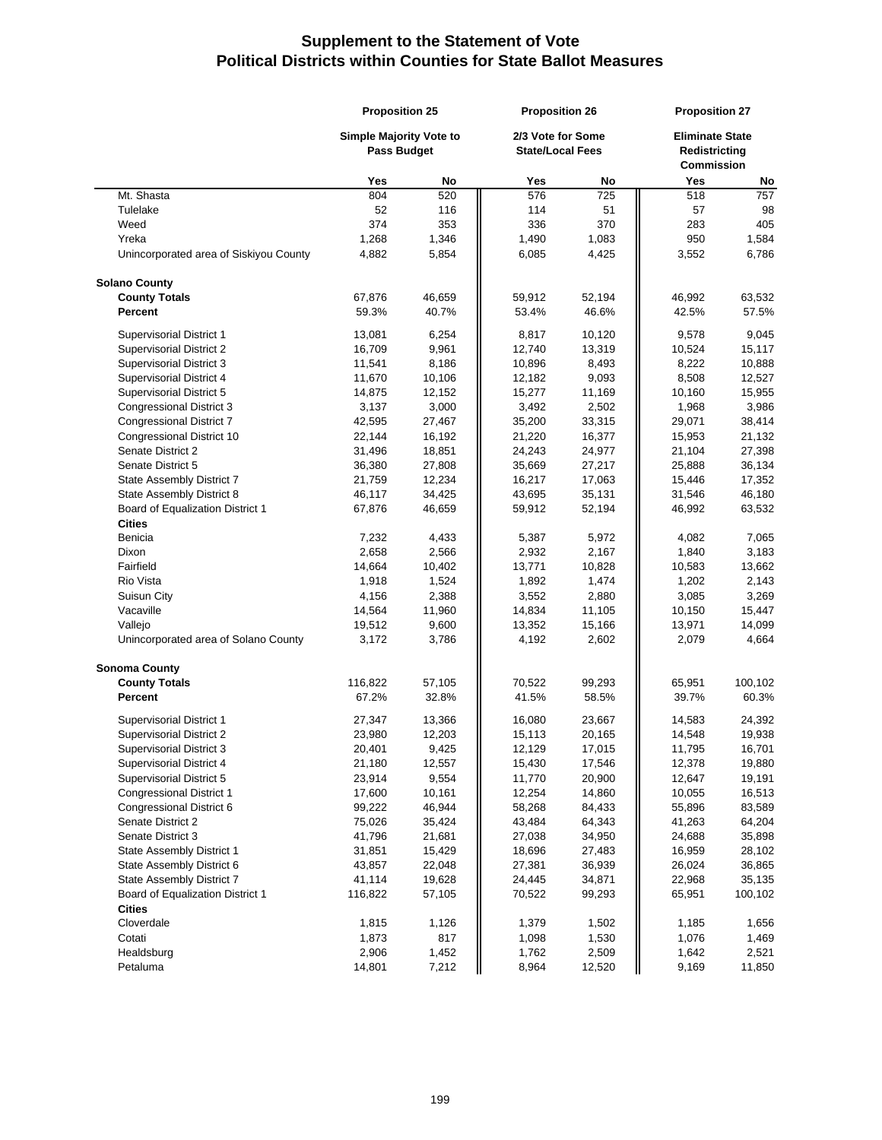|                                                 | <b>Proposition 25</b>                         |                | <b>Proposition 26</b>                        |                 | <b>Proposition 27</b>                                        |                 |
|-------------------------------------------------|-----------------------------------------------|----------------|----------------------------------------------|-----------------|--------------------------------------------------------------|-----------------|
|                                                 | Simple Majority Vote to<br><b>Pass Budget</b> |                | 2/3 Vote for Some<br><b>State/Local Fees</b> |                 | <b>Eliminate State</b><br>Redistricting<br><b>Commission</b> |                 |
|                                                 | Yes                                           | No             | Yes                                          | No              | Yes                                                          | No              |
| Mt. Shasta                                      | 804                                           | 520            | 576                                          | 725             | 518                                                          | 757             |
| Tulelake                                        | 52                                            | 116            | 114                                          | 51              | 57                                                           | 98              |
| Weed                                            | 374                                           | 353            | 336                                          | 370             | 283                                                          | 405             |
| Yreka                                           | 1,268                                         | 1,346          | 1,490                                        | 1,083           | 950                                                          | 1,584           |
| Unincorporated area of Siskiyou County          | 4,882                                         | 5,854          | 6,085                                        | 4,425           | 3,552                                                        | 6,786           |
| <b>Solano County</b>                            |                                               |                |                                              |                 |                                                              |                 |
| <b>County Totals</b>                            | 67,876                                        | 46,659         | 59,912                                       | 52,194          | 46,992                                                       | 63,532          |
| Percent                                         | 59.3%                                         | 40.7%          | 53.4%                                        | 46.6%           | 42.5%                                                        | 57.5%           |
| Supervisorial District 1                        | 13,081                                        | 6,254          | 8,817                                        | 10,120          | 9,578                                                        | 9,045           |
| Supervisorial District 2                        | 16,709                                        | 9,961          | 12,740                                       | 13,319          | 10,524                                                       | 15,117          |
| Supervisorial District 3                        | 11,541                                        | 8,186          | 10,896                                       | 8,493           | 8,222                                                        | 10,888          |
| Supervisorial District 4                        | 11,670                                        | 10,106         | 12,182                                       | 9,093           | 8,508                                                        | 12,527          |
| Supervisorial District 5                        | 14,875                                        | 12,152         | 15,277                                       | 11,169          | 10,160                                                       | 15,955          |
| Congressional District 3                        | 3,137                                         | 3,000          | 3,492                                        | 2,502           | 1,968                                                        | 3,986           |
| Congressional District 7                        | 42,595                                        | 27,467         | 35,200                                       | 33,315          | 29,071                                                       | 38,414          |
| Congressional District 10                       | 22,144                                        | 16,192         | 21,220                                       | 16,377          | 15,953                                                       | 21,132          |
| Senate District 2                               | 31,496                                        | 18,851         | 24,243                                       | 24,977          | 21,104                                                       | 27,398          |
| Senate District 5                               | 36,380                                        | 27,808         | 35,669                                       | 27,217          | 25,888                                                       | 36,134          |
| State Assembly District 7                       | 21,759                                        | 12,234         | 16,217                                       | 17,063          | 15,446                                                       | 17,352          |
| State Assembly District 8                       | 46,117                                        | 34,425         | 43,695                                       | 35,131          | 31,546                                                       | 46,180          |
| Board of Equalization District 1                | 67,876                                        | 46,659         | 59,912                                       | 52,194          | 46,992                                                       | 63,532          |
| <b>Cities</b>                                   |                                               |                |                                              |                 |                                                              |                 |
| Benicia                                         | 7,232                                         | 4,433          | 5,387                                        | 5,972           | 4,082                                                        | 7,065           |
| Dixon                                           | 2,658                                         | 2,566          | 2,932                                        | 2,167           | 1,840                                                        | 3,183           |
| Fairfield                                       | 14,664                                        | 10,402         | 13,771                                       | 10,828          | 10,583                                                       | 13,662          |
| Rio Vista                                       | 1,918                                         | 1,524<br>2,388 | 1,892                                        | 1,474<br>2,880  | 1,202                                                        | 2,143<br>3,269  |
| Suisun City<br>Vacaville                        | 4,156<br>14,564                               |                | 3,552                                        |                 | 3,085                                                        |                 |
|                                                 |                                               | 11,960         | 14,834                                       | 11,105          | 10,150                                                       | 15,447          |
| Vallejo<br>Unincorporated area of Solano County | 19,512<br>3,172                               | 9,600<br>3,786 | 13,352<br>4,192                              | 15,166<br>2,602 | 13,971<br>2,079                                              | 14,099<br>4,664 |
|                                                 |                                               |                |                                              |                 |                                                              |                 |
| <b>Sonoma County</b>                            |                                               |                |                                              |                 |                                                              |                 |
| <b>County Totals</b>                            | 116,822                                       | 57,105         | 70,522                                       | 99,293          | 65,951                                                       | 100,102         |
| <b>Percent</b>                                  | 67.2%                                         | 32.8%          | 41.5%                                        | 58.5%           | 39.7%                                                        | 60.3%           |
| Supervisorial District 1                        | 27,347                                        | 13,366         | 16,080                                       | 23,667          | 14,583                                                       | 24,392          |
| <b>Supervisorial District 2</b>                 | 23,980                                        | 12,203         | 15,113                                       | 20,165          | 14,548                                                       | 19,938          |
| Supervisorial District 3                        | 20,401                                        | 9,425          | 12,129                                       | 17,015          | 11,795                                                       | 16,701          |
| Supervisorial District 4                        | 21,180                                        | 12,557         | 15,430                                       | 17,546          | 12,378                                                       | 19,880          |
| Supervisorial District 5                        | 23,914                                        | 9,554          | 11,770                                       | 20,900          | 12,647                                                       | 19,191          |
| <b>Congressional District 1</b>                 | 17,600                                        | 10,161         | 12,254                                       | 14,860          | 10,055                                                       | 16,513          |
| Congressional District 6                        | 99,222                                        | 46,944         | 58,268                                       | 84,433          | 55,896                                                       | 83,589          |
| Senate District 2                               | 75,026                                        | 35,424         | 43,484                                       | 64,343          | 41,263                                                       | 64,204          |
| Senate District 3                               | 41,796                                        | 21,681         | 27,038                                       | 34,950          | 24,688                                                       | 35,898          |
| State Assembly District 1                       | 31,851                                        | 15,429         | 18,696                                       | 27,483          | 16,959                                                       | 28,102          |
| State Assembly District 6                       | 43,857                                        | 22,048         | 27,381                                       | 36,939          | 26,024                                                       | 36,865          |
| State Assembly District 7                       | 41,114                                        | 19,628         | 24,445                                       | 34,871          | 22,968                                                       | 35,135          |
| Board of Equalization District 1                | 116,822                                       | 57,105         | 70,522                                       | 99,293          | 65,951                                                       | 100,102         |
| <b>Cities</b>                                   |                                               |                |                                              |                 |                                                              |                 |
| Cloverdale                                      | 1,815                                         | 1,126          | 1,379                                        | 1,502           | 1,185                                                        | 1,656           |
| Cotati                                          | 1,873                                         | 817            | 1,098<br>1,762                               | 1,530           | 1,076                                                        | 1,469           |
| Healdsburg<br>Petaluma                          | 2,906<br>14,801                               | 1,452<br>7,212 | 8,964                                        | 2,509<br>12,520 | 1,642<br>9,169                                               | 2,521<br>11,850 |
|                                                 |                                               |                |                                              |                 |                                                              |                 |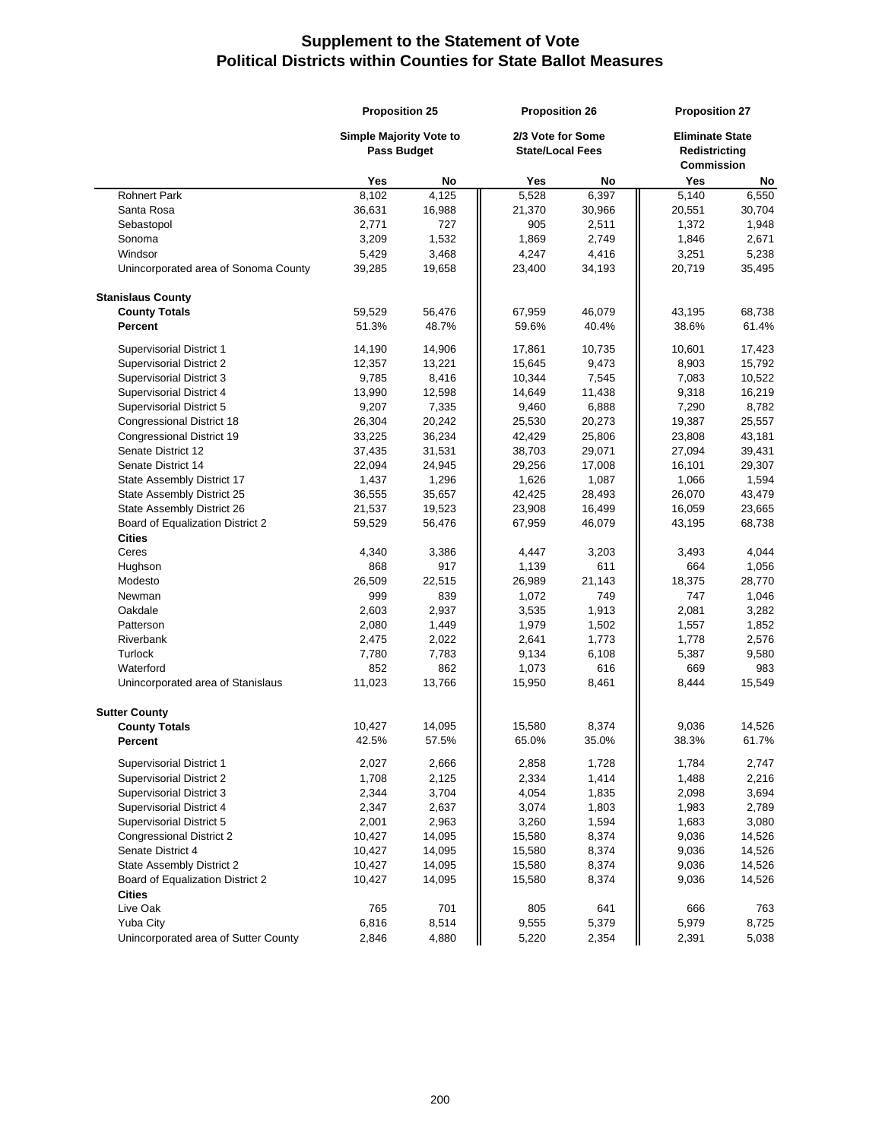| 2/3 Vote for Some<br><b>Eliminate State</b><br><b>Simple Majority Vote to</b><br><b>Pass Budget</b><br><b>State/Local Fees</b><br>Redistricting<br><b>Commission</b><br>Yes<br>No<br>Yes<br>Yes<br>No<br>No<br>8,102<br>4,125<br>5,528<br>6,397<br>5,140<br><b>Rohnert Park</b><br>6,550<br>36,631<br>Santa Rosa<br>16,988<br>21,370<br>30,966<br>20,551<br>30,704<br>2,771<br>727<br>905<br>Sebastopol<br>2,511<br>1,372<br>1,948<br>3,209<br>1,532<br>1,869<br>2,749<br>1,846<br>2,671<br>Sonoma<br>Windsor<br>5,429<br>3,468<br>4,247<br>4,416<br>3,251<br>5,238<br>Unincorporated area of Sonoma County<br>39,285<br>19,658<br>23,400<br>34,193<br>20,719<br>35,495<br><b>Stanislaus County</b><br><b>County Totals</b><br>59,529<br>56,476<br>67,959<br>46,079<br>43,195<br>68,738<br><b>Percent</b><br>51.3%<br>48.7%<br>59.6%<br>40.4%<br>38.6%<br>61.4%<br><b>Supervisorial District 1</b><br>14,190<br>14,906<br>17,861<br>10,735<br>10,601<br>17,423<br>15,792<br><b>Supervisorial District 2</b><br>12,357<br>13,221<br>15,645<br>9,473<br>8,903<br>Supervisorial District 3<br>9,785<br>8,416<br>10,344<br>7,545<br>7,083<br>10,522<br>13,990<br>12,598<br>9,318<br>16,219<br>Supervisorial District 4<br>14,649<br>11,438<br>9,207<br>7,335<br>9,460<br>6,888<br>Supervisorial District 5<br>7,290<br>8,782<br><b>Congressional District 18</b><br>26,304<br>20,242<br>25,530<br>20,273<br>19,387<br>25,557<br>36,234<br>43,181<br>Congressional District 19<br>33,225<br>42,429<br>25,806<br>23,808<br>Senate District 12<br>38,703<br>37,435<br>31,531<br>29,071<br>27,094<br>39,431<br>Senate District 14<br>22,094<br>24,945<br>29,256<br>17,008<br>16,101<br>29,307<br>1,626<br>1,594<br>State Assembly District 17<br>1,437<br>1,296<br>1,087<br>1,066<br>42,425<br>State Assembly District 25<br>36,555<br>35,657<br>28,493<br>26,070<br>43,479<br>State Assembly District 26<br>21,537<br>19,523<br>23,908<br>16,059<br>23,665<br>16,499<br>Board of Equalization District 2<br>59,529<br>56,476<br>67,959<br>46,079<br>43,195<br>68,738<br><b>Cities</b><br>Ceres<br>4,340<br>3,386<br>4,447<br>3,203<br>3,493<br>4,044<br>868<br>917<br>611<br>Hughson<br>1,139<br>664<br>1,056<br>Modesto<br>26,509<br>22,515<br>26,989<br>21,143<br>18,375<br>28,770<br>999<br>839<br>1,072<br>747<br>1,046<br>Newman<br>749<br>Oakdale<br>2,603<br>2,937<br>3,535<br>1,913<br>2,081<br>3,282<br>Patterson<br>2,080<br>1,449<br>1,979<br>1,502<br>1,557<br>1,852<br>1,773<br>Riverbank<br>2,475<br>2,022<br>2,641<br>1,778<br>2,576<br>Turlock<br>7,783<br>6,108<br>9,580<br>7,780<br>9,134<br>5,387<br>616<br>Waterford<br>852<br>862<br>1,073<br>669<br>983<br>11,023<br>13,766<br>Unincorporated area of Stanislaus<br>15,950<br>8,461<br>8,444<br>15,549<br><b>Sutter County</b><br><b>County Totals</b><br>10,427<br>14,095<br>15,580<br>8,374<br>9,036<br>14,526<br>57.5%<br>35.0%<br>61.7%<br>Percent<br>42.5%<br>65.0%<br>38.3%<br>2,027<br>Supervisorial District 1<br>2,666<br>2,858<br>1,728<br>1,784<br>2,747<br>1,708<br>2,334<br>1,414<br>1,488<br>Supervisorial District 2<br>2,125<br>2,216<br>3,704<br>4,054<br>1,835<br>Supervisorial District 3<br>2,344<br>2,098<br>3,694<br>2,347<br>2,637<br>3,074<br>1,983<br>2,789<br>Supervisorial District 4<br>1,803<br>Supervisorial District 5<br>1,594<br>2,001<br>2,963<br>3,260<br>1,683<br>3,080<br><b>Congressional District 2</b><br>10,427<br>14,095<br>15,580<br>8,374<br>9,036<br>14,526<br>Senate District 4<br>10,427<br>14,095<br>15,580<br>8,374<br>9,036<br>14,526<br>State Assembly District 2<br>14,095<br>8,374<br>9,036<br>10,427<br>15,580<br>14,526<br>Board of Equalization District 2<br>10,427<br>14,095<br>15,580<br>8,374<br>9,036<br>14,526 | <b>Proposition 25</b> |  | <b>Proposition 26</b> |  | <b>Proposition 27</b> |       |  |
|---------------------------------------------------------------------------------------------------------------------------------------------------------------------------------------------------------------------------------------------------------------------------------------------------------------------------------------------------------------------------------------------------------------------------------------------------------------------------------------------------------------------------------------------------------------------------------------------------------------------------------------------------------------------------------------------------------------------------------------------------------------------------------------------------------------------------------------------------------------------------------------------------------------------------------------------------------------------------------------------------------------------------------------------------------------------------------------------------------------------------------------------------------------------------------------------------------------------------------------------------------------------------------------------------------------------------------------------------------------------------------------------------------------------------------------------------------------------------------------------------------------------------------------------------------------------------------------------------------------------------------------------------------------------------------------------------------------------------------------------------------------------------------------------------------------------------------------------------------------------------------------------------------------------------------------------------------------------------------------------------------------------------------------------------------------------------------------------------------------------------------------------------------------------------------------------------------------------------------------------------------------------------------------------------------------------------------------------------------------------------------------------------------------------------------------------------------------------------------------------------------------------------------------------------------------------------------------------------------------------------------------------------------------------------------------------------------------------------------------------------------------------------------------------------------------------------------------------------------------------------------------------------------------------------------------------------------------------------------------------------------------------------------------------------------------------------------------------------------------------------------------------------------------------------------------------------------------------------------------------------------------------------------------------------------------------------------------------------------------------------------------------------------------------------------------------------------------------------------------------------------------------------------------------------------------------------------------------------------------------------------------------------------------------------------------------------------------------------------------------|-----------------------|--|-----------------------|--|-----------------------|-------|--|
|                                                                                                                                                                                                                                                                                                                                                                                                                                                                                                                                                                                                                                                                                                                                                                                                                                                                                                                                                                                                                                                                                                                                                                                                                                                                                                                                                                                                                                                                                                                                                                                                                                                                                                                                                                                                                                                                                                                                                                                                                                                                                                                                                                                                                                                                                                                                                                                                                                                                                                                                                                                                                                                                                                                                                                                                                                                                                                                                                                                                                                                                                                                                                                                                                                                                                                                                                                                                                                                                                                                                                                                                                                                                                                                                             |                       |  |                       |  |                       |       |  |
|                                                                                                                                                                                                                                                                                                                                                                                                                                                                                                                                                                                                                                                                                                                                                                                                                                                                                                                                                                                                                                                                                                                                                                                                                                                                                                                                                                                                                                                                                                                                                                                                                                                                                                                                                                                                                                                                                                                                                                                                                                                                                                                                                                                                                                                                                                                                                                                                                                                                                                                                                                                                                                                                                                                                                                                                                                                                                                                                                                                                                                                                                                                                                                                                                                                                                                                                                                                                                                                                                                                                                                                                                                                                                                                                             |                       |  |                       |  |                       |       |  |
|                                                                                                                                                                                                                                                                                                                                                                                                                                                                                                                                                                                                                                                                                                                                                                                                                                                                                                                                                                                                                                                                                                                                                                                                                                                                                                                                                                                                                                                                                                                                                                                                                                                                                                                                                                                                                                                                                                                                                                                                                                                                                                                                                                                                                                                                                                                                                                                                                                                                                                                                                                                                                                                                                                                                                                                                                                                                                                                                                                                                                                                                                                                                                                                                                                                                                                                                                                                                                                                                                                                                                                                                                                                                                                                                             |                       |  |                       |  |                       |       |  |
|                                                                                                                                                                                                                                                                                                                                                                                                                                                                                                                                                                                                                                                                                                                                                                                                                                                                                                                                                                                                                                                                                                                                                                                                                                                                                                                                                                                                                                                                                                                                                                                                                                                                                                                                                                                                                                                                                                                                                                                                                                                                                                                                                                                                                                                                                                                                                                                                                                                                                                                                                                                                                                                                                                                                                                                                                                                                                                                                                                                                                                                                                                                                                                                                                                                                                                                                                                                                                                                                                                                                                                                                                                                                                                                                             |                       |  |                       |  |                       |       |  |
|                                                                                                                                                                                                                                                                                                                                                                                                                                                                                                                                                                                                                                                                                                                                                                                                                                                                                                                                                                                                                                                                                                                                                                                                                                                                                                                                                                                                                                                                                                                                                                                                                                                                                                                                                                                                                                                                                                                                                                                                                                                                                                                                                                                                                                                                                                                                                                                                                                                                                                                                                                                                                                                                                                                                                                                                                                                                                                                                                                                                                                                                                                                                                                                                                                                                                                                                                                                                                                                                                                                                                                                                                                                                                                                                             |                       |  |                       |  |                       |       |  |
|                                                                                                                                                                                                                                                                                                                                                                                                                                                                                                                                                                                                                                                                                                                                                                                                                                                                                                                                                                                                                                                                                                                                                                                                                                                                                                                                                                                                                                                                                                                                                                                                                                                                                                                                                                                                                                                                                                                                                                                                                                                                                                                                                                                                                                                                                                                                                                                                                                                                                                                                                                                                                                                                                                                                                                                                                                                                                                                                                                                                                                                                                                                                                                                                                                                                                                                                                                                                                                                                                                                                                                                                                                                                                                                                             |                       |  |                       |  |                       |       |  |
|                                                                                                                                                                                                                                                                                                                                                                                                                                                                                                                                                                                                                                                                                                                                                                                                                                                                                                                                                                                                                                                                                                                                                                                                                                                                                                                                                                                                                                                                                                                                                                                                                                                                                                                                                                                                                                                                                                                                                                                                                                                                                                                                                                                                                                                                                                                                                                                                                                                                                                                                                                                                                                                                                                                                                                                                                                                                                                                                                                                                                                                                                                                                                                                                                                                                                                                                                                                                                                                                                                                                                                                                                                                                                                                                             |                       |  |                       |  |                       |       |  |
|                                                                                                                                                                                                                                                                                                                                                                                                                                                                                                                                                                                                                                                                                                                                                                                                                                                                                                                                                                                                                                                                                                                                                                                                                                                                                                                                                                                                                                                                                                                                                                                                                                                                                                                                                                                                                                                                                                                                                                                                                                                                                                                                                                                                                                                                                                                                                                                                                                                                                                                                                                                                                                                                                                                                                                                                                                                                                                                                                                                                                                                                                                                                                                                                                                                                                                                                                                                                                                                                                                                                                                                                                                                                                                                                             |                       |  |                       |  |                       |       |  |
|                                                                                                                                                                                                                                                                                                                                                                                                                                                                                                                                                                                                                                                                                                                                                                                                                                                                                                                                                                                                                                                                                                                                                                                                                                                                                                                                                                                                                                                                                                                                                                                                                                                                                                                                                                                                                                                                                                                                                                                                                                                                                                                                                                                                                                                                                                                                                                                                                                                                                                                                                                                                                                                                                                                                                                                                                                                                                                                                                                                                                                                                                                                                                                                                                                                                                                                                                                                                                                                                                                                                                                                                                                                                                                                                             |                       |  |                       |  |                       |       |  |
|                                                                                                                                                                                                                                                                                                                                                                                                                                                                                                                                                                                                                                                                                                                                                                                                                                                                                                                                                                                                                                                                                                                                                                                                                                                                                                                                                                                                                                                                                                                                                                                                                                                                                                                                                                                                                                                                                                                                                                                                                                                                                                                                                                                                                                                                                                                                                                                                                                                                                                                                                                                                                                                                                                                                                                                                                                                                                                                                                                                                                                                                                                                                                                                                                                                                                                                                                                                                                                                                                                                                                                                                                                                                                                                                             |                       |  |                       |  |                       |       |  |
|                                                                                                                                                                                                                                                                                                                                                                                                                                                                                                                                                                                                                                                                                                                                                                                                                                                                                                                                                                                                                                                                                                                                                                                                                                                                                                                                                                                                                                                                                                                                                                                                                                                                                                                                                                                                                                                                                                                                                                                                                                                                                                                                                                                                                                                                                                                                                                                                                                                                                                                                                                                                                                                                                                                                                                                                                                                                                                                                                                                                                                                                                                                                                                                                                                                                                                                                                                                                                                                                                                                                                                                                                                                                                                                                             |                       |  |                       |  |                       |       |  |
|                                                                                                                                                                                                                                                                                                                                                                                                                                                                                                                                                                                                                                                                                                                                                                                                                                                                                                                                                                                                                                                                                                                                                                                                                                                                                                                                                                                                                                                                                                                                                                                                                                                                                                                                                                                                                                                                                                                                                                                                                                                                                                                                                                                                                                                                                                                                                                                                                                                                                                                                                                                                                                                                                                                                                                                                                                                                                                                                                                                                                                                                                                                                                                                                                                                                                                                                                                                                                                                                                                                                                                                                                                                                                                                                             |                       |  |                       |  |                       |       |  |
|                                                                                                                                                                                                                                                                                                                                                                                                                                                                                                                                                                                                                                                                                                                                                                                                                                                                                                                                                                                                                                                                                                                                                                                                                                                                                                                                                                                                                                                                                                                                                                                                                                                                                                                                                                                                                                                                                                                                                                                                                                                                                                                                                                                                                                                                                                                                                                                                                                                                                                                                                                                                                                                                                                                                                                                                                                                                                                                                                                                                                                                                                                                                                                                                                                                                                                                                                                                                                                                                                                                                                                                                                                                                                                                                             |                       |  |                       |  |                       |       |  |
|                                                                                                                                                                                                                                                                                                                                                                                                                                                                                                                                                                                                                                                                                                                                                                                                                                                                                                                                                                                                                                                                                                                                                                                                                                                                                                                                                                                                                                                                                                                                                                                                                                                                                                                                                                                                                                                                                                                                                                                                                                                                                                                                                                                                                                                                                                                                                                                                                                                                                                                                                                                                                                                                                                                                                                                                                                                                                                                                                                                                                                                                                                                                                                                                                                                                                                                                                                                                                                                                                                                                                                                                                                                                                                                                             |                       |  |                       |  |                       |       |  |
|                                                                                                                                                                                                                                                                                                                                                                                                                                                                                                                                                                                                                                                                                                                                                                                                                                                                                                                                                                                                                                                                                                                                                                                                                                                                                                                                                                                                                                                                                                                                                                                                                                                                                                                                                                                                                                                                                                                                                                                                                                                                                                                                                                                                                                                                                                                                                                                                                                                                                                                                                                                                                                                                                                                                                                                                                                                                                                                                                                                                                                                                                                                                                                                                                                                                                                                                                                                                                                                                                                                                                                                                                                                                                                                                             |                       |  |                       |  |                       |       |  |
|                                                                                                                                                                                                                                                                                                                                                                                                                                                                                                                                                                                                                                                                                                                                                                                                                                                                                                                                                                                                                                                                                                                                                                                                                                                                                                                                                                                                                                                                                                                                                                                                                                                                                                                                                                                                                                                                                                                                                                                                                                                                                                                                                                                                                                                                                                                                                                                                                                                                                                                                                                                                                                                                                                                                                                                                                                                                                                                                                                                                                                                                                                                                                                                                                                                                                                                                                                                                                                                                                                                                                                                                                                                                                                                                             |                       |  |                       |  |                       |       |  |
|                                                                                                                                                                                                                                                                                                                                                                                                                                                                                                                                                                                                                                                                                                                                                                                                                                                                                                                                                                                                                                                                                                                                                                                                                                                                                                                                                                                                                                                                                                                                                                                                                                                                                                                                                                                                                                                                                                                                                                                                                                                                                                                                                                                                                                                                                                                                                                                                                                                                                                                                                                                                                                                                                                                                                                                                                                                                                                                                                                                                                                                                                                                                                                                                                                                                                                                                                                                                                                                                                                                                                                                                                                                                                                                                             |                       |  |                       |  |                       |       |  |
|                                                                                                                                                                                                                                                                                                                                                                                                                                                                                                                                                                                                                                                                                                                                                                                                                                                                                                                                                                                                                                                                                                                                                                                                                                                                                                                                                                                                                                                                                                                                                                                                                                                                                                                                                                                                                                                                                                                                                                                                                                                                                                                                                                                                                                                                                                                                                                                                                                                                                                                                                                                                                                                                                                                                                                                                                                                                                                                                                                                                                                                                                                                                                                                                                                                                                                                                                                                                                                                                                                                                                                                                                                                                                                                                             |                       |  |                       |  |                       |       |  |
|                                                                                                                                                                                                                                                                                                                                                                                                                                                                                                                                                                                                                                                                                                                                                                                                                                                                                                                                                                                                                                                                                                                                                                                                                                                                                                                                                                                                                                                                                                                                                                                                                                                                                                                                                                                                                                                                                                                                                                                                                                                                                                                                                                                                                                                                                                                                                                                                                                                                                                                                                                                                                                                                                                                                                                                                                                                                                                                                                                                                                                                                                                                                                                                                                                                                                                                                                                                                                                                                                                                                                                                                                                                                                                                                             |                       |  |                       |  |                       |       |  |
|                                                                                                                                                                                                                                                                                                                                                                                                                                                                                                                                                                                                                                                                                                                                                                                                                                                                                                                                                                                                                                                                                                                                                                                                                                                                                                                                                                                                                                                                                                                                                                                                                                                                                                                                                                                                                                                                                                                                                                                                                                                                                                                                                                                                                                                                                                                                                                                                                                                                                                                                                                                                                                                                                                                                                                                                                                                                                                                                                                                                                                                                                                                                                                                                                                                                                                                                                                                                                                                                                                                                                                                                                                                                                                                                             |                       |  |                       |  |                       |       |  |
|                                                                                                                                                                                                                                                                                                                                                                                                                                                                                                                                                                                                                                                                                                                                                                                                                                                                                                                                                                                                                                                                                                                                                                                                                                                                                                                                                                                                                                                                                                                                                                                                                                                                                                                                                                                                                                                                                                                                                                                                                                                                                                                                                                                                                                                                                                                                                                                                                                                                                                                                                                                                                                                                                                                                                                                                                                                                                                                                                                                                                                                                                                                                                                                                                                                                                                                                                                                                                                                                                                                                                                                                                                                                                                                                             |                       |  |                       |  |                       |       |  |
|                                                                                                                                                                                                                                                                                                                                                                                                                                                                                                                                                                                                                                                                                                                                                                                                                                                                                                                                                                                                                                                                                                                                                                                                                                                                                                                                                                                                                                                                                                                                                                                                                                                                                                                                                                                                                                                                                                                                                                                                                                                                                                                                                                                                                                                                                                                                                                                                                                                                                                                                                                                                                                                                                                                                                                                                                                                                                                                                                                                                                                                                                                                                                                                                                                                                                                                                                                                                                                                                                                                                                                                                                                                                                                                                             |                       |  |                       |  |                       |       |  |
|                                                                                                                                                                                                                                                                                                                                                                                                                                                                                                                                                                                                                                                                                                                                                                                                                                                                                                                                                                                                                                                                                                                                                                                                                                                                                                                                                                                                                                                                                                                                                                                                                                                                                                                                                                                                                                                                                                                                                                                                                                                                                                                                                                                                                                                                                                                                                                                                                                                                                                                                                                                                                                                                                                                                                                                                                                                                                                                                                                                                                                                                                                                                                                                                                                                                                                                                                                                                                                                                                                                                                                                                                                                                                                                                             |                       |  |                       |  |                       |       |  |
|                                                                                                                                                                                                                                                                                                                                                                                                                                                                                                                                                                                                                                                                                                                                                                                                                                                                                                                                                                                                                                                                                                                                                                                                                                                                                                                                                                                                                                                                                                                                                                                                                                                                                                                                                                                                                                                                                                                                                                                                                                                                                                                                                                                                                                                                                                                                                                                                                                                                                                                                                                                                                                                                                                                                                                                                                                                                                                                                                                                                                                                                                                                                                                                                                                                                                                                                                                                                                                                                                                                                                                                                                                                                                                                                             |                       |  |                       |  |                       |       |  |
|                                                                                                                                                                                                                                                                                                                                                                                                                                                                                                                                                                                                                                                                                                                                                                                                                                                                                                                                                                                                                                                                                                                                                                                                                                                                                                                                                                                                                                                                                                                                                                                                                                                                                                                                                                                                                                                                                                                                                                                                                                                                                                                                                                                                                                                                                                                                                                                                                                                                                                                                                                                                                                                                                                                                                                                                                                                                                                                                                                                                                                                                                                                                                                                                                                                                                                                                                                                                                                                                                                                                                                                                                                                                                                                                             |                       |  |                       |  |                       |       |  |
|                                                                                                                                                                                                                                                                                                                                                                                                                                                                                                                                                                                                                                                                                                                                                                                                                                                                                                                                                                                                                                                                                                                                                                                                                                                                                                                                                                                                                                                                                                                                                                                                                                                                                                                                                                                                                                                                                                                                                                                                                                                                                                                                                                                                                                                                                                                                                                                                                                                                                                                                                                                                                                                                                                                                                                                                                                                                                                                                                                                                                                                                                                                                                                                                                                                                                                                                                                                                                                                                                                                                                                                                                                                                                                                                             |                       |  |                       |  |                       |       |  |
|                                                                                                                                                                                                                                                                                                                                                                                                                                                                                                                                                                                                                                                                                                                                                                                                                                                                                                                                                                                                                                                                                                                                                                                                                                                                                                                                                                                                                                                                                                                                                                                                                                                                                                                                                                                                                                                                                                                                                                                                                                                                                                                                                                                                                                                                                                                                                                                                                                                                                                                                                                                                                                                                                                                                                                                                                                                                                                                                                                                                                                                                                                                                                                                                                                                                                                                                                                                                                                                                                                                                                                                                                                                                                                                                             |                       |  |                       |  |                       |       |  |
|                                                                                                                                                                                                                                                                                                                                                                                                                                                                                                                                                                                                                                                                                                                                                                                                                                                                                                                                                                                                                                                                                                                                                                                                                                                                                                                                                                                                                                                                                                                                                                                                                                                                                                                                                                                                                                                                                                                                                                                                                                                                                                                                                                                                                                                                                                                                                                                                                                                                                                                                                                                                                                                                                                                                                                                                                                                                                                                                                                                                                                                                                                                                                                                                                                                                                                                                                                                                                                                                                                                                                                                                                                                                                                                                             |                       |  |                       |  |                       |       |  |
|                                                                                                                                                                                                                                                                                                                                                                                                                                                                                                                                                                                                                                                                                                                                                                                                                                                                                                                                                                                                                                                                                                                                                                                                                                                                                                                                                                                                                                                                                                                                                                                                                                                                                                                                                                                                                                                                                                                                                                                                                                                                                                                                                                                                                                                                                                                                                                                                                                                                                                                                                                                                                                                                                                                                                                                                                                                                                                                                                                                                                                                                                                                                                                                                                                                                                                                                                                                                                                                                                                                                                                                                                                                                                                                                             |                       |  |                       |  |                       |       |  |
|                                                                                                                                                                                                                                                                                                                                                                                                                                                                                                                                                                                                                                                                                                                                                                                                                                                                                                                                                                                                                                                                                                                                                                                                                                                                                                                                                                                                                                                                                                                                                                                                                                                                                                                                                                                                                                                                                                                                                                                                                                                                                                                                                                                                                                                                                                                                                                                                                                                                                                                                                                                                                                                                                                                                                                                                                                                                                                                                                                                                                                                                                                                                                                                                                                                                                                                                                                                                                                                                                                                                                                                                                                                                                                                                             |                       |  |                       |  |                       |       |  |
|                                                                                                                                                                                                                                                                                                                                                                                                                                                                                                                                                                                                                                                                                                                                                                                                                                                                                                                                                                                                                                                                                                                                                                                                                                                                                                                                                                                                                                                                                                                                                                                                                                                                                                                                                                                                                                                                                                                                                                                                                                                                                                                                                                                                                                                                                                                                                                                                                                                                                                                                                                                                                                                                                                                                                                                                                                                                                                                                                                                                                                                                                                                                                                                                                                                                                                                                                                                                                                                                                                                                                                                                                                                                                                                                             |                       |  |                       |  |                       |       |  |
|                                                                                                                                                                                                                                                                                                                                                                                                                                                                                                                                                                                                                                                                                                                                                                                                                                                                                                                                                                                                                                                                                                                                                                                                                                                                                                                                                                                                                                                                                                                                                                                                                                                                                                                                                                                                                                                                                                                                                                                                                                                                                                                                                                                                                                                                                                                                                                                                                                                                                                                                                                                                                                                                                                                                                                                                                                                                                                                                                                                                                                                                                                                                                                                                                                                                                                                                                                                                                                                                                                                                                                                                                                                                                                                                             |                       |  |                       |  |                       |       |  |
|                                                                                                                                                                                                                                                                                                                                                                                                                                                                                                                                                                                                                                                                                                                                                                                                                                                                                                                                                                                                                                                                                                                                                                                                                                                                                                                                                                                                                                                                                                                                                                                                                                                                                                                                                                                                                                                                                                                                                                                                                                                                                                                                                                                                                                                                                                                                                                                                                                                                                                                                                                                                                                                                                                                                                                                                                                                                                                                                                                                                                                                                                                                                                                                                                                                                                                                                                                                                                                                                                                                                                                                                                                                                                                                                             |                       |  |                       |  |                       |       |  |
|                                                                                                                                                                                                                                                                                                                                                                                                                                                                                                                                                                                                                                                                                                                                                                                                                                                                                                                                                                                                                                                                                                                                                                                                                                                                                                                                                                                                                                                                                                                                                                                                                                                                                                                                                                                                                                                                                                                                                                                                                                                                                                                                                                                                                                                                                                                                                                                                                                                                                                                                                                                                                                                                                                                                                                                                                                                                                                                                                                                                                                                                                                                                                                                                                                                                                                                                                                                                                                                                                                                                                                                                                                                                                                                                             |                       |  |                       |  |                       |       |  |
|                                                                                                                                                                                                                                                                                                                                                                                                                                                                                                                                                                                                                                                                                                                                                                                                                                                                                                                                                                                                                                                                                                                                                                                                                                                                                                                                                                                                                                                                                                                                                                                                                                                                                                                                                                                                                                                                                                                                                                                                                                                                                                                                                                                                                                                                                                                                                                                                                                                                                                                                                                                                                                                                                                                                                                                                                                                                                                                                                                                                                                                                                                                                                                                                                                                                                                                                                                                                                                                                                                                                                                                                                                                                                                                                             |                       |  |                       |  |                       |       |  |
|                                                                                                                                                                                                                                                                                                                                                                                                                                                                                                                                                                                                                                                                                                                                                                                                                                                                                                                                                                                                                                                                                                                                                                                                                                                                                                                                                                                                                                                                                                                                                                                                                                                                                                                                                                                                                                                                                                                                                                                                                                                                                                                                                                                                                                                                                                                                                                                                                                                                                                                                                                                                                                                                                                                                                                                                                                                                                                                                                                                                                                                                                                                                                                                                                                                                                                                                                                                                                                                                                                                                                                                                                                                                                                                                             |                       |  |                       |  |                       |       |  |
|                                                                                                                                                                                                                                                                                                                                                                                                                                                                                                                                                                                                                                                                                                                                                                                                                                                                                                                                                                                                                                                                                                                                                                                                                                                                                                                                                                                                                                                                                                                                                                                                                                                                                                                                                                                                                                                                                                                                                                                                                                                                                                                                                                                                                                                                                                                                                                                                                                                                                                                                                                                                                                                                                                                                                                                                                                                                                                                                                                                                                                                                                                                                                                                                                                                                                                                                                                                                                                                                                                                                                                                                                                                                                                                                             |                       |  |                       |  |                       |       |  |
|                                                                                                                                                                                                                                                                                                                                                                                                                                                                                                                                                                                                                                                                                                                                                                                                                                                                                                                                                                                                                                                                                                                                                                                                                                                                                                                                                                                                                                                                                                                                                                                                                                                                                                                                                                                                                                                                                                                                                                                                                                                                                                                                                                                                                                                                                                                                                                                                                                                                                                                                                                                                                                                                                                                                                                                                                                                                                                                                                                                                                                                                                                                                                                                                                                                                                                                                                                                                                                                                                                                                                                                                                                                                                                                                             |                       |  |                       |  |                       |       |  |
|                                                                                                                                                                                                                                                                                                                                                                                                                                                                                                                                                                                                                                                                                                                                                                                                                                                                                                                                                                                                                                                                                                                                                                                                                                                                                                                                                                                                                                                                                                                                                                                                                                                                                                                                                                                                                                                                                                                                                                                                                                                                                                                                                                                                                                                                                                                                                                                                                                                                                                                                                                                                                                                                                                                                                                                                                                                                                                                                                                                                                                                                                                                                                                                                                                                                                                                                                                                                                                                                                                                                                                                                                                                                                                                                             |                       |  |                       |  |                       |       |  |
|                                                                                                                                                                                                                                                                                                                                                                                                                                                                                                                                                                                                                                                                                                                                                                                                                                                                                                                                                                                                                                                                                                                                                                                                                                                                                                                                                                                                                                                                                                                                                                                                                                                                                                                                                                                                                                                                                                                                                                                                                                                                                                                                                                                                                                                                                                                                                                                                                                                                                                                                                                                                                                                                                                                                                                                                                                                                                                                                                                                                                                                                                                                                                                                                                                                                                                                                                                                                                                                                                                                                                                                                                                                                                                                                             |                       |  |                       |  |                       |       |  |
|                                                                                                                                                                                                                                                                                                                                                                                                                                                                                                                                                                                                                                                                                                                                                                                                                                                                                                                                                                                                                                                                                                                                                                                                                                                                                                                                                                                                                                                                                                                                                                                                                                                                                                                                                                                                                                                                                                                                                                                                                                                                                                                                                                                                                                                                                                                                                                                                                                                                                                                                                                                                                                                                                                                                                                                                                                                                                                                                                                                                                                                                                                                                                                                                                                                                                                                                                                                                                                                                                                                                                                                                                                                                                                                                             |                       |  |                       |  |                       |       |  |
|                                                                                                                                                                                                                                                                                                                                                                                                                                                                                                                                                                                                                                                                                                                                                                                                                                                                                                                                                                                                                                                                                                                                                                                                                                                                                                                                                                                                                                                                                                                                                                                                                                                                                                                                                                                                                                                                                                                                                                                                                                                                                                                                                                                                                                                                                                                                                                                                                                                                                                                                                                                                                                                                                                                                                                                                                                                                                                                                                                                                                                                                                                                                                                                                                                                                                                                                                                                                                                                                                                                                                                                                                                                                                                                                             |                       |  |                       |  |                       |       |  |
|                                                                                                                                                                                                                                                                                                                                                                                                                                                                                                                                                                                                                                                                                                                                                                                                                                                                                                                                                                                                                                                                                                                                                                                                                                                                                                                                                                                                                                                                                                                                                                                                                                                                                                                                                                                                                                                                                                                                                                                                                                                                                                                                                                                                                                                                                                                                                                                                                                                                                                                                                                                                                                                                                                                                                                                                                                                                                                                                                                                                                                                                                                                                                                                                                                                                                                                                                                                                                                                                                                                                                                                                                                                                                                                                             |                       |  |                       |  |                       |       |  |
|                                                                                                                                                                                                                                                                                                                                                                                                                                                                                                                                                                                                                                                                                                                                                                                                                                                                                                                                                                                                                                                                                                                                                                                                                                                                                                                                                                                                                                                                                                                                                                                                                                                                                                                                                                                                                                                                                                                                                                                                                                                                                                                                                                                                                                                                                                                                                                                                                                                                                                                                                                                                                                                                                                                                                                                                                                                                                                                                                                                                                                                                                                                                                                                                                                                                                                                                                                                                                                                                                                                                                                                                                                                                                                                                             |                       |  |                       |  |                       |       |  |
|                                                                                                                                                                                                                                                                                                                                                                                                                                                                                                                                                                                                                                                                                                                                                                                                                                                                                                                                                                                                                                                                                                                                                                                                                                                                                                                                                                                                                                                                                                                                                                                                                                                                                                                                                                                                                                                                                                                                                                                                                                                                                                                                                                                                                                                                                                                                                                                                                                                                                                                                                                                                                                                                                                                                                                                                                                                                                                                                                                                                                                                                                                                                                                                                                                                                                                                                                                                                                                                                                                                                                                                                                                                                                                                                             |                       |  |                       |  |                       |       |  |
|                                                                                                                                                                                                                                                                                                                                                                                                                                                                                                                                                                                                                                                                                                                                                                                                                                                                                                                                                                                                                                                                                                                                                                                                                                                                                                                                                                                                                                                                                                                                                                                                                                                                                                                                                                                                                                                                                                                                                                                                                                                                                                                                                                                                                                                                                                                                                                                                                                                                                                                                                                                                                                                                                                                                                                                                                                                                                                                                                                                                                                                                                                                                                                                                                                                                                                                                                                                                                                                                                                                                                                                                                                                                                                                                             |                       |  |                       |  |                       |       |  |
|                                                                                                                                                                                                                                                                                                                                                                                                                                                                                                                                                                                                                                                                                                                                                                                                                                                                                                                                                                                                                                                                                                                                                                                                                                                                                                                                                                                                                                                                                                                                                                                                                                                                                                                                                                                                                                                                                                                                                                                                                                                                                                                                                                                                                                                                                                                                                                                                                                                                                                                                                                                                                                                                                                                                                                                                                                                                                                                                                                                                                                                                                                                                                                                                                                                                                                                                                                                                                                                                                                                                                                                                                                                                                                                                             |                       |  |                       |  |                       |       |  |
|                                                                                                                                                                                                                                                                                                                                                                                                                                                                                                                                                                                                                                                                                                                                                                                                                                                                                                                                                                                                                                                                                                                                                                                                                                                                                                                                                                                                                                                                                                                                                                                                                                                                                                                                                                                                                                                                                                                                                                                                                                                                                                                                                                                                                                                                                                                                                                                                                                                                                                                                                                                                                                                                                                                                                                                                                                                                                                                                                                                                                                                                                                                                                                                                                                                                                                                                                                                                                                                                                                                                                                                                                                                                                                                                             |                       |  |                       |  |                       |       |  |
| <b>Cities</b>                                                                                                                                                                                                                                                                                                                                                                                                                                                                                                                                                                                                                                                                                                                                                                                                                                                                                                                                                                                                                                                                                                                                                                                                                                                                                                                                                                                                                                                                                                                                                                                                                                                                                                                                                                                                                                                                                                                                                                                                                                                                                                                                                                                                                                                                                                                                                                                                                                                                                                                                                                                                                                                                                                                                                                                                                                                                                                                                                                                                                                                                                                                                                                                                                                                                                                                                                                                                                                                                                                                                                                                                                                                                                                                               |                       |  |                       |  |                       |       |  |
| Live Oak<br>765<br>701<br>805<br>666<br>641                                                                                                                                                                                                                                                                                                                                                                                                                                                                                                                                                                                                                                                                                                                                                                                                                                                                                                                                                                                                                                                                                                                                                                                                                                                                                                                                                                                                                                                                                                                                                                                                                                                                                                                                                                                                                                                                                                                                                                                                                                                                                                                                                                                                                                                                                                                                                                                                                                                                                                                                                                                                                                                                                                                                                                                                                                                                                                                                                                                                                                                                                                                                                                                                                                                                                                                                                                                                                                                                                                                                                                                                                                                                                                 |                       |  |                       |  |                       | 763   |  |
| Yuba City<br>6,816<br>8,514<br>9,555<br>5,379<br>5,979                                                                                                                                                                                                                                                                                                                                                                                                                                                                                                                                                                                                                                                                                                                                                                                                                                                                                                                                                                                                                                                                                                                                                                                                                                                                                                                                                                                                                                                                                                                                                                                                                                                                                                                                                                                                                                                                                                                                                                                                                                                                                                                                                                                                                                                                                                                                                                                                                                                                                                                                                                                                                                                                                                                                                                                                                                                                                                                                                                                                                                                                                                                                                                                                                                                                                                                                                                                                                                                                                                                                                                                                                                                                                      |                       |  |                       |  |                       | 8,725 |  |
| 5,220<br>Unincorporated area of Sutter County<br>2,846<br>4,880<br>2,354<br>2,391<br>5,038                                                                                                                                                                                                                                                                                                                                                                                                                                                                                                                                                                                                                                                                                                                                                                                                                                                                                                                                                                                                                                                                                                                                                                                                                                                                                                                                                                                                                                                                                                                                                                                                                                                                                                                                                                                                                                                                                                                                                                                                                                                                                                                                                                                                                                                                                                                                                                                                                                                                                                                                                                                                                                                                                                                                                                                                                                                                                                                                                                                                                                                                                                                                                                                                                                                                                                                                                                                                                                                                                                                                                                                                                                                  |                       |  |                       |  |                       |       |  |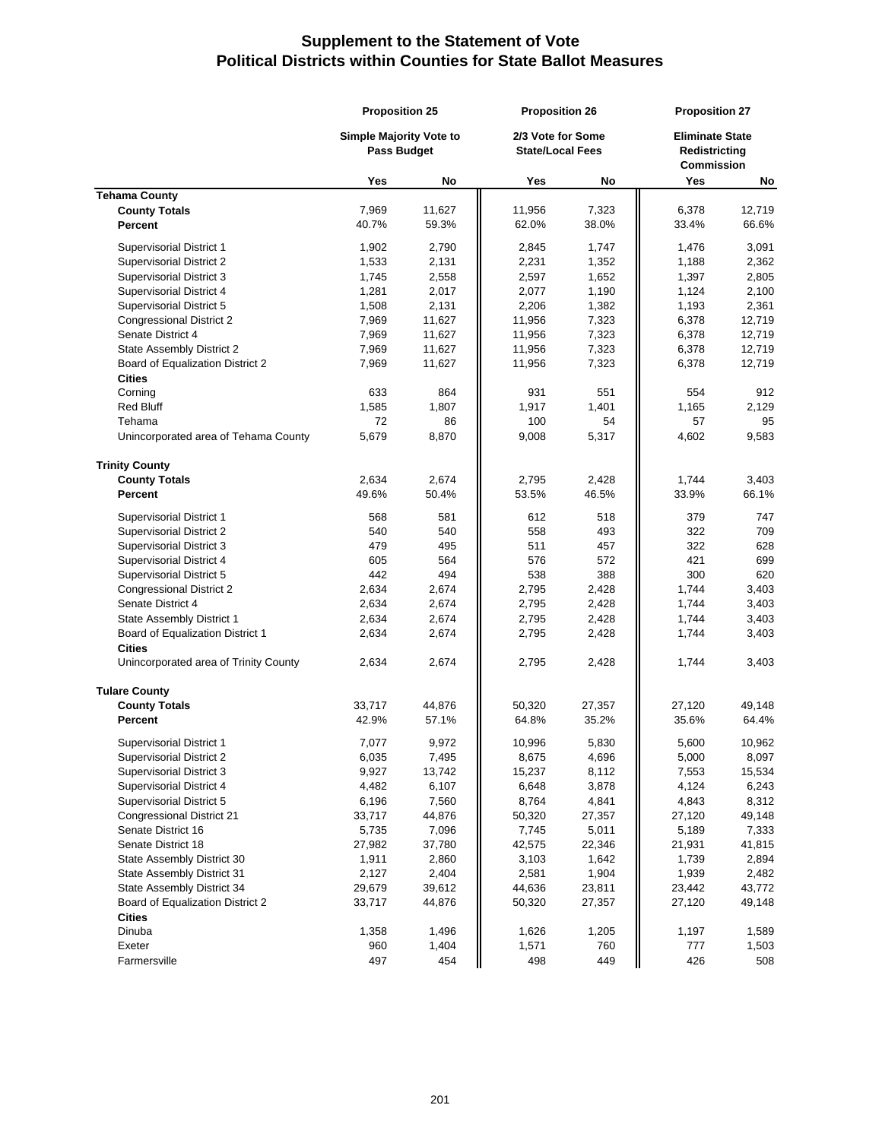|                                                        | <b>Proposition 25</b><br><b>Simple Majority Vote to</b> |              | <b>Proposition 26</b><br>2/3 Vote for Some |                 | <b>Proposition 27</b><br><b>Eliminate State</b> |                 |
|--------------------------------------------------------|---------------------------------------------------------|--------------|--------------------------------------------|-----------------|-------------------------------------------------|-----------------|
|                                                        |                                                         |              |                                            |                 |                                                 |                 |
|                                                        | <b>Pass Budget</b>                                      |              | <b>State/Local Fees</b>                    |                 | <b>Redistricting</b>                            |                 |
|                                                        |                                                         |              |                                            |                 | <b>Commission</b>                               |                 |
|                                                        | Yes                                                     | No           | Yes                                        | No              | Yes                                             | No              |
| <b>Tehama County</b>                                   |                                                         |              |                                            |                 |                                                 |                 |
| <b>County Totals</b>                                   | 7,969                                                   | 11,627       | 11,956                                     | 7,323           | 6,378                                           | 12,719          |
| Percent                                                | 40.7%                                                   | 59.3%        | 62.0%                                      | 38.0%           | 33.4%                                           | 66.6%           |
| <b>Supervisorial District 1</b>                        | 1,902                                                   | 2,790        | 2,845                                      | 1,747           | 1,476                                           | 3,091           |
| <b>Supervisorial District 2</b>                        | 1,533                                                   | 2,131        | 2,231                                      | 1,352           | 1,188                                           | 2,362           |
| <b>Supervisorial District 3</b>                        | 1,745                                                   | 2,558        | 2,597                                      | 1,652           | 1,397                                           | 2,805           |
| <b>Supervisorial District 4</b>                        | 1,281                                                   | 2,017        | 2,077                                      | 1,190           | 1,124                                           | 2,100           |
| Supervisorial District 5                               | 1,508                                                   | 2,131        | 2,206                                      | 1,382           | 1,193                                           | 2,361           |
| <b>Congressional District 2</b>                        | 7,969                                                   | 11,627       | 11,956                                     | 7,323           | 6,378                                           | 12,719          |
| Senate District 4                                      | 7,969                                                   | 11,627       | 11,956                                     | 7,323           | 6,378                                           | 12,719          |
| State Assembly District 2                              | 7,969                                                   | 11,627       | 11,956                                     | 7,323           | 6,378                                           | 12,719          |
| Board of Equalization District 2                       | 7,969                                                   | 11,627       | 11,956                                     | 7,323           | 6,378                                           | 12,719          |
| <b>Cities</b>                                          |                                                         |              |                                            |                 |                                                 |                 |
| Corning                                                | 633                                                     | 864          | 931                                        | 551             | 554                                             | 912             |
| <b>Red Bluff</b>                                       | 1,585                                                   | 1,807        | 1,917                                      | 1,401           | 1,165                                           | 2,129           |
| Tehama                                                 | 72                                                      | 86           | 100                                        | 54              | 57                                              | 95              |
| Unincorporated area of Tehama County                   | 5,679                                                   | 8,870        | 9,008                                      | 5,317           | 4,602                                           | 9,583           |
| <b>Trinity County</b>                                  |                                                         |              |                                            |                 |                                                 |                 |
| <b>County Totals</b>                                   | 2,634                                                   | 2,674        | 2,795                                      | 2,428           | 1.744                                           | 3,403           |
| Percent                                                | 49.6%                                                   | 50.4%        | 53.5%                                      | 46.5%           | 33.9%                                           | 66.1%           |
| <b>Supervisorial District 1</b>                        | 568                                                     | 581          | 612                                        | 518             | 379                                             | 747             |
| <b>Supervisorial District 2</b>                        | 540                                                     | 540          | 558                                        | 493             | 322                                             | 709             |
| Supervisorial District 3                               | 479                                                     | 495          | 511                                        | 457             | 322                                             | 628             |
| Supervisorial District 4                               | 605                                                     | 564          | 576                                        | 572             | 421                                             | 699             |
| Supervisorial District 5                               | 442                                                     | 494          | 538                                        | 388             | 300                                             | 620             |
| Congressional District 2                               | 2,634                                                   | 2,674        | 2,795                                      | 2,428           | 1,744                                           | 3,403           |
| Senate District 4                                      | 2,634                                                   | 2,674        | 2,795                                      | 2,428           | 1,744                                           | 3,403           |
| State Assembly District 1                              | 2,634                                                   | 2,674        | 2,795                                      | 2,428           | 1,744                                           | 3,403           |
| Board of Equalization District 1                       | 2,634                                                   | 2,674        | 2,795                                      | 2,428           | 1,744                                           | 3,403           |
| <b>Cities</b><br>Unincorporated area of Trinity County | 2,634                                                   | 2,674        | 2,795                                      | 2,428           | 1,744                                           | 3,403           |
|                                                        |                                                         |              |                                            |                 |                                                 |                 |
| <b>Tulare County</b>                                   |                                                         |              |                                            |                 |                                                 |                 |
| <b>County Totals</b>                                   | 33,717<br>42.9%                                         | 44,876       | 50,320                                     | 27,357<br>35.2% | 27,120                                          | 49,148<br>64.4% |
| Percent                                                |                                                         | 57.1%        | 64.8%                                      |                 | 35.6%                                           |                 |
| <b>Supervisorial District 1</b>                        | 7,077                                                   | 9,972        | 10,996                                     | 5,830           | 5,600                                           | 10,962          |
| <b>Supervisorial District 2</b>                        | 6,035                                                   | 7,495        | 8,675                                      | 4,696           | 5,000                                           | 8,097           |
| Supervisorial District 3                               | 9,927                                                   | 13,742       | 15,237                                     | 8,112           | 7,553                                           | 15,534          |
| Supervisorial District 4                               | 4,482                                                   | 6,107        | 6,648                                      | 3,878           | 4,124                                           | 6,243           |
| Supervisorial District 5                               | 6,196                                                   | 7,560        | 8,764                                      | 4,841           | 4,843                                           | 8,312           |
| Congressional District 21                              | 33,717                                                  | 44,876       | 50,320                                     | 27,357          | 27,120                                          | 49,148          |
| Senate District 16                                     | 5,735                                                   | 7,096        | 7,745                                      | 5,011           | 5,189                                           | 7,333           |
| Senate District 18                                     | 27,982                                                  | 37,780       | 42,575                                     | 22,346          | 21,931                                          | 41,815          |
| State Assembly District 30                             | 1,911                                                   | 2,860        | 3,103                                      | 1,642           | 1,739                                           | 2,894           |
| State Assembly District 31                             | 2,127                                                   | 2,404        | 2,581                                      | 1,904           | 1,939                                           | 2,482           |
| State Assembly District 34                             | 29,679                                                  | 39,612       | 44,636                                     | 23,811          | 23,442                                          | 43,772          |
| Board of Equalization District 2                       | 33,717                                                  | 44,876       | 50,320                                     | 27,357          | 27,120                                          | 49,148          |
| <b>Cities</b>                                          |                                                         |              |                                            |                 |                                                 |                 |
| Dinuba                                                 | 1,358<br>960                                            | 1,496        | 1,626                                      | 1,205           | 1,197                                           | 1,589           |
| Exeter<br>Farmersville                                 | 497                                                     | 1,404<br>454 | 1,571<br>498                               | 760<br>449      | 777<br>426                                      | 1,503<br>508    |
|                                                        |                                                         |              |                                            |                 |                                                 |                 |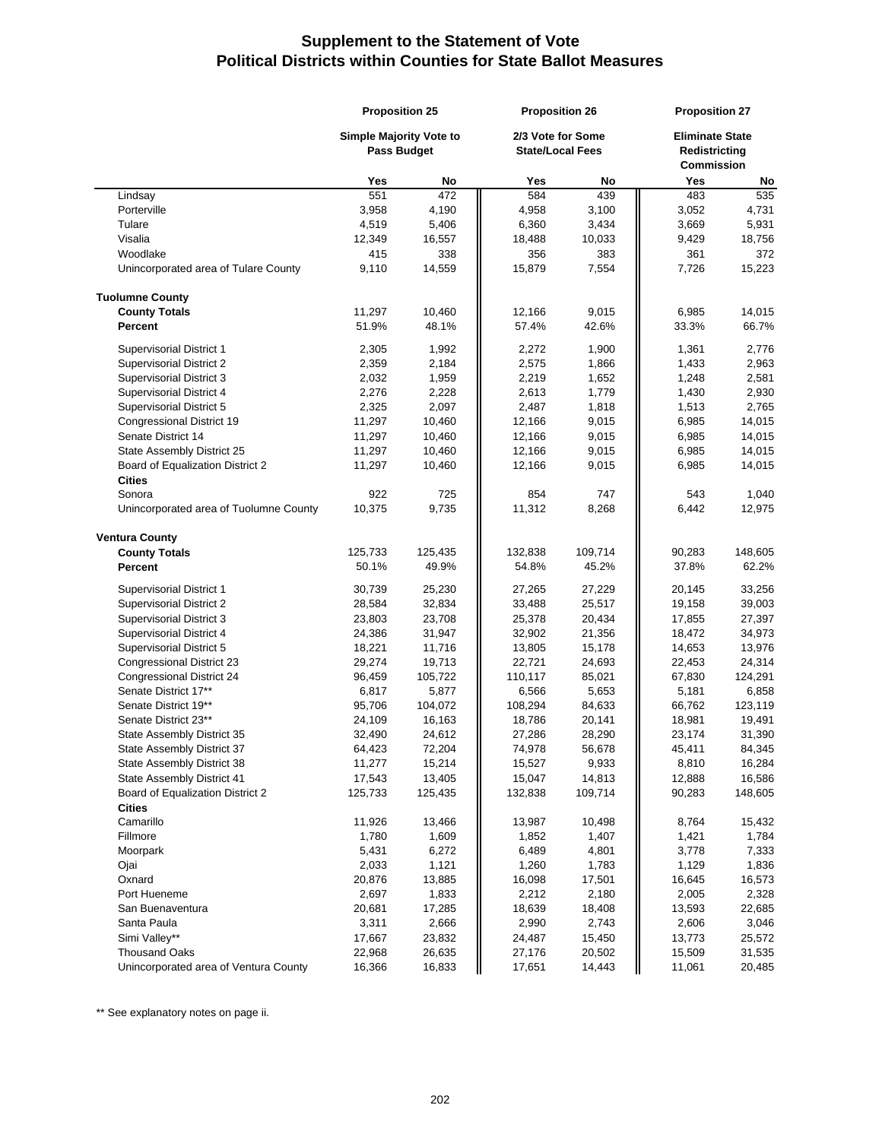|                                                          | <b>Proposition 25</b><br><b>Simple Majority Vote to</b><br><b>Pass Budget</b> |                   | <b>Proposition 26</b> |                                              | <b>Proposition 27</b> |                                                              |
|----------------------------------------------------------|-------------------------------------------------------------------------------|-------------------|-----------------------|----------------------------------------------|-----------------------|--------------------------------------------------------------|
|                                                          |                                                                               |                   |                       | 2/3 Vote for Some<br><b>State/Local Fees</b> |                       | <b>Eliminate State</b><br>Redistricting<br><b>Commission</b> |
|                                                          | Yes                                                                           | No                | Yes                   | No                                           | Yes                   | No                                                           |
| Lindsay                                                  | 551                                                                           | 472               | 584                   | 439                                          | 483                   | 535                                                          |
| Porterville                                              | 3,958                                                                         | 4,190             | 4,958                 | 3,100                                        | 3,052                 | 4,731                                                        |
| Tulare                                                   | 4,519                                                                         | 5,406             | 6,360                 | 3,434                                        | 3,669                 | 5,931                                                        |
| Visalia                                                  | 12,349                                                                        | 16,557            | 18,488                | 10,033                                       | 9,429                 | 18,756                                                       |
| Woodlake                                                 | 415                                                                           | 338               | 356                   | 383                                          | 361                   | 372                                                          |
| Unincorporated area of Tulare County                     | 9,110                                                                         | 14,559            | 15,879                | 7,554                                        | 7,726                 | 15,223                                                       |
| <b>Tuolumne County</b>                                   |                                                                               |                   |                       |                                              |                       |                                                              |
| <b>County Totals</b>                                     | 11,297                                                                        | 10,460            | 12,166                | 9,015                                        | 6,985                 | 14,015                                                       |
| <b>Percent</b>                                           | 51.9%                                                                         | 48.1%             | 57.4%                 | 42.6%                                        | 33.3%                 | 66.7%                                                        |
| <b>Supervisorial District 1</b>                          | 2,305                                                                         | 1,992             | 2,272                 | 1,900                                        | 1,361                 | 2,776                                                        |
| <b>Supervisorial District 2</b>                          | 2,359                                                                         | 2,184             | 2,575                 | 1,866                                        | 1,433                 | 2,963                                                        |
| <b>Supervisorial District 3</b>                          | 2,032                                                                         | 1,959             | 2,219                 | 1,652                                        | 1,248                 | 2,581                                                        |
| Supervisorial District 4                                 | 2,276                                                                         | 2,228             | 2,613                 | 1,779                                        | 1,430                 | 2,930                                                        |
| Supervisorial District 5                                 | 2,325                                                                         | 2,097             | 2,487                 | 1,818                                        | 1,513                 | 2,765                                                        |
| Congressional District 19                                | 11,297                                                                        | 10,460            | 12,166                | 9,015                                        | 6,985                 | 14,015                                                       |
| Senate District 14                                       | 11,297                                                                        | 10,460            | 12,166                | 9,015                                        | 6,985                 | 14,015                                                       |
| State Assembly District 25                               | 11,297                                                                        | 10,460            | 12,166                | 9,015                                        | 6,985                 | 14,015                                                       |
| Board of Equalization District 2                         | 11,297                                                                        | 10,460            | 12,166                | 9,015                                        | 6,985                 | 14,015                                                       |
| <b>Cities</b>                                            |                                                                               |                   |                       |                                              |                       |                                                              |
| Sonora                                                   | 922                                                                           | 725               | 854                   | 747                                          | 543                   | 1,040                                                        |
| Unincorporated area of Tuolumne County                   | 10,375                                                                        | 9,735             | 11,312                | 8,268                                        | 6,442                 | 12,975                                                       |
| <b>Ventura County</b>                                    |                                                                               |                   |                       |                                              |                       |                                                              |
| <b>County Totals</b>                                     | 125,733                                                                       | 125,435           | 132,838               | 109,714                                      | 90,283                | 148,605                                                      |
| Percent                                                  | 50.1%                                                                         | 49.9%             | 54.8%                 | 45.2%                                        | 37.8%                 | 62.2%                                                        |
| <b>Supervisorial District 1</b>                          | 30,739                                                                        | 25,230            | 27,265                | 27,229                                       | 20,145                | 33,256                                                       |
| <b>Supervisorial District 2</b>                          | 28,584                                                                        | 32,834            | 33,488                | 25,517                                       | 19,158                | 39,003                                                       |
| Supervisorial District 3                                 | 23,803                                                                        | 23,708            | 25,378                | 20,434                                       | 17,855                | 27,397                                                       |
| Supervisorial District 4                                 | 24,386                                                                        | 31,947            | 32,902                | 21,356                                       | 18,472                | 34,973                                                       |
| Supervisorial District 5                                 | 18,221                                                                        | 11,716            | 13,805                | 15,178                                       | 14,653                | 13,976                                                       |
| Congressional District 23                                | 29,274                                                                        | 19,713            | 22,721                | 24,693                                       | 22,453                | 24,314                                                       |
| Congressional District 24                                | 96,459                                                                        | 105,722           | 110,117               | 85,021                                       | 67,830                | 124,291                                                      |
| Senate District 17**                                     | 6,817                                                                         | 5,877             | 6,566                 | 5,653                                        | 5,181                 | 6,858                                                        |
| Senate District 19**                                     | 95,706                                                                        | 104,072           | 108,294               | 84,633                                       | 66,762                | 123,119                                                      |
| Senate District 23**                                     | 24,109                                                                        | 16,163            | 18,786                | 20,141                                       | 18,981                | 19,491                                                       |
| State Assembly District 35                               | 32,490                                                                        | 24,612            | 27,286                | 28,290                                       | 23,174                | 31,390                                                       |
| State Assembly District 37                               | 64,423                                                                        | 72,204            | 74,978                | 56,678                                       | 45,411                | 84,345                                                       |
| State Assembly District 38<br>State Assembly District 41 | 11,277                                                                        | 15,214            | 15,527<br>15,047      | 9,933                                        | 8,810                 | 16,284                                                       |
| Board of Equalization District 2                         | 17,543<br>125,733                                                             | 13,405<br>125,435 | 132,838               | 14,813<br>109,714                            | 12,888<br>90,283      | 16,586<br>148,605                                            |
| <b>Cities</b>                                            |                                                                               |                   |                       |                                              |                       |                                                              |
| Camarillo                                                | 11,926                                                                        | 13,466            | 13,987                | 10,498                                       | 8,764                 | 15,432                                                       |
| Fillmore                                                 | 1,780                                                                         | 1,609             | 1,852                 | 1,407                                        | 1,421                 | 1,784                                                        |
| Moorpark                                                 | 5,431                                                                         | 6,272             | 6,489                 | 4,801                                        | 3,778                 | 7,333                                                        |
| Ojai                                                     | 2,033                                                                         | 1,121             | 1,260                 | 1,783                                        | 1,129                 | 1,836                                                        |
| Oxnard                                                   | 20,876                                                                        | 13,885            | 16,098                | 17,501                                       | 16,645                | 16,573                                                       |
| Port Hueneme                                             | 2,697                                                                         | 1,833             | 2,212                 | 2,180                                        | 2,005                 | 2,328                                                        |
| San Buenaventura                                         | 20,681                                                                        | 17,285            | 18,639                | 18,408                                       | 13,593                | 22,685                                                       |
| Santa Paula                                              | 3,311                                                                         | 2,666             | 2,990                 | 2,743                                        | 2,606                 | 3,046                                                        |
| Simi Valley**                                            | 17,667                                                                        | 23,832            | 24,487                | 15,450                                       | 13,773                | 25,572                                                       |
| <b>Thousand Oaks</b>                                     | 22,968                                                                        | 26,635            | 27,176                | 20,502                                       | 15,509                | 31,535                                                       |
| Unincorporated area of Ventura County                    | 16,366                                                                        | 16,833            | 17,651                | 14,443                                       | 11,061                | 20,485                                                       |

\*\* See explanatory notes on page ii.